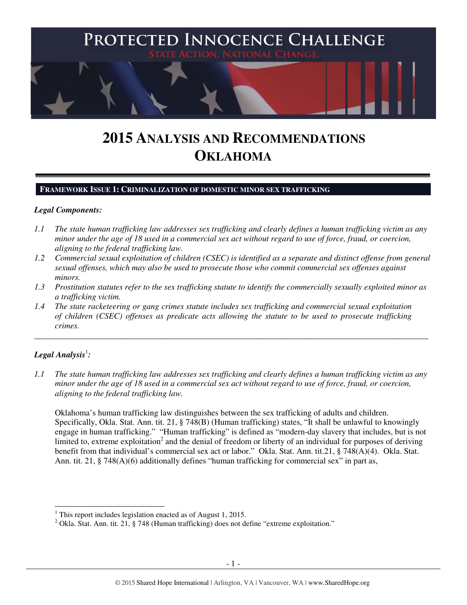

# **2015 ANALYSIS AND RECOMMENDATIONS OKLAHOMA**

#### **FRAMEWORK ISSUE 1: CRIMINALIZATION OF DOMESTIC MINOR SEX TRAFFICKING**

#### *Legal Components:*

- *1.1 The state human trafficking law addresses sex trafficking and clearly defines a human trafficking victim as any minor under the age of 18 used in a commercial sex act without regard to use of force, fraud, or coercion, aligning to the federal trafficking law.*
- *1.2 Commercial sexual exploitation of children (CSEC) is identified as a separate and distinct offense from general sexual offenses, which may also be used to prosecute those who commit commercial sex offenses against minors.*
- *1.3 Prostitution statutes refer to the sex trafficking statute to identify the commercially sexually exploited minor as a trafficking victim.*

\_\_\_\_\_\_\_\_\_\_\_\_\_\_\_\_\_\_\_\_\_\_\_\_\_\_\_\_\_\_\_\_\_\_\_\_\_\_\_\_\_\_\_\_\_\_\_\_\_\_\_\_\_\_\_\_\_\_\_\_\_\_\_\_\_\_\_\_\_\_\_\_\_\_\_\_\_\_\_\_\_\_\_\_\_\_\_\_\_\_\_\_\_\_

*1.4 The state racketeering or gang crimes statute includes sex trafficking and commercial sexual exploitation of children (CSEC) offenses as predicate acts allowing the statute to be used to prosecute trafficking crimes.* 

# $\bm{L}$ egal Analysis $^{\rm l}$ :

l

*1.1 The state human trafficking law addresses sex trafficking and clearly defines a human trafficking victim as any minor under the age of 18 used in a commercial sex act without regard to use of force, fraud, or coercion, aligning to the federal trafficking law.* 

Oklahoma's human trafficking law distinguishes between the sex trafficking of adults and children. Specifically, Okla. Stat. Ann. tit. 21, § 748(B) (Human trafficking) states, "It shall be unlawful to knowingly engage in human trafficking." "Human trafficking" is defined as "modern-day slavery that includes, but is not limited to, extreme exploitation<sup>2</sup> and the denial of freedom or liberty of an individual for purposes of deriving benefit from that individual's commercial sex act or labor." Okla. Stat. Ann. tit.21, § 748(A)(4). Okla. Stat. Ann. tit.  $21$ ,  $\S$  748(A)(6) additionally defines "human trafficking for commercial sex" in part as,

<sup>1</sup> This report includes legislation enacted as of August 1, 2015.

<sup>&</sup>lt;sup>2</sup> Okla. Stat. Ann. tit. 21, § 748 (Human trafficking) does not define "extreme exploitation."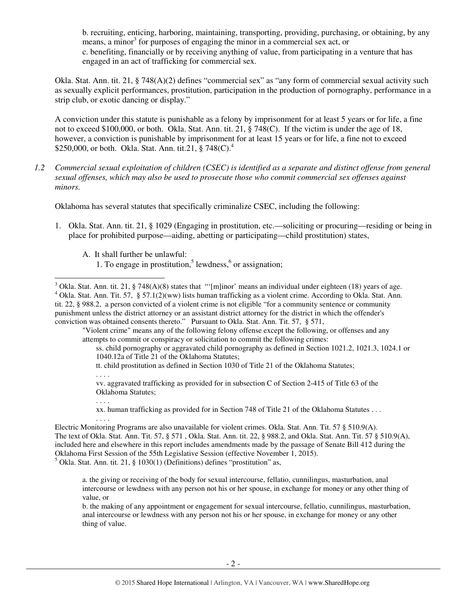b. recruiting, enticing, harboring, maintaining, transporting, providing, purchasing, or obtaining, by any means, a minor<sup>3</sup> for purposes of engaging the minor in a commercial sex act, or c. benefiting, financially or by receiving anything of value, from participating in a venture that has engaged in an act of trafficking for commercial sex.

Okla. Stat. Ann. tit. 21, § 748(A)(2) defines "commercial sex" as "any form of commercial sexual activity such as sexually explicit performances, prostitution, participation in the production of pornography, performance in a strip club, or exotic dancing or display."

A conviction under this statute is punishable as a felony by imprisonment for at least 5 years or for life, a fine not to exceed \$100,000, or both. Okla. Stat. Ann. tit. 21, § 748(C). If the victim is under the age of 18, however, a conviction is punishable by imprisonment for at least 15 years or for life, a fine not to exceed \$250,000, or both. Okla. Stat. Ann. tit.21,  $\S 748(C)^4$ .

*1.2 Commercial sexual exploitation of children (CSEC) is identified as a separate and distinct offense from general sexual offenses, which may also be used to prosecute those who commit commercial sex offenses against minors.* 

Oklahoma has several statutes that specifically criminalize CSEC, including the following:

- 1. Okla. Stat. Ann. tit. 21, § 1029 (Engaging in prostitution, etc.—soliciting or procuring—residing or being in place for prohibited purpose—aiding, abetting or participating—child prostitution) states,
	- A. It shall further be unlawful:
		- 1. To engage in prostitution,<sup>5</sup> lewdness, $6$  or assignation;

"Violent crime" means any of the following felony offense except the following, or offenses and any attempts to commit or conspiracy or solicitation to commit the following crimes:

tt. child prostitution as defined in Section 1030 of Title 21 of the Oklahoma Statutes;

. . . .

. . . .

 $\overline{a}$ 

vv. aggravated trafficking as provided for in subsection C of Section 2-415 of Title 63 of the Oklahoma Statutes;

xx. human trafficking as provided for in Section 748 of Title 21 of the Oklahoma Statutes . . .

 $<sup>5</sup>$  Okla. Stat. Ann. tit. 21, § 1030(1) (Definitions) defines "prostitution" as,</sup>

<sup>&</sup>lt;sup>3</sup> Okla. Stat. Ann. tit. 21, § 748(A)(8) states that "'[m]inor' means an individual under eighteen (18) years of age.

<sup>&</sup>lt;sup>4</sup> Okla. Stat. Ann. Tit. 57, § 57.1(2)(ww) lists human trafficking as a violent crime. According to Okla. Stat. Ann. tit. 22, § 988.2, a person convicted of a violent crime is not eligible "for a community sentence or community punishment unless the district attorney or an assistant district attorney for the district in which the offender's conviction was obtained consents thereto." Pursuant to Okla. Stat. Ann. Tit. 57, § 571,

ss. child pornography or aggravated child pornography as defined in Section 1021.2, 1021.3, 1024.1 or 1040.12a of Title 21 of the Oklahoma Statutes;

<sup>. . . .</sup>  Electric Monitoring Programs are also unavailable for violent crimes. Okla. Stat. Ann. Tit. 57 § 510.9(A). The text of Okla. Stat. Ann. Tit. 57, § 571 , Okla. Stat. Ann. tit. 22, § 988.2, and Okla. Stat. Ann. Tit. 57 § 510.9(A), included here and elsewhere in this report includes amendments made by the passage of Senate Bill 412 during the Oklahoma First Session of the 55th Legislative Session (effective November 1, 2015).

a. the giving or receiving of the body for sexual intercourse, fellatio, cunnilingus, masturbation, anal intercourse or lewdness with any person not his or her spouse, in exchange for money or any other thing of value, or

b. the making of any appointment or engagement for sexual intercourse, fellatio, cunnilingus, masturbation, anal intercourse or lewdness with any person not his or her spouse, in exchange for money or any other thing of value.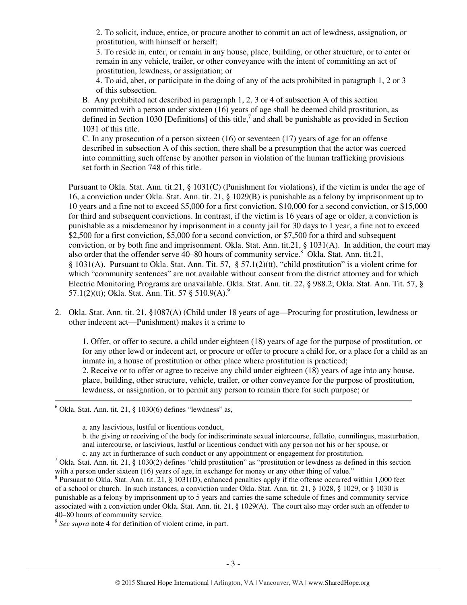2. To solicit, induce, entice, or procure another to commit an act of lewdness, assignation, or prostitution, with himself or herself;

3. To reside in, enter, or remain in any house, place, building, or other structure, or to enter or remain in any vehicle, trailer, or other conveyance with the intent of committing an act of prostitution, lewdness, or assignation; or

4. To aid, abet, or participate in the doing of any of the acts prohibited in paragraph 1, 2 or 3 of this subsection.

B. Any prohibited act described in paragraph 1, 2, 3 or 4 of subsection A of this section committed with a person under sixteen (16) years of age shall be deemed child prostitution, as defined in Section 1030 [Definitions] of this title,<sup>7</sup> and shall be punishable as provided in Section 1031 of this title.

C. In any prosecution of a person sixteen (16) or seventeen (17) years of age for an offense described in subsection A of this section, there shall be a presumption that the actor was coerced into committing such offense by another person in violation of the human trafficking provisions set forth in Section 748 of this title.

Pursuant to Okla. Stat. Ann. tit.21, § 1031(C) (Punishment for violations), if the victim is under the age of 16, a conviction under Okla. Stat. Ann. tit. 21, § 1029(B) is punishable as a felony by imprisonment up to 10 years and a fine not to exceed \$5,000 for a first conviction, \$10,000 for a second conviction, or \$15,000 for third and subsequent convictions. In contrast, if the victim is 16 years of age or older, a conviction is punishable as a misdemeanor by imprisonment in a county jail for 30 days to 1 year, a fine not to exceed \$2,500 for a first conviction, \$5,000 for a second conviction, or \$7,500 for a third and subsequent conviction, or by both fine and imprisonment. Okla. Stat. Ann. tit.21, § 1031(A). In addition, the court may also order that the offender serve  $40-80$  hours of community service.<sup>8</sup> Okla. Stat. Ann. tit.21, § 1031(A). Pursuant to Okla. Stat. Ann. Tit. 57, § 57.1(2)(tt), "child prostitution" is a violent crime for which "community sentences" are not available without consent from the district attorney and for which Electric Monitoring Programs are unavailable. Okla. Stat. Ann. tit. 22, § 988.2; Okla. Stat. Ann. Tit. 57, § 57.1(2)(tt); Okla. Stat. Ann. Tit. 57  $\S 510.9(A)^9$ .

2. Okla. Stat. Ann. tit. 21, §1087(A) (Child under 18 years of age—Procuring for prostitution, lewdness or other indecent act—Punishment) makes it a crime to

1. Offer, or offer to secure, a child under eighteen (18) years of age for the purpose of prostitution, or for any other lewd or indecent act, or procure or offer to procure a child for, or a place for a child as an inmate in, a house of prostitution or other place where prostitution is practiced; 2. Receive or to offer or agree to receive any child under eighteen (18) years of age into any house, place, building, other structure, vehicle, trailer, or other conveyance for the purpose of prostitution, lewdness, or assignation, or to permit any person to remain there for such purpose; or

 $6$  Okla. Stat. Ann. tit. 21,  $\S$  1030(6) defines "lewdness" as,

 $\overline{a}$ 

a. any lascivious, lustful or licentious conduct,

b. the giving or receiving of the body for indiscriminate sexual intercourse, fellatio, cunnilingus, masturbation, anal intercourse, or lascivious, lustful or licentious conduct with any person not his or her spouse, or c. any act in furtherance of such conduct or any appointment or engagement for prostitution.

<sup>7</sup> Okla. Stat. Ann. tit. 21, § 1030(2) defines "child prostitution" as "prostitution or lewdness as defined in this section with a person under sixteen (16) years of age, in exchange for money or any other thing of value."

 $8$  Pursuant to Okla. Stat. Ann. tit. 21, § 1031(D), enhanced penalties apply if the offense occurred within 1,000 feet of a school or church. In such instances, a conviction under Okla. Stat. Ann. tit. 21, § 1028, § 1029, or § 1030 is punishable as a felony by imprisonment up to 5 years and carries the same schedule of fines and community service associated with a conviction under Okla. Stat. Ann. tit. 21, § 1029(A). The court also may order such an offender to 40–80 hours of community service.

<sup>9</sup> See supra note 4 for definition of violent crime, in part.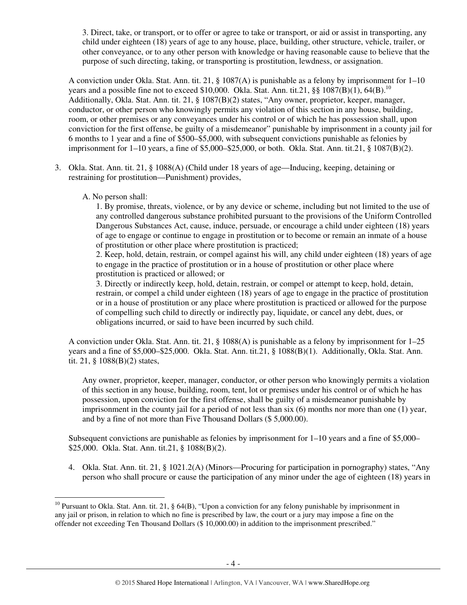3. Direct, take, or transport, or to offer or agree to take or transport, or aid or assist in transporting, any child under eighteen (18) years of age to any house, place, building, other structure, vehicle, trailer, or other conveyance, or to any other person with knowledge or having reasonable cause to believe that the purpose of such directing, taking, or transporting is prostitution, lewdness, or assignation.

A conviction under Okla. Stat. Ann. tit. 21, § 1087(A) is punishable as a felony by imprisonment for  $1-10$ years and a possible fine not to exceed \$10,000. Okla. Stat. Ann. tit.21,  $\S$ § 1087(B)(1), 64(B).<sup>10</sup> Additionally, Okla. Stat. Ann. tit. 21, § 1087(B)(2) states, "Any owner, proprietor, keeper, manager, conductor, or other person who knowingly permits any violation of this section in any house, building, room, or other premises or any conveyances under his control or of which he has possession shall, upon conviction for the first offense, be guilty of a misdemeanor" punishable by imprisonment in a county jail for 6 months to 1 year and a fine of \$500–\$5,000, with subsequent convictions punishable as felonies by imprisonment for  $1-10$  years, a fine of \$5,000–\$25,000, or both. Okla. Stat. Ann. tit.21, § 1087(B)(2).

- 3. Okla. Stat. Ann. tit. 21, § 1088(A) (Child under 18 years of age—Inducing, keeping, detaining or restraining for prostitution—Punishment) provides,
	- A. No person shall:

l

1. By promise, threats, violence, or by any device or scheme, including but not limited to the use of any controlled dangerous substance prohibited pursuant to the provisions of the Uniform Controlled Dangerous Substances Act, cause, induce, persuade, or encourage a child under eighteen (18) years of age to engage or continue to engage in prostitution or to become or remain an inmate of a house of prostitution or other place where prostitution is practiced;

2. Keep, hold, detain, restrain, or compel against his will, any child under eighteen (18) years of age to engage in the practice of prostitution or in a house of prostitution or other place where prostitution is practiced or allowed; or

3. Directly or indirectly keep, hold, detain, restrain, or compel or attempt to keep, hold, detain, restrain, or compel a child under eighteen (18) years of age to engage in the practice of prostitution or in a house of prostitution or any place where prostitution is practiced or allowed for the purpose of compelling such child to directly or indirectly pay, liquidate, or cancel any debt, dues, or obligations incurred, or said to have been incurred by such child.

A conviction under Okla. Stat. Ann. tit. 21, § 1088(A) is punishable as a felony by imprisonment for 1–25 years and a fine of \$5,000–\$25,000. Okla. Stat. Ann. tit.21, § 1088(B)(1). Additionally, Okla. Stat. Ann. tit. 21, § 1088(B)(2) states,

Any owner, proprietor, keeper, manager, conductor, or other person who knowingly permits a violation of this section in any house, building, room, tent, lot or premises under his control or of which he has possession, upon conviction for the first offense, shall be guilty of a misdemeanor punishable by imprisonment in the county jail for a period of not less than six (6) months nor more than one (1) year, and by a fine of not more than Five Thousand Dollars (\$ 5,000.00).

Subsequent convictions are punishable as felonies by imprisonment for  $1-10$  years and a fine of \$5,000– \$25,000. Okla. Stat. Ann. tit.21, § 1088(B)(2).

4. Okla. Stat. Ann. tit. 21, § 1021.2(A) (Minors—Procuring for participation in pornography) states, "Any person who shall procure or cause the participation of any minor under the age of eighteen (18) years in

<sup>&</sup>lt;sup>10</sup> Pursuant to Okla. Stat. Ann. tit. 21,  $\frac{1}{6}$  64(B), "Upon a conviction for any felony punishable by imprisonment in any jail or prison, in relation to which no fine is prescribed by law, the court or a jury may impose a fine on the offender not exceeding Ten Thousand Dollars (\$ 10,000.00) in addition to the imprisonment prescribed."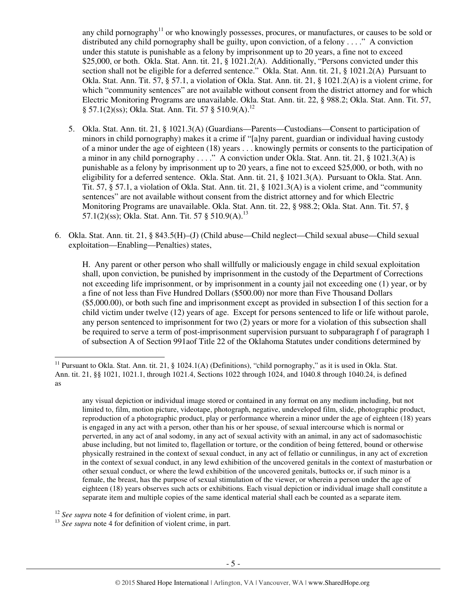any child pornography<sup>11</sup> or who knowingly possesses, procures, or manufactures, or causes to be sold or distributed any child pornography shall be guilty, upon conviction, of a felony . . . ." A conviction under this statute is punishable as a felony by imprisonment up to 20 years, a fine not to exceed \$25,000, or both. Okla. Stat. Ann. tit. 21, § 1021.2(A). Additionally, "Persons convicted under this section shall not be eligible for a deferred sentence." Okla. Stat. Ann. tit. 21, § 1021.2(A) Pursuant to Okla. Stat. Ann. Tit. 57, § 57.1, a violation of Okla. Stat. Ann. tit. 21, § 1021.2(A) is a violent crime, for which "community sentences" are not available without consent from the district attorney and for which Electric Monitoring Programs are unavailable. Okla. Stat. Ann. tit. 22, § 988.2; Okla. Stat. Ann. Tit. 57, § 57.1(2)(ss); Okla. Stat. Ann. Tit. 57 § 510.9(A).<sup>12</sup>

- 5. Okla. Stat. Ann. tit. 21, § 1021.3(A) (Guardians—Parents—Custodians—Consent to participation of minors in child pornography) makes it a crime if "[a]ny parent, guardian or individual having custody of a minor under the age of eighteen (18) years . . . knowingly permits or consents to the participation of a minor in any child pornography . . . ." A conviction under Okla. Stat. Ann. tit. 21, § 1021.3(A) is punishable as a felony by imprisonment up to 20 years, a fine not to exceed \$25,000, or both, with no eligibility for a deferred sentence. Okla. Stat. Ann. tit. 21, § 1021.3(A). Pursuant to Okla. Stat. Ann. Tit. 57, § 57.1, a violation of Okla. Stat. Ann. tit. 21, § 1021.3(A) is a violent crime, and "community sentences" are not available without consent from the district attorney and for which Electric Monitoring Programs are unavailable. Okla. Stat. Ann. tit. 22, § 988.2; Okla. Stat. Ann. Tit. 57, § 57.1(2)(ss); Okla. Stat. Ann. Tit. 57  $\frac{15}{10}$  510.9(A).<sup>13</sup>
- 6. Okla. Stat. Ann. tit. 21, § 843.5(H)–(J) (Child abuse—Child neglect—Child sexual abuse—Child sexual exploitation—Enabling—Penalties) states,

H. Any parent or other person who shall willfully or maliciously engage in child sexual exploitation shall, upon conviction, be punished by imprisonment in the custody of the Department of Corrections not exceeding life imprisonment, or by imprisonment in a county jail not exceeding one (1) year, or by a fine of not less than Five Hundred Dollars (\$500.00) nor more than Five Thousand Dollars (\$5,000.00), or both such fine and imprisonment except as provided in subsection I of this section for a child victim under twelve (12) years of age. Except for persons sentenced to life or life without parole, any person sentenced to imprisonment for two (2) years or more for a violation of this subsection shall be required to serve a term of post-imprisonment supervision pursuant to subparagraph f of paragraph 1 of subsection A of Section 991aof Title 22 of the Oklahoma Statutes under conditions determined by

any visual depiction or individual image stored or contained in any format on any medium including, but not limited to, film, motion picture, videotape, photograph, negative, undeveloped film, slide, photographic product, reproduction of a photographic product, play or performance wherein a minor under the age of eighteen (18) years is engaged in any act with a person, other than his or her spouse, of sexual intercourse which is normal or perverted, in any act of anal sodomy, in any act of sexual activity with an animal, in any act of sadomasochistic abuse including, but not limited to, flagellation or torture, or the condition of being fettered, bound or otherwise physically restrained in the context of sexual conduct, in any act of fellatio or cunnilingus, in any act of excretion in the context of sexual conduct, in any lewd exhibition of the uncovered genitals in the context of masturbation or other sexual conduct, or where the lewd exhibition of the uncovered genitals, buttocks or, if such minor is a female, the breast, has the purpose of sexual stimulation of the viewer, or wherein a person under the age of eighteen (18) years observes such acts or exhibitions. Each visual depiction or individual image shall constitute a separate item and multiple copies of the same identical material shall each be counted as a separate item.

<sup>12</sup> *See supra* note 4 for definition of violent crime, in part.

l

<sup>13</sup> See supra note 4 for definition of violent crime, in part.

<sup>&</sup>lt;sup>11</sup> Pursuant to Okla. Stat. Ann. tit. 21, § 1024.1(A) (Definitions), "child pornography," as it is used in Okla. Stat. Ann. tit. 21, §§ 1021, 1021.1, through 1021.4, Sections 1022 through 1024, and 1040.8 through 1040.24, is defined as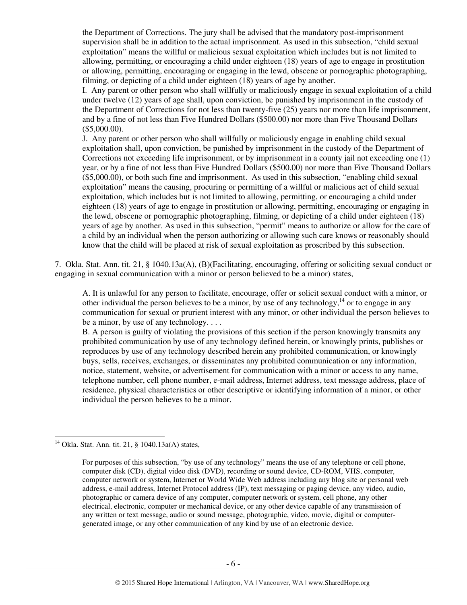the Department of Corrections. The jury shall be advised that the mandatory post-imprisonment supervision shall be in addition to the actual imprisonment. As used in this subsection, "child sexual exploitation" means the willful or malicious sexual exploitation which includes but is not limited to allowing, permitting, or encouraging a child under eighteen (18) years of age to engage in prostitution or allowing, permitting, encouraging or engaging in the lewd, obscene or pornographic photographing, filming, or depicting of a child under eighteen (18) years of age by another.

I. Any parent or other person who shall willfully or maliciously engage in sexual exploitation of a child under twelve (12) years of age shall, upon conviction, be punished by imprisonment in the custody of the Department of Corrections for not less than twenty-five (25) years nor more than life imprisonment, and by a fine of not less than Five Hundred Dollars (\$500.00) nor more than Five Thousand Dollars (\$5,000.00).

J. Any parent or other person who shall willfully or maliciously engage in enabling child sexual exploitation shall, upon conviction, be punished by imprisonment in the custody of the Department of Corrections not exceeding life imprisonment, or by imprisonment in a county jail not exceeding one (1) year, or by a fine of not less than Five Hundred Dollars (\$500.00) nor more than Five Thousand Dollars (\$5,000.00), or both such fine and imprisonment. As used in this subsection, "enabling child sexual exploitation" means the causing, procuring or permitting of a willful or malicious act of child sexual exploitation, which includes but is not limited to allowing, permitting, or encouraging a child under eighteen (18) years of age to engage in prostitution or allowing, permitting, encouraging or engaging in the lewd, obscene or pornographic photographing, filming, or depicting of a child under eighteen (18) years of age by another. As used in this subsection, "permit" means to authorize or allow for the care of a child by an individual when the person authorizing or allowing such care knows or reasonably should know that the child will be placed at risk of sexual exploitation as proscribed by this subsection.

7. Okla. Stat. Ann. tit. 21, § 1040.13a(A), (B)(Facilitating, encouraging, offering or soliciting sexual conduct or engaging in sexual communication with a minor or person believed to be a minor) states,

A. It is unlawful for any person to facilitate, encourage, offer or solicit sexual conduct with a minor, or other individual the person believes to be a minor, by use of any technology,  $^{14}$  or to engage in any communication for sexual or prurient interest with any minor, or other individual the person believes to be a minor, by use of any technology. . . .

B. A person is guilty of violating the provisions of this section if the person knowingly transmits any prohibited communication by use of any technology defined herein, or knowingly prints, publishes or reproduces by use of any technology described herein any prohibited communication, or knowingly buys, sells, receives, exchanges, or disseminates any prohibited communication or any information, notice, statement, website, or advertisement for communication with a minor or access to any name, telephone number, cell phone number, e-mail address, Internet address, text message address, place of residence, physical characteristics or other descriptive or identifying information of a minor, or other individual the person believes to be a minor.

<sup>&</sup>lt;sup>14</sup> Okla. Stat. Ann. tit. 21, § 1040.13a(A) states,

For purposes of this subsection, "by use of any technology" means the use of any telephone or cell phone, computer disk (CD), digital video disk (DVD), recording or sound device, CD-ROM, VHS, computer, computer network or system, Internet or World Wide Web address including any blog site or personal web address, e-mail address, Internet Protocol address (IP), text messaging or paging device, any video, audio, photographic or camera device of any computer, computer network or system, cell phone, any other electrical, electronic, computer or mechanical device, or any other device capable of any transmission of any written or text message, audio or sound message, photographic, video, movie, digital or computergenerated image, or any other communication of any kind by use of an electronic device.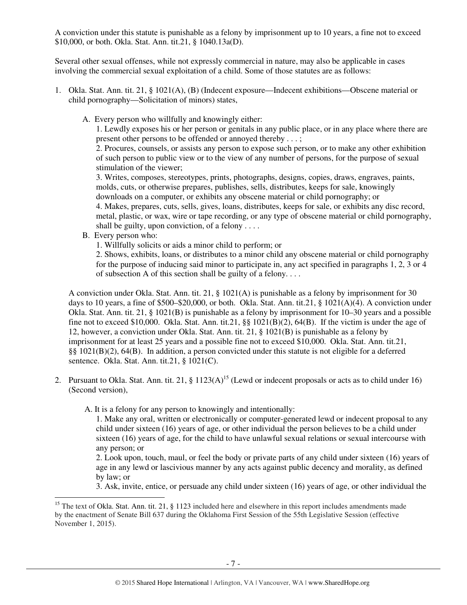A conviction under this statute is punishable as a felony by imprisonment up to 10 years, a fine not to exceed \$10,000, or both. Okla. Stat. Ann. tit.21, § 1040.13a(D).

Several other sexual offenses, while not expressly commercial in nature, may also be applicable in cases involving the commercial sexual exploitation of a child. Some of those statutes are as follows:

- 1. Okla. Stat. Ann. tit. 21, § 1021(A), (B) (Indecent exposure—Indecent exhibitions—Obscene material or child pornography—Solicitation of minors) states,
	- A. Every person who willfully and knowingly either:

1. Lewdly exposes his or her person or genitals in any public place, or in any place where there are present other persons to be offended or annoyed thereby . . . ;

2. Procures, counsels, or assists any person to expose such person, or to make any other exhibition of such person to public view or to the view of any number of persons, for the purpose of sexual stimulation of the viewer;

3. Writes, composes, stereotypes, prints, photographs, designs, copies, draws, engraves, paints, molds, cuts, or otherwise prepares, publishes, sells, distributes, keeps for sale, knowingly downloads on a computer, or exhibits any obscene material or child pornography; or

4. Makes, prepares, cuts, sells, gives, loans, distributes, keeps for sale, or exhibits any disc record, metal, plastic, or wax, wire or tape recording, or any type of obscene material or child pornography, shall be guilty, upon conviction, of a felony . . . .

B. Every person who:

 $\overline{a}$ 

1. Willfully solicits or aids a minor child to perform; or

2. Shows, exhibits, loans, or distributes to a minor child any obscene material or child pornography for the purpose of inducing said minor to participate in, any act specified in paragraphs 1, 2, 3 or 4 of subsection A of this section shall be guilty of a felony. . . .

A conviction under Okla. Stat. Ann. tit. 21, § 1021(A) is punishable as a felony by imprisonment for 30 days to 10 years, a fine of \$500–\$20,000, or both. Okla. Stat. Ann. tit.21, § 1021(A)(4). A conviction under Okla. Stat. Ann. tit. 21, § 1021(B) is punishable as a felony by imprisonment for 10–30 years and a possible fine not to exceed \$10,000. Okla. Stat. Ann. tit.21,  $\S$ § 1021(B)(2), 64(B). If the victim is under the age of 12, however, a conviction under Okla. Stat. Ann. tit. 21, § 1021(B) is punishable as a felony by imprisonment for at least 25 years and a possible fine not to exceed \$10,000. Okla. Stat. Ann. tit.21, §§ 1021(B)(2), 64(B). In addition, a person convicted under this statute is not eligible for a deferred sentence. Okla. Stat. Ann. tit.21, § 1021(C).

2. Pursuant to Okla. Stat. Ann. tit. 21,  $\S 1123(A)^{15}$  (Lewd or indecent proposals or acts as to child under 16) (Second version),

A. It is a felony for any person to knowingly and intentionally:

1. Make any oral, written or electronically or computer-generated lewd or indecent proposal to any child under sixteen (16) years of age, or other individual the person believes to be a child under sixteen (16) years of age, for the child to have unlawful sexual relations or sexual intercourse with any person; or

2. Look upon, touch, maul, or feel the body or private parts of any child under sixteen (16) years of age in any lewd or lascivious manner by any acts against public decency and morality, as defined by law; or

3. Ask, invite, entice, or persuade any child under sixteen (16) years of age, or other individual the

<sup>&</sup>lt;sup>15</sup> The text of Okla. Stat. Ann. tit. 21, § 1123 included here and elsewhere in this report includes amendments made by the enactment of Senate Bill 637 during the Oklahoma First Session of the 55th Legislative Session (effective November 1, 2015).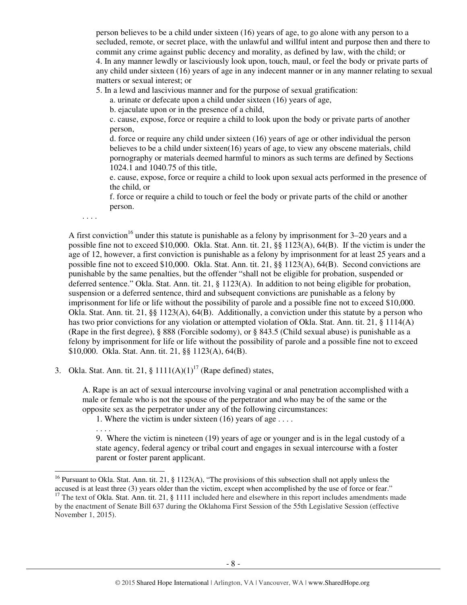person believes to be a child under sixteen (16) years of age, to go alone with any person to a secluded, remote, or secret place, with the unlawful and willful intent and purpose then and there to commit any crime against public decency and morality, as defined by law, with the child; or 4. In any manner lewdly or lasciviously look upon, touch, maul, or feel the body or private parts of any child under sixteen (16) years of age in any indecent manner or in any manner relating to sexual matters or sexual interest; or

5. In a lewd and lascivious manner and for the purpose of sexual gratification:

a. urinate or defecate upon a child under sixteen (16) years of age,

b. ejaculate upon or in the presence of a child,

c. cause, expose, force or require a child to look upon the body or private parts of another person,

d. force or require any child under sixteen (16) years of age or other individual the person believes to be a child under sixteen(16) years of age, to view any obscene materials, child pornography or materials deemed harmful to minors as such terms are defined by Sections 1024.1 and 1040.75 of this title,

e. cause, expose, force or require a child to look upon sexual acts performed in the presence of the child, or

f. force or require a child to touch or feel the body or private parts of the child or another person.

. . . .

A first conviction<sup>16</sup> under this statute is punishable as a felony by imprisonment for  $3-20$  years and a possible fine not to exceed \$10,000. Okla. Stat. Ann. tit. 21, §§ 1123(A), 64(B). If the victim is under the age of 12, however, a first conviction is punishable as a felony by imprisonment for at least 25 years and a possible fine not to exceed \$10,000. Okla. Stat. Ann. tit. 21, §§ 1123(A), 64(B). Second convictions are punishable by the same penalties, but the offender "shall not be eligible for probation, suspended or deferred sentence." Okla. Stat. Ann. tit. 21, § 1123(A). In addition to not being eligible for probation, suspension or a deferred sentence, third and subsequent convictions are punishable as a felony by imprisonment for life or life without the possibility of parole and a possible fine not to exceed \$10,000. Okla. Stat. Ann. tit. 21, §§ 1123(A), 64(B). Additionally, a conviction under this statute by a person who has two prior convictions for any violation or attempted violation of Okla. Stat. Ann. tit. 21, § 1114(A) (Rape in the first degree), § 888 (Forcible sodomy), or § 843.5 (Child sexual abuse) is punishable as a felony by imprisonment for life or life without the possibility of parole and a possible fine not to exceed \$10,000. Okla. Stat. Ann. tit. 21, §§ 1123(A), 64(B).

3. Okla. Stat. Ann. tit. 21,  $\S 1111(A)(1)^{17}$  (Rape defined) states,

A. Rape is an act of sexual intercourse involving vaginal or anal penetration accomplished with a male or female who is not the spouse of the perpetrator and who may be of the same or the opposite sex as the perpetrator under any of the following circumstances:

1. Where the victim is under sixteen (16) years of age . . . .

. . . .

 $\overline{a}$ 

9. Where the victim is nineteen (19) years of age or younger and is in the legal custody of a state agency, federal agency or tribal court and engages in sexual intercourse with a foster parent or foster parent applicant.

<sup>&</sup>lt;sup>16</sup> Pursuant to Okla. Stat. Ann. tit. 21, § 1123(A), "The provisions of this subsection shall not apply unless the accused is at least three (3) years older than the victim, except when accomplished by the use of force or fear." <sup>17</sup> The text of Okla. Stat. Ann. tit. 21, § 1111 included here and elsewhere in this report includes amendments made

by the enactment of Senate Bill 637 during the Oklahoma First Session of the 55th Legislative Session (effective November 1, 2015).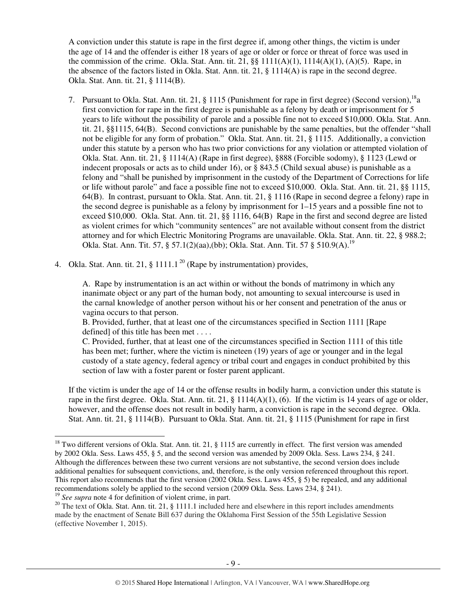A conviction under this statute is rape in the first degree if, among other things, the victim is under the age of 14 and the offender is either 18 years of age or older or force or threat of force was used in the commission of the crime. Okla. Stat. Ann. tit. 21,  $\S$ [  $111(A)(1)$ ,  $111(4(A)(1)$ ,  $(A)(5)$ . Rape, in the absence of the factors listed in Okla. Stat. Ann. tit. 21, § 1114(A) is rape in the second degree. Okla. Stat. Ann. tit. 21, § 1114(B).

- 7. Pursuant to Okla. Stat. Ann. tit. 21,  $\S$  1115 (Punishment for rape in first degree) (Second version), <sup>18</sup>a first conviction for rape in the first degree is punishable as a felony by death or imprisonment for 5 years to life without the possibility of parole and a possible fine not to exceed \$10,000. Okla. Stat. Ann. tit. 21, §§1115, 64(B). Second convictions are punishable by the same penalties, but the offender "shall not be eligible for any form of probation." Okla. Stat. Ann. tit. 21, § 1115. Additionally, a conviction under this statute by a person who has two prior convictions for any violation or attempted violation of Okla. Stat. Ann. tit. 21, § 1114(A) (Rape in first degree), §888 (Forcible sodomy), § 1123 (Lewd or indecent proposals or acts as to child under 16), or § 843.5 (Child sexual abuse) is punishable as a felony and "shall be punished by imprisonment in the custody of the Department of Corrections for life or life without parole" and face a possible fine not to exceed \$10,000. Okla. Stat. Ann. tit. 21, §§ 1115, 64(B). In contrast, pursuant to Okla. Stat. Ann. tit. 21, § 1116 (Rape in second degree a felony) rape in the second degree is punishable as a felony by imprisonment for 1–15 years and a possible fine not to exceed \$10,000. Okla. Stat. Ann. tit. 21, §§ 1116, 64(B) Rape in the first and second degree are listed as violent crimes for which "community sentences" are not available without consent from the district attorney and for which Electric Monitoring Programs are unavailable. Okla. Stat. Ann. tit. 22, § 988.2; Okla. Stat. Ann. Tit. 57, § 57.1(2)(aa),(bb); Okla. Stat. Ann. Tit. 57 § 510.9(A).<sup>19</sup>
- 4. Okla. Stat. Ann. tit. 21, § 1111.1<sup>20</sup> (Rape by instrumentation) provides,

A. Rape by instrumentation is an act within or without the bonds of matrimony in which any inanimate object or any part of the human body, not amounting to sexual intercourse is used in the carnal knowledge of another person without his or her consent and penetration of the anus or vagina occurs to that person.

B. Provided, further, that at least one of the circumstances specified in Section 1111 [Rape defined] of this title has been met . . . .

C. Provided, further, that at least one of the circumstances specified in Section 1111 of this title has been met; further, where the victim is nineteen (19) years of age or younger and in the legal custody of a state agency, federal agency or tribal court and engages in conduct prohibited by this section of law with a foster parent or foster parent applicant.

If the victim is under the age of 14 or the offense results in bodily harm, a conviction under this statute is rape in the first degree. Okla. Stat. Ann. tit. 21,  $\S$  1114(A)(1), (6). If the victim is 14 years of age or older, however, and the offense does not result in bodily harm, a conviction is rape in the second degree. Okla. Stat. Ann. tit. 21, § 1114(B). Pursuant to Okla. Stat. Ann. tit. 21, § 1115 (Punishment for rape in first

<sup>&</sup>lt;sup>18</sup> Two different versions of Okla. Stat. Ann. tit. 21, § 1115 are currently in effect. The first version was amended by 2002 Okla. Sess. Laws 455, § 5, and the second version was amended by 2009 Okla. Sess. Laws 234, § 241. Although the differences between these two current versions are not substantive, the second version does include additional penalties for subsequent convictions, and, therefore, is the only version referenced throughout this report. This report also recommends that the first version (2002 Okla. Sess. Laws 455, § 5) be repealed, and any additional recommendations solely be applied to the second version (2009 Okla. Sess. Laws 234, § 241).

<sup>&</sup>lt;sup>19</sup> *See supra* note 4 for definition of violent crime, in part.

<sup>&</sup>lt;sup>20</sup> The text of Okla. Stat. Ann. tit. 21, § 1111.1 included here and elsewhere in this report includes amendments made by the enactment of Senate Bill 637 during the Oklahoma First Session of the 55th Legislative Session (effective November 1, 2015).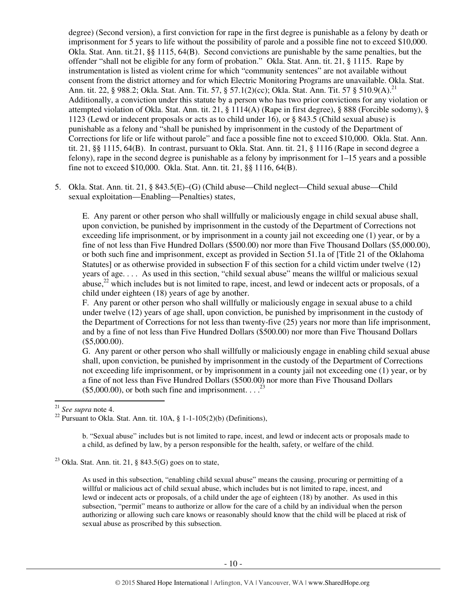degree) (Second version), a first conviction for rape in the first degree is punishable as a felony by death or imprisonment for 5 years to life without the possibility of parole and a possible fine not to exceed \$10,000. Okla. Stat. Ann. tit.21, §§ 1115, 64(B). Second convictions are punishable by the same penalties, but the offender "shall not be eligible for any form of probation." Okla. Stat. Ann. tit. 21, § 1115. Rape by instrumentation is listed as violent crime for which "community sentences" are not available without consent from the district attorney and for which Electric Monitoring Programs are unavailable. Okla. Stat. Ann. tit. 22, § 988.2; Okla. Stat. Ann. Tit. 57, § 57.1(2)(cc); Okla. Stat. Ann. Tit. 57 § 510.9(A).<sup>21</sup> Additionally, a conviction under this statute by a person who has two prior convictions for any violation or attempted violation of Okla. Stat. Ann. tit. 21, § 1114(A) (Rape in first degree), § 888 (Forcible sodomy), § 1123 (Lewd or indecent proposals or acts as to child under 16), or § 843.5 (Child sexual abuse) is punishable as a felony and "shall be punished by imprisonment in the custody of the Department of Corrections for life or life without parole" and face a possible fine not to exceed \$10,000. Okla. Stat. Ann. tit. 21, §§ 1115, 64(B). In contrast, pursuant to Okla. Stat. Ann. tit. 21, § 1116 (Rape in second degree a felony), rape in the second degree is punishable as a felony by imprisonment for 1–15 years and a possible fine not to exceed \$10,000. Okla. Stat. Ann. tit. 21, §§ 1116, 64(B).

5. Okla. Stat. Ann. tit. 21, § 843.5(E)–(G) (Child abuse—Child neglect—Child sexual abuse—Child sexual exploitation—Enabling—Penalties) states,

E. Any parent or other person who shall willfully or maliciously engage in child sexual abuse shall, upon conviction, be punished by imprisonment in the custody of the Department of Corrections not exceeding life imprisonment, or by imprisonment in a county jail not exceeding one (1) year, or by a fine of not less than Five Hundred Dollars (\$500.00) nor more than Five Thousand Dollars (\$5,000.00), or both such fine and imprisonment, except as provided in Section 51.1a of [Title 21 of the Oklahoma Statutes] or as otherwise provided in subsection F of this section for a child victim under twelve (12) years of age. . . . As used in this section, "child sexual abuse" means the willful or malicious sexual abuse, $^{22}$  which includes but is not limited to rape, incest, and lewd or indecent acts or proposals, of a child under eighteen (18) years of age by another.

F. Any parent or other person who shall willfully or maliciously engage in sexual abuse to a child under twelve (12) years of age shall, upon conviction, be punished by imprisonment in the custody of the Department of Corrections for not less than twenty-five (25) years nor more than life imprisonment, and by a fine of not less than Five Hundred Dollars (\$500.00) nor more than Five Thousand Dollars (\$5,000.00).

G. Any parent or other person who shall willfully or maliciously engage in enabling child sexual abuse shall, upon conviction, be punished by imprisonment in the custody of the Department of Corrections not exceeding life imprisonment, or by imprisonment in a county jail not exceeding one (1) year, or by a fine of not less than Five Hundred Dollars (\$500.00) nor more than Five Thousand Dollars  $(\$5,000.00)$ , or both such fine and imprisonment. . . .<sup>23</sup>

l

b. "Sexual abuse" includes but is not limited to rape, incest, and lewd or indecent acts or proposals made to a child, as defined by law, by a person responsible for the health, safety, or welfare of the child.

As used in this subsection, "enabling child sexual abuse" means the causing, procuring or permitting of a willful or malicious act of child sexual abuse, which includes but is not limited to rape, incest, and lewd or indecent acts or proposals, of a child under the age of eighteen (18) by another. As used in this subsection, "permit" means to authorize or allow for the care of a child by an individual when the person authorizing or allowing such care knows or reasonably should know that the child will be placed at risk of sexual abuse as proscribed by this subsection.

<sup>21</sup> *See supra* note 4.

<sup>&</sup>lt;sup>22</sup> Pursuant to Okla. Stat. Ann. tit. 10A,  $\S 1$ -1-105(2)(b) (Definitions),

<sup>&</sup>lt;sup>23</sup> Okla. Stat. Ann. tit. 21, § 843.5(G) goes on to state,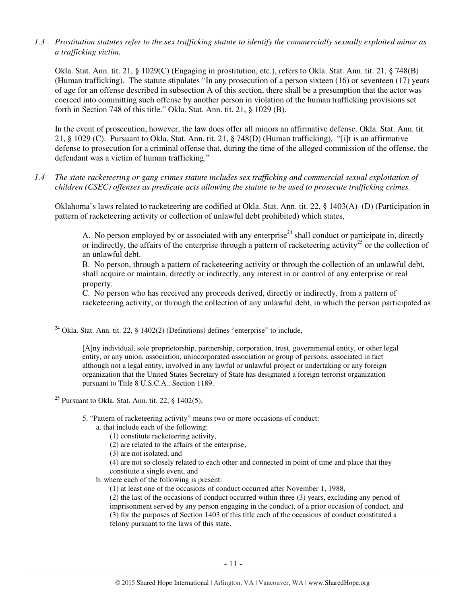*1.3 Prostitution statutes refer to the sex trafficking statute to identify the commercially sexually exploited minor as a trafficking victim.* 

Okla. Stat. Ann. tit. 21, § 1029(C) (Engaging in prostitution, etc.), refers to Okla. Stat. Ann. tit. 21, § 748(B) (Human trafficking). The statute stipulates "In any prosecution of a person sixteen (16) or seventeen (17) years of age for an offense described in subsection A of this section, there shall be a presumption that the actor was coerced into committing such offense by another person in violation of the human trafficking provisions set forth in Section 748 of this title." Okla. Stat. Ann. tit. 21, § 1029 (B).

In the event of prosecution, however, the law does offer all minors an affirmative defense. Okla. Stat. Ann. tit. 21, § 1029 (C). Pursuant to Okla. Stat. Ann. tit. 21, § 748(D) (Human trafficking), "[i]t is an affirmative defense to prosecution for a criminal offense that, during the time of the alleged commission of the offense, the defendant was a victim of human trafficking."

*1.4 The state racketeering or gang crimes statute includes sex trafficking and commercial sexual exploitation of children (CSEC) offenses as predicate acts allowing the statute to be used to prosecute trafficking crimes.* 

Oklahoma's laws related to racketeering are codified at Okla. Stat. Ann. tit. 22, § 1403(A)–(D) (Participation in pattern of racketeering activity or collection of unlawful debt prohibited) which states,

A. No person employed by or associated with any enterprise<sup>24</sup> shall conduct or participate in, directly or indirectly, the affairs of the enterprise through a pattern of racketeering activity<sup>25</sup> or the collection of an unlawful debt.

B. No person, through a pattern of racketeering activity or through the collection of an unlawful debt, shall acquire or maintain, directly or indirectly, any interest in or control of any enterprise or real property.

C. No person who has received any proceeds derived, directly or indirectly, from a pattern of racketeering activity, or through the collection of any unlawful debt, in which the person participated as

<sup>25</sup> Pursuant to Okla. Stat. Ann. tit. 22,  $\S$  1402(5),

l

- 5. "Pattern of racketeering activity" means two or more occasions of conduct:
	- a. that include each of the following:
		- (1) constitute racketeering activity,
		- (2) are related to the affairs of the enterprise,
		- (3) are not isolated, and
		- (4) are not so closely related to each other and connected in point of time and place that they constitute a single event, and
	- b. where each of the following is present:
		- (1) at least one of the occasions of conduct occurred after November 1, 1988,

(2) the last of the occasions of conduct occurred within three (3) years, excluding any period of imprisonment served by any person engaging in the conduct, of a prior occasion of conduct, and (3) for the purposes of Section 1403 of this title each of the occasions of conduct constituted a felony pursuant to the laws of this state.

 $^{24}$  Okla. Stat. Ann. tit. 22, § 1402(2) (Definitions) defines "enterprise" to include,

<sup>[</sup>A]ny individual, sole proprietorship, partnership, corporation, trust, governmental entity, or other legal entity, or any union, association, unincorporated association or group of persons, associated in fact although not a legal entity, involved in any lawful or unlawful project or undertaking or any foreign organization that the United States Secretary of State has designated a foreign terrorist organization pursuant to Title 8 U.S.C.A., Section 1189.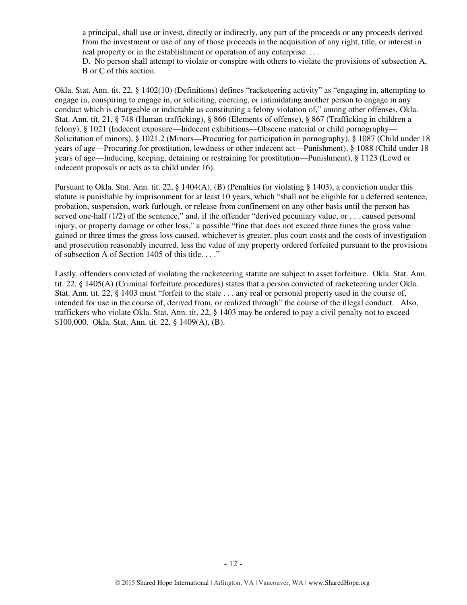a principal, shall use or invest, directly or indirectly, any part of the proceeds or any proceeds derived from the investment or use of any of those proceeds in the acquisition of any right, title, or interest in real property or in the establishment or operation of any enterprise. . . .

D. No person shall attempt to violate or conspire with others to violate the provisions of subsection A, B or C of this section.

Okla. Stat. Ann. tit. 22, § 1402(10) (Definitions) defines "racketeering activity" as "engaging in, attempting to engage in, conspiring to engage in, or soliciting, coercing, or intimidating another person to engage in any conduct which is chargeable or indictable as constituting a felony violation of," among other offenses, Okla. Stat. Ann. tit. 21, § 748 (Human trafficking), § 866 (Elements of offense), § 867 (Trafficking in children a felony), § 1021 (Indecent exposure—Indecent exhibitions—Obscene material or child pornography— Solicitation of minors), § 1021.2 (Minors—Procuring for participation in pornography), § 1087 (Child under 18 years of age—Procuring for prostitution, lewdness or other indecent act—Punishment), § 1088 (Child under 18 years of age—Inducing, keeping, detaining or restraining for prostitution—Punishment), § 1123 (Lewd or indecent proposals or acts as to child under 16).

Pursuant to Okla. Stat. Ann. tit. 22, § 1404(A), (B) (Penalties for violating § 1403), a conviction under this statute is punishable by imprisonment for at least 10 years, which "shall not be eligible for a deferred sentence, probation, suspension, work furlough, or release from confinement on any other basis until the person has served one-half (1/2) of the sentence," and, if the offender "derived pecuniary value, or . . . caused personal injury, or property damage or other loss," a possible "fine that does not exceed three times the gross value gained or three times the gross loss caused, whichever is greater, plus court costs and the costs of investigation and prosecution reasonably incurred, less the value of any property ordered forfeited pursuant to the provisions of subsection A of Section 1405 of this title. . . ."

Lastly, offenders convicted of violating the racketeering statute are subject to asset forfeiture. Okla. Stat. Ann. tit. 22, § 1405(A) (Criminal forfeiture procedures) states that a person convicted of racketeering under Okla. Stat. Ann. tit. 22, § 1403 must "forfeit to the state . . . any real or personal property used in the course of, intended for use in the course of, derived from, or realized through" the course of the illegal conduct. Also, traffickers who violate Okla. Stat. Ann. tit. 22, § 1403 may be ordered to pay a civil penalty not to exceed \$100,000. Okla. Stat. Ann. tit. 22, § 1409(A), (B).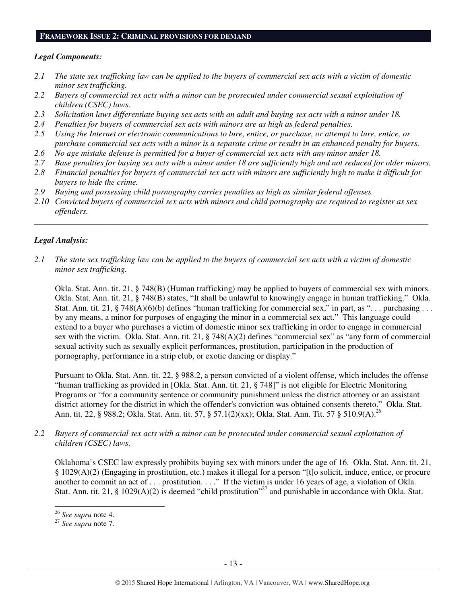#### **FRAMEWORK ISSUE 2: CRIMINAL PROVISIONS FOR DEMAND**

#### *Legal Components:*

- *2.1 The state sex trafficking law can be applied to the buyers of commercial sex acts with a victim of domestic minor sex trafficking.*
- *2.2 Buyers of commercial sex acts with a minor can be prosecuted under commercial sexual exploitation of children (CSEC) laws.*
- *2.3 Solicitation laws differentiate buying sex acts with an adult and buying sex acts with a minor under 18.*
- *2.4 Penalties for buyers of commercial sex acts with minors are as high as federal penalties.*
- *2.5 Using the Internet or electronic communications to lure, entice, or purchase, or attempt to lure, entice, or purchase commercial sex acts with a minor is a separate crime or results in an enhanced penalty for buyers.*
- *2.6 No age mistake defense is permitted for a buyer of commercial sex acts with any minor under 18.*
- *2.7 Base penalties for buying sex acts with a minor under 18 are sufficiently high and not reduced for older minors.*
- *2.8 Financial penalties for buyers of commercial sex acts with minors are sufficiently high to make it difficult for buyers to hide the crime.*
- *2.9 Buying and possessing child pornography carries penalties as high as similar federal offenses.*
- *2.10 Convicted buyers of commercial sex acts with minors and child pornography are required to register as sex offenders.*

\_\_\_\_\_\_\_\_\_\_\_\_\_\_\_\_\_\_\_\_\_\_\_\_\_\_\_\_\_\_\_\_\_\_\_\_\_\_\_\_\_\_\_\_\_\_\_\_\_\_\_\_\_\_\_\_\_\_\_\_\_\_\_\_\_\_\_\_\_\_\_\_\_\_\_\_\_\_\_\_\_\_\_\_\_\_\_\_\_\_\_\_\_\_

# *Legal Analysis:*

*2.1 The state sex trafficking law can be applied to the buyers of commercial sex acts with a victim of domestic minor sex trafficking.* 

Okla. Stat. Ann. tit. 21, § 748(B) (Human trafficking) may be applied to buyers of commercial sex with minors. Okla. Stat. Ann. tit. 21, § 748(B) states, "It shall be unlawful to knowingly engage in human trafficking." Okla. Stat. Ann. tit. 21, § 748(A)(6)(b) defines "human trafficking for commercial sex," in part, as "... purchasing ... by any means, a minor for purposes of engaging the minor in a commercial sex act." This language could extend to a buyer who purchases a victim of domestic minor sex trafficking in order to engage in commercial sex with the victim. Okla. Stat. Ann. tit. 21, § 748(A)(2) defines "commercial sex" as "any form of commercial sexual activity such as sexually explicit performances, prostitution, participation in the production of pornography, performance in a strip club, or exotic dancing or display."

Pursuant to Okla. Stat. Ann. tit. 22, § 988.2, a person convicted of a violent offense, which includes the offense "human trafficking as provided in [Okla. Stat. Ann. tit. 21, § 748]" is not eligible for Electric Monitoring Programs or "for a community sentence or community punishment unless the district attorney or an assistant district attorney for the district in which the offender's conviction was obtained consents thereto." Okla. Stat. Ann. tit. 22, § 988.2; Okla. Stat. Ann. tit. 57, § 57.1(2)(xx); Okla. Stat. Ann. Tit. 57 § 510.9(A).<sup>26</sup>

*2.2 Buyers of commercial sex acts with a minor can be prosecuted under commercial sexual exploitation of children (CSEC) laws.* 

Oklahoma's CSEC law expressly prohibits buying sex with minors under the age of 16. Okla. Stat. Ann. tit. 21, § 1029(A)(2) (Engaging in prostitution, etc.) makes it illegal for a person "[t]o solicit, induce, entice, or procure another to commit an act of . . . prostitution. . . ." If the victim is under 16 years of age, a violation of Okla. Stat. Ann. tit. 21, § 1029(A)(2) is deemed "child prostitution"<sup>27</sup> and punishable in accordance with Okla. Stat.

<sup>26</sup> *See supra* note 4.

<sup>27</sup> *See supra* note 7.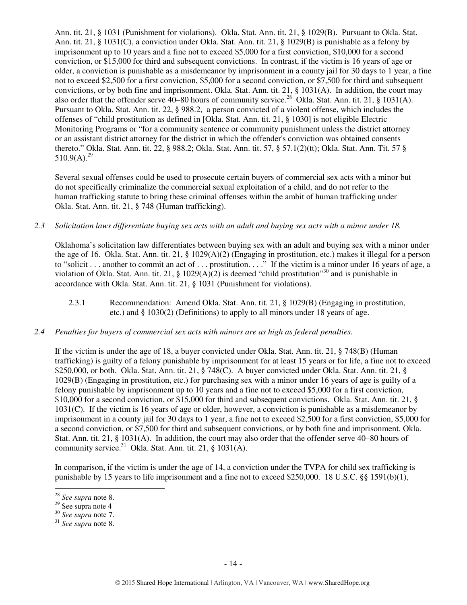Ann. tit. 21, § 1031 (Punishment for violations). Okla. Stat. Ann. tit. 21, § 1029(B). Pursuant to Okla. Stat. Ann. tit. 21, § 1031(C), a conviction under Okla. Stat. Ann. tit. 21, § 1029(B) is punishable as a felony by imprisonment up to 10 years and a fine not to exceed \$5,000 for a first conviction, \$10,000 for a second conviction, or \$15,000 for third and subsequent convictions. In contrast, if the victim is 16 years of age or older, a conviction is punishable as a misdemeanor by imprisonment in a county jail for 30 days to 1 year, a fine not to exceed \$2,500 for a first conviction, \$5,000 for a second conviction, or \$7,500 for third and subsequent convictions, or by both fine and imprisonment. Okla. Stat. Ann. tit. 21, § 1031(A). In addition, the court may also order that the offender serve 40–80 hours of community service.<sup>28</sup> Okla. Stat. Ann. tit. 21, § 1031(A). Pursuant to Okla. Stat. Ann. tit. 22, § 988.2, a person convicted of a violent offense, which includes the offenses of "child prostitution as defined in [Okla. Stat. Ann. tit. 21, § 1030] is not eligible Electric Monitoring Programs or "for a community sentence or community punishment unless the district attorney or an assistant district attorney for the district in which the offender's conviction was obtained consents thereto." Okla. Stat. Ann. tit. 22, § 988.2; Okla. Stat. Ann. tit. 57, § 57.1(2)(tt); Okla. Stat. Ann. Tit. 57 §  $510.9(A).^{29}$ 

Several sexual offenses could be used to prosecute certain buyers of commercial sex acts with a minor but do not specifically criminalize the commercial sexual exploitation of a child, and do not refer to the human trafficking statute to bring these criminal offenses within the ambit of human trafficking under Okla. Stat. Ann. tit. 21, § 748 (Human trafficking).

*2.3 Solicitation laws differentiate buying sex acts with an adult and buying sex acts with a minor under 18.* 

Oklahoma's solicitation law differentiates between buying sex with an adult and buying sex with a minor under the age of 16. Okla. Stat. Ann. tit. 21, § 1029(A)(2) (Engaging in prostitution, etc.) makes it illegal for a person to "solicit . . . another to commit an act of . . . prostitution. . . ." If the victim is a minor under 16 years of age, a violation of Okla. Stat. Ann. tit. 21, § 1029(A)(2) is deemed "child prostitution"<sup>30</sup> and is punishable in accordance with Okla. Stat. Ann. tit. 21, § 1031 (Punishment for violations).

- 2.3.1 Recommendation: Amend Okla. Stat. Ann. tit. 21, § 1029(B) (Engaging in prostitution, etc.) and § 1030(2) (Definitions) to apply to all minors under 18 years of age.
- *2.4 Penalties for buyers of commercial sex acts with minors are as high as federal penalties.*

If the victim is under the age of 18, a buyer convicted under Okla. Stat. Ann. tit. 21, § 748(B) (Human trafficking) is guilty of a felony punishable by imprisonment for at least 15 years or for life, a fine not to exceed \$250,000, or both. Okla. Stat. Ann. tit. 21, § 748(C). A buyer convicted under Okla. Stat. Ann. tit. 21, § 1029(B) (Engaging in prostitution, etc.) for purchasing sex with a minor under 16 years of age is guilty of a felony punishable by imprisonment up to 10 years and a fine not to exceed \$5,000 for a first conviction, \$10,000 for a second conviction, or \$15,000 for third and subsequent convictions. Okla. Stat. Ann. tit. 21, § 1031(C). If the victim is 16 years of age or older, however, a conviction is punishable as a misdemeanor by imprisonment in a county jail for 30 days to 1 year, a fine not to exceed \$2,500 for a first conviction, \$5,000 for a second conviction, or \$7,500 for third and subsequent convictions, or by both fine and imprisonment. Okla. Stat. Ann. tit. 21, § 1031(A). In addition, the court may also order that the offender serve 40–80 hours of community service.<sup>31</sup> Okla. Stat. Ann. tit. 21,  $\S$  1031(A).

In comparison, if the victim is under the age of 14, a conviction under the TVPA for child sex trafficking is punishable by 15 years to life imprisonment and a fine not to exceed \$250,000. 18 U.S.C. §§ 1591(b)(1),

<sup>28</sup> *See supra* note 8.

 $29$  See supra note 4

<sup>30</sup> *See supra* note 7.

<sup>31</sup> *See supra* note 8.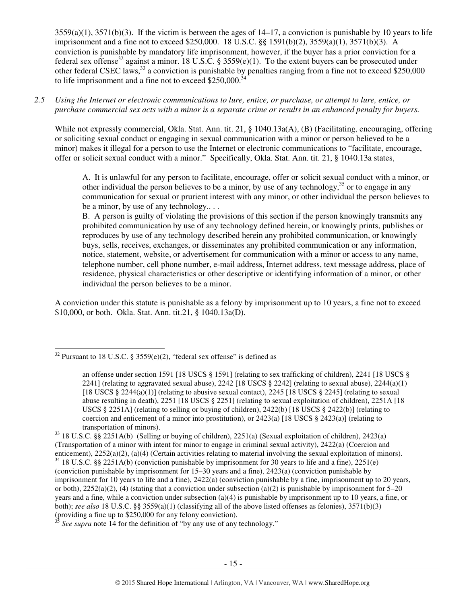$3559(a)(1)$ ,  $3571(b)(3)$ . If the victim is between the ages of  $14-17$ , a conviction is punishable by 10 years to life imprisonment and a fine not to exceed \$250,000. 18 U.S.C. §§ 1591(b)(2), 3559(a)(1), 3571(b)(3). A conviction is punishable by mandatory life imprisonment, however, if the buyer has a prior conviction for a federal sex offense<sup>32</sup> against a minor. 18 U.S.C. § 3559(e)(1). To the extent buyers can be prosecuted under other federal CSEC laws,<sup>33</sup> a conviction is punishable by penalties ranging from a fine not to exceed \$250,000 to life imprisonment and a fine not to exceed  $$250,000$ .

#### *2.5 Using the Internet or electronic communications to lure, entice, or purchase, or attempt to lure, entice, or purchase commercial sex acts with a minor is a separate crime or results in an enhanced penalty for buyers.*

While not expressly commercial, Okla. Stat. Ann. tit. 21, § 1040.13a(A), (B) (Facilitating, encouraging, offering or soliciting sexual conduct or engaging in sexual communication with a minor or person believed to be a minor) makes it illegal for a person to use the Internet or electronic communications to "facilitate, encourage, offer or solicit sexual conduct with a minor." Specifically, Okla. Stat. Ann. tit. 21, § 1040.13a states,

A. It is unlawful for any person to facilitate, encourage, offer or solicit sexual conduct with a minor, or other individual the person believes to be a minor, by use of any technology,  $35$  or to engage in any communication for sexual or prurient interest with any minor, or other individual the person believes to be a minor, by use of any technology.. . .

B. A person is guilty of violating the provisions of this section if the person knowingly transmits any prohibited communication by use of any technology defined herein, or knowingly prints, publishes or reproduces by use of any technology described herein any prohibited communication, or knowingly buys, sells, receives, exchanges, or disseminates any prohibited communication or any information, notice, statement, website, or advertisement for communication with a minor or access to any name, telephone number, cell phone number, e-mail address, Internet address, text message address, place of residence, physical characteristics or other descriptive or identifying information of a minor, or other individual the person believes to be a minor.

A conviction under this statute is punishable as a felony by imprisonment up to 10 years, a fine not to exceed \$10,000, or both. Okla. Stat. Ann. tit.21, § 1040.13a(D).

 $\overline{a}$ 

See supra note 14 for the definition of "by any use of any technology."

 $32$  Pursuant to 18 U.S.C. § 3559(e)(2), "federal sex offense" is defined as

an offense under section 1591 [18 USCS § 1591] (relating to sex trafficking of children), 2241 [18 USCS § 2241] (relating to aggravated sexual abuse), 2242 [18 USCS  $\S$  2242] (relating to sexual abuse), 2244(a)(1) [18 USCS  $\S$  2244(a)(1)] (relating to abusive sexual contact), 2245 [18 USCS  $\S$  2245] (relating to sexual abuse resulting in death), 2251 [18 USCS § 2251] (relating to sexual exploitation of children), 2251A [18 USCS § 2251A] (relating to selling or buying of children), 2422(b) [18 USCS § 2422(b)] (relating to coercion and enticement of a minor into prostitution), or  $2423(a)$  [18 USCS § 2423(a)] (relating to transportation of minors).

<sup>33</sup> 18 U.S.C. §§ 2251A(b) (Selling or buying of children), 2251(a) (Sexual exploitation of children), 2423(a) (Transportation of a minor with intent for minor to engage in criminal sexual activity), 2422(a) (Coercion and enticement), 2252(a)(2), (a)(4) (Certain activities relating to material involving the sexual exploitation of minors).  $34$  18 U.S.C. §§ 2251A(b) (conviction punishable by imprisonment for 30 years to life and a fine), 2251(e)

<sup>(</sup>conviction punishable by imprisonment for 15–30 years and a fine), 2423(a) (conviction punishable by imprisonment for 10 years to life and a fine), 2422(a) (conviction punishable by a fine, imprisonment up to 20 years, or both),  $2252(a)(2)$ , (4) (stating that a conviction under subsection (a)(2) is punishable by imprisonment for 5–20 years and a fine, while a conviction under subsection (a)(4) is punishable by imprisonment up to 10 years, a fine, or both); *see also* 18 U.S.C. §§ 3559(a)(1) (classifying all of the above listed offenses as felonies), 3571(b)(3) (providing a fine up to \$250,000 for any felony conviction).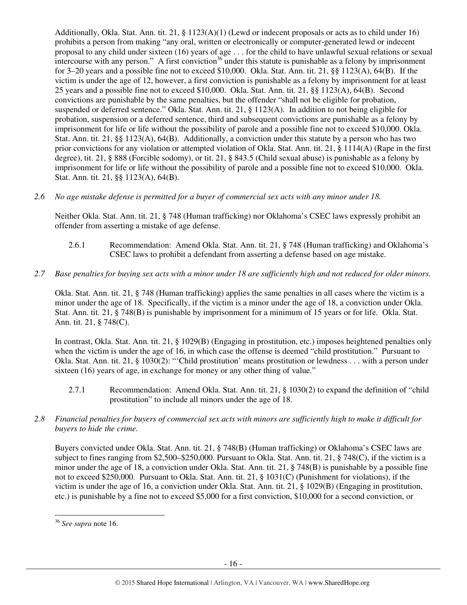Additionally, Okla. Stat. Ann. tit. 21, § 1123(A)(1) (Lewd or indecent proposals or acts as to child under 16) prohibits a person from making "any oral, written or electronically or computer-generated lewd or indecent proposal to any child under sixteen (16) years of age . . . for the child to have unlawful sexual relations or sexual intercourse with any person." A first conviction<sup>36</sup> under this statute is punishable as a felony by imprisonment for 3–20 years and a possible fine not to exceed \$10,000. Okla. Stat. Ann. tit. 21, §§ 1123(A), 64(B). If the victim is under the age of 12, however, a first conviction is punishable as a felony by imprisonment for at least 25 years and a possible fine not to exceed \$10,000. Okla. Stat. Ann. tit. 21, §§ 1123(A), 64(B). Second convictions are punishable by the same penalties, but the offender "shall not be eligible for probation, suspended or deferred sentence." Okla. Stat. Ann. tit. 21, § 1123(A). In addition to not being eligible for probation, suspension or a deferred sentence, third and subsequent convictions are punishable as a felony by imprisonment for life or life without the possibility of parole and a possible fine not to exceed \$10,000. Okla. Stat. Ann. tit. 21, §§ 1123(A), 64(B). Additionally, a conviction under this statute by a person who has two prior convictions for any violation or attempted violation of Okla. Stat. Ann. tit. 21, § 1114(A) (Rape in the first degree), tit. 21, § 888 (Forcible sodomy), or tit. 21, § 843.5 (Child sexual abuse) is punishable as a felony by imprisonment for life or life without the possibility of parole and a possible fine not to exceed \$10,000. Okla. Stat. Ann. tit. 21, §§ 1123(A), 64(B).

*2.6 No age mistake defense is permitted for a buyer of commercial sex acts with any minor under 18.* 

Neither Okla. Stat. Ann. tit. 21, § 748 (Human trafficking) nor Oklahoma's CSEC laws expressly prohibit an offender from asserting a mistake of age defense.

- 2.6.1 Recommendation: Amend Okla. Stat. Ann. tit. 21, § 748 (Human trafficking) and Oklahoma's CSEC laws to prohibit a defendant from asserting a defense based on age mistake.
- *2.7 Base penalties for buying sex acts with a minor under 18 are sufficiently high and not reduced for older minors.*

Okla. Stat. Ann. tit. 21, § 748 (Human trafficking) applies the same penalties in all cases where the victim is a minor under the age of 18. Specifically, if the victim is a minor under the age of 18, a conviction under Okla. Stat. Ann. tit. 21, § 748(B) is punishable by imprisonment for a minimum of 15 years or for life. Okla. Stat. Ann. tit. 21, § 748(C).

In contrast, Okla. Stat. Ann. tit. 21, § 1029(B) (Engaging in prostitution, etc.) imposes heightened penalties only when the victim is under the age of 16, in which case the offense is deemed "child prostitution." Pursuant to Okla. Stat. Ann. tit. 21, § 1030(2): "'Child prostitution' means prostitution or lewdness . . . with a person under sixteen (16) years of age, in exchange for money or any other thing of value."

- 2.7.1 Recommendation: Amend Okla. Stat. Ann. tit. 21, § 1030(2) to expand the definition of "child prostitution" to include all minors under the age of 18.
- *2.8 Financial penalties for buyers of commercial sex acts with minors are sufficiently high to make it difficult for buyers to hide the crime.*

Buyers convicted under Okla. Stat. Ann. tit. 21, § 748(B) (Human trafficking) or Oklahoma's CSEC laws are subject to fines ranging from \$2,500–\$250,000. Pursuant to Okla. Stat. Ann. tit. 21, § 748(C), if the victim is a minor under the age of 18, a conviction under Okla. Stat. Ann. tit. 21, § 748(B) is punishable by a possible fine not to exceed \$250,000. Pursuant to Okla. Stat. Ann. tit. 21, § 1031(C) (Punishment for violations), if the victim is under the age of 16, a conviction under Okla. Stat. Ann. tit. 21, § 1029(B) (Engaging in prostitution, etc.) is punishable by a fine not to exceed \$5,000 for a first conviction, \$10,000 for a second conviction, or

<sup>36</sup> *See supra* note 16.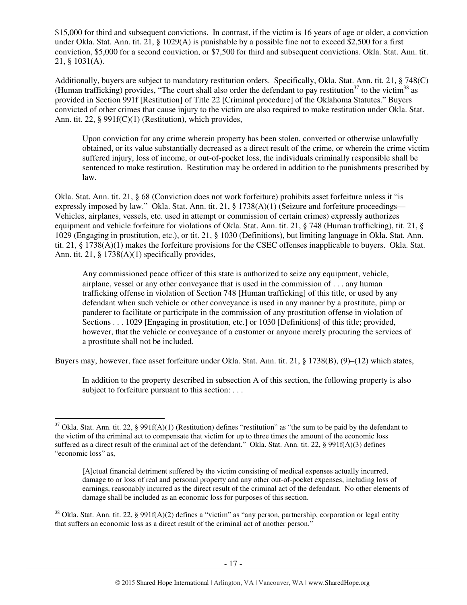\$15,000 for third and subsequent convictions. In contrast, if the victim is 16 years of age or older, a conviction under Okla. Stat. Ann. tit. 21, § 1029(A) is punishable by a possible fine not to exceed \$2,500 for a first conviction, \$5,000 for a second conviction, or \$7,500 for third and subsequent convictions. Okla. Stat. Ann. tit. 21, § 1031(A).

Additionally, buyers are subject to mandatory restitution orders. Specifically, Okla. Stat. Ann. tit. 21, § 748(C) (Human trafficking) provides, "The court shall also order the defendant to pay restitution<sup>37</sup> to the victim<sup>38</sup> as provided in Section 991f [Restitution] of Title 22 [Criminal procedure] of the Oklahoma Statutes." Buyers convicted of other crimes that cause injury to the victim are also required to make restitution under Okla. Stat. Ann. tit. 22, § 991f(C)(1) (Restitution), which provides,

Upon conviction for any crime wherein property has been stolen, converted or otherwise unlawfully obtained, or its value substantially decreased as a direct result of the crime, or wherein the crime victim suffered injury, loss of income, or out-of-pocket loss, the individuals criminally responsible shall be sentenced to make restitution. Restitution may be ordered in addition to the punishments prescribed by law.

Okla. Stat. Ann. tit. 21, § 68 (Conviction does not work forfeiture) prohibits asset forfeiture unless it "is expressly imposed by law." Okla. Stat. Ann. tit. 21, § 1738(A)(1) (Seizure and forfeiture proceedings— Vehicles, airplanes, vessels, etc. used in attempt or commission of certain crimes) expressly authorizes equipment and vehicle forfeiture for violations of Okla. Stat. Ann. tit. 21, § 748 (Human trafficking), tit. 21, § 1029 (Engaging in prostitution, etc.), or tit. 21, § 1030 (Definitions), but limiting language in Okla. Stat. Ann. tit. 21, § 1738(A)(1) makes the forfeiture provisions for the CSEC offenses inapplicable to buyers. Okla. Stat. Ann. tit. 21, § 1738(A)(1) specifically provides,

Any commissioned peace officer of this state is authorized to seize any equipment, vehicle, airplane, vessel or any other conveyance that is used in the commission of . . . any human trafficking offense in violation of Section 748 [Human trafficking] of this title, or used by any defendant when such vehicle or other conveyance is used in any manner by a prostitute, pimp or panderer to facilitate or participate in the commission of any prostitution offense in violation of Sections . . . 1029 [Engaging in prostitution, etc.] or 1030 [Definitions] of this title; provided, however, that the vehicle or conveyance of a customer or anyone merely procuring the services of a prostitute shall not be included.

Buyers may, however, face asset forfeiture under Okla. Stat. Ann. tit. 21, § 1738(B), (9)–(12) which states,

In addition to the property described in subsection A of this section, the following property is also subject to forfeiture pursuant to this section: ...

 $37$  Okla. Stat. Ann. tit. 22, § 991f(A)(1) (Restitution) defines "restitution" as "the sum to be paid by the defendant to the victim of the criminal act to compensate that victim for up to three times the amount of the economic loss suffered as a direct result of the criminal act of the defendant." Okla. Stat. Ann. tit. 22, § 991f(A)(3) defines "economic loss" as,

<sup>[</sup>A]ctual financial detriment suffered by the victim consisting of medical expenses actually incurred, damage to or loss of real and personal property and any other out-of-pocket expenses, including loss of earnings, reasonably incurred as the direct result of the criminal act of the defendant. No other elements of damage shall be included as an economic loss for purposes of this section.

<sup>&</sup>lt;sup>38</sup> Okla. Stat. Ann. tit. 22, § 991f(A)(2) defines a "victim" as "any person, partnership, corporation or legal entity that suffers an economic loss as a direct result of the criminal act of another person."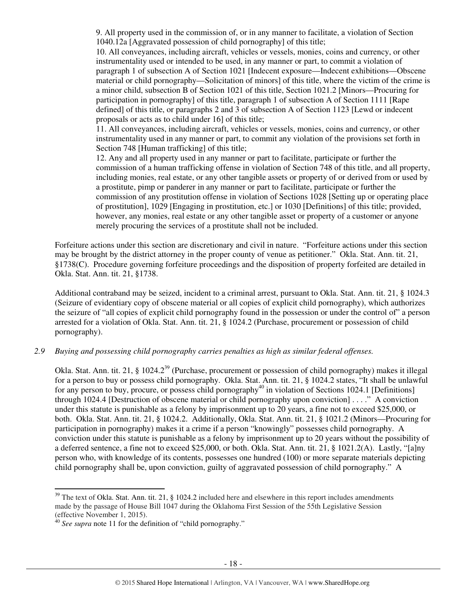9. All property used in the commission of, or in any manner to facilitate, a violation of Section 1040.12a [Aggravated possession of child pornography] of this title;

10. All conveyances, including aircraft, vehicles or vessels, monies, coins and currency, or other instrumentality used or intended to be used, in any manner or part, to commit a violation of paragraph 1 of subsection A of Section 1021 [Indecent exposure—Indecent exhibitions—Obscene material or child pornography—Solicitation of minors] of this title, where the victim of the crime is a minor child, subsection B of Section 1021 of this title, Section 1021.2 [Minors—Procuring for participation in pornography] of this title, paragraph 1 of subsection A of Section 1111 [Rape defined] of this title, or paragraphs 2 and 3 of subsection A of Section 1123 [Lewd or indecent proposals or acts as to child under 16] of this title;

11. All conveyances, including aircraft, vehicles or vessels, monies, coins and currency, or other instrumentality used in any manner or part, to commit any violation of the provisions set forth in Section 748 [Human trafficking] of this title;

12. Any and all property used in any manner or part to facilitate, participate or further the commission of a human trafficking offense in violation of Section 748 of this title, and all property, including monies, real estate, or any other tangible assets or property of or derived from or used by a prostitute, pimp or panderer in any manner or part to facilitate, participate or further the commission of any prostitution offense in violation of Sections 1028 [Setting up or operating place of prostitution], 1029 [Engaging in prostitution, etc.] or 1030 [Definitions] of this title; provided, however, any monies, real estate or any other tangible asset or property of a customer or anyone merely procuring the services of a prostitute shall not be included.

Forfeiture actions under this section are discretionary and civil in nature. "Forfeiture actions under this section may be brought by the district attorney in the proper county of venue as petitioner." Okla. Stat. Ann. tit. 21, §1738(C). Procedure governing forfeiture proceedings and the disposition of property forfeited are detailed in Okla. Stat. Ann. tit. 21, §1738.

Additional contraband may be seized, incident to a criminal arrest, pursuant to Okla. Stat. Ann. tit. 21, § 1024.3 (Seizure of evidentiary copy of obscene material or all copies of explicit child pornography), which authorizes the seizure of "all copies of explicit child pornography found in the possession or under the control of" a person arrested for a violation of Okla. Stat. Ann. tit. 21, § 1024.2 (Purchase, procurement or possession of child pornography).

#### *2.9 Buying and possessing child pornography carries penalties as high as similar federal offenses.*

Okla. Stat. Ann. tit. 21, § 1024.2<sup>39</sup> (Purchase, procurement or possession of child pornography) makes it illegal for a person to buy or possess child pornography. Okla. Stat. Ann. tit. 21, § 1024.2 states, "It shall be unlawful for any person to buy, procure, or possess child pornography<sup>40</sup> in violation of Sections 1024.1 [Definitions] through 1024.4 [Destruction of obscene material or child pornography upon conviction] . . . ." A conviction under this statute is punishable as a felony by imprisonment up to 20 years, a fine not to exceed \$25,000, or both. Okla. Stat. Ann. tit. 21, § 1024.2. Additionally, Okla. Stat. Ann. tit. 21, § 1021.2 (Minors—Procuring for participation in pornography) makes it a crime if a person "knowingly" possesses child pornography. A conviction under this statute is punishable as a felony by imprisonment up to 20 years without the possibility of a deferred sentence, a fine not to exceed \$25,000, or both. Okla. Stat. Ann. tit. 21, § 1021.2(A). Lastly, "[a]ny person who, with knowledge of its contents, possesses one hundred (100) or more separate materials depicting child pornography shall be, upon conviction, guilty of aggravated possession of child pornography." A

 $39$  The text of Okla. Stat. Ann. tit. 21, § 1024.2 included here and elsewhere in this report includes amendments made by the passage of House Bill 1047 during the Oklahoma First Session of the 55th Legislative Session (effective November 1, 2015).

<sup>40</sup> *See supra* note 11 for the definition of "child pornography."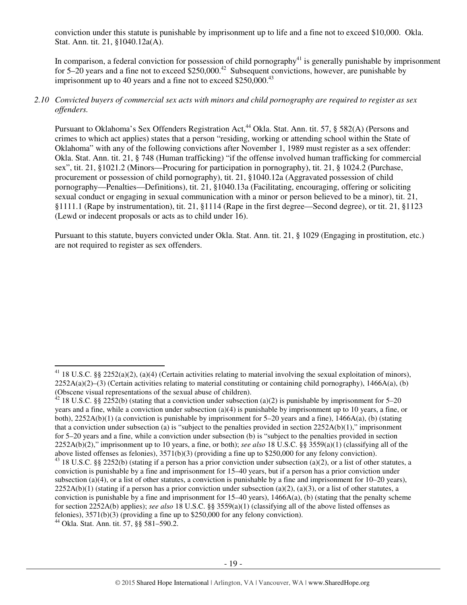conviction under this statute is punishable by imprisonment up to life and a fine not to exceed \$10,000. Okla. Stat. Ann. tit. 21, §1040.12a(A).

In comparison, a federal conviction for possession of child pornography $41$  is generally punishable by imprisonment for 5–20 years and a fine not to exceed  $$250,000.<sup>42</sup>$  Subsequent convictions, however, are punishable by imprisonment up to 40 years and a fine not to exceed  $$250,000.<sup>43</sup>$ 

#### *2.10 Convicted buyers of commercial sex acts with minors and child pornography are required to register as sex offenders.*

Pursuant to Oklahoma's Sex Offenders Registration Act,<sup>44</sup> Okla. Stat. Ann. tit. 57, § 582(A) (Persons and crimes to which act applies) states that a person "residing, working or attending school within the State of Oklahoma" with any of the following convictions after November 1, 1989 must register as a sex offender: Okla. Stat. Ann. tit. 21, § 748 (Human trafficking) "if the offense involved human trafficking for commercial sex", tit. 21, §1021.2 (Minors—Procuring for participation in pornography), tit. 21, § 1024.2 (Purchase, procurement or possession of child pornography), tit. 21, §1040.12a (Aggravated possession of child pornography—Penalties—Definitions), tit. 21, §1040.13a (Facilitating, encouraging, offering or soliciting sexual conduct or engaging in sexual communication with a minor or person believed to be a minor), tit. 21, §1111.1 (Rape by instrumentation), tit. 21, §1114 (Rape in the first degree—Second degree), or tit. 21, §1123 (Lewd or indecent proposals or acts as to child under 16).

Pursuant to this statute, buyers convicted under Okla. Stat. Ann. tit. 21, § 1029 (Engaging in prostitution, etc.) are not required to register as sex offenders.

<sup>&</sup>lt;sup>41</sup> 18 U.S.C. §§ 2252(a)(2), (a)(4) (Certain activities relating to material involving the sexual exploitation of minors),  $2252A(a)(2)$ –(3) (Certain activities relating to material constituting or containing child pornography), 1466A(a), (b) (Obscene visual representations of the sexual abuse of children).

<sup>&</sup>lt;sup>42</sup> 18 U.S.C. §§ 2252(b) (stating that a conviction under subsection (a)(2) is punishable by imprisonment for 5–20 years and a fine, while a conviction under subsection (a)(4) is punishable by imprisonment up to 10 years, a fine, or both), 2252A(b)(1) (a conviction is punishable by imprisonment for 5–20 years and a fine), 1466A(a), (b) (stating that a conviction under subsection (a) is "subject to the penalties provided in section  $2252A(b)(1)$ ," imprisonment for 5–20 years and a fine, while a conviction under subsection (b) is "subject to the penalties provided in section 2252A(b)(2)," imprisonment up to 10 years, a fine, or both); *see also* 18 U.S.C. §§ 3559(a)(1) (classifying all of the above listed offenses as felonies), 3571(b)(3) (providing a fine up to \$250,000 for any felony conviction). 43 18 U.S.C. §§ 2252(b) (stating if a person has a prior conviction under subsection (a)(2), or a list of other statutes, a conviction is punishable by a fine and imprisonment for 15–40 years, but if a person has a prior conviction under subsection (a)(4), or a list of other statutes, a conviction is punishable by a fine and imprisonment for  $10-20$  years),

 $2252A(b)(1)$  (stating if a person has a prior conviction under subsection (a)(2), (a)(3), or a list of other statutes, a conviction is punishable by a fine and imprisonment for  $15-40$  years),  $1466A(a)$ , (b) (stating that the penalty scheme for section 2252A(b) applies); *see also* 18 U.S.C. §§ 3559(a)(1) (classifying all of the above listed offenses as felonies), 3571(b)(3) (providing a fine up to \$250,000 for any felony conviction).

<sup>44</sup> Okla. Stat. Ann. tit. 57, §§ 581–590.2.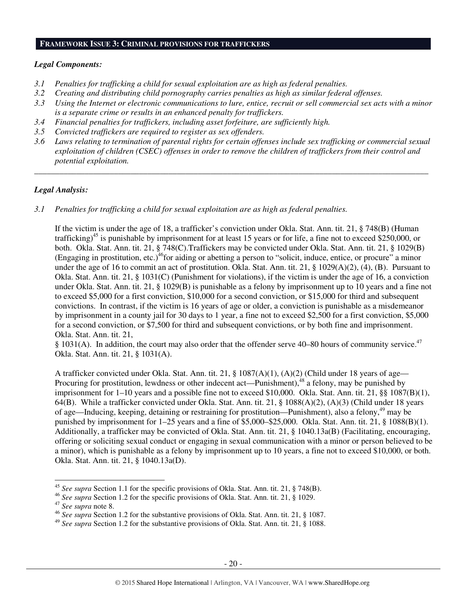# **FRAMEWORK ISSUE 3: CRIMINAL PROVISIONS FOR TRAFFICKERS**

#### *Legal Components:*

- *3.1 Penalties for trafficking a child for sexual exploitation are as high as federal penalties.*
- *3.2 Creating and distributing child pornography carries penalties as high as similar federal offenses.*
- *3.3 Using the Internet or electronic communications to lure, entice, recruit or sell commercial sex acts with a minor is a separate crime or results in an enhanced penalty for traffickers.*
- *3.4 Financial penalties for traffickers, including asset forfeiture, are sufficiently high.*
- *3.5 Convicted traffickers are required to register as sex offenders.*
- *3.6 Laws relating to termination of parental rights for certain offenses include sex trafficking or commercial sexual exploitation of children (CSEC) offenses in order to remove the children of traffickers from their control and potential exploitation.*

*\_\_\_\_\_\_\_\_\_\_\_\_\_\_\_\_\_\_\_\_\_\_\_\_\_\_\_\_\_\_\_\_\_\_\_\_\_\_\_\_\_\_\_\_\_\_\_\_\_\_\_\_\_\_\_\_\_\_\_\_\_\_\_\_\_\_\_\_\_\_\_\_\_\_\_\_\_\_\_\_\_\_\_\_\_\_\_\_\_\_\_\_\_\_* 

#### *Legal Analysis:*

*3.1 Penalties for trafficking a child for sexual exploitation are as high as federal penalties.* 

If the victim is under the age of 18, a trafficker's conviction under Okla. Stat. Ann. tit. 21, § 748(B) (Human trafficking)<sup>45</sup> is punishable by imprisonment for at least 15 years or for life, a fine not to exceed \$250,000, or both. Okla. Stat. Ann. tit. 21, § 748(C).Traffickers may be convicted under Okla. Stat. Ann. tit. 21, § 1029(B) (Engaging in prostitution, etc.)<sup>46</sup>for aiding or abetting a person to "solicit, induce, entice, or procure" a minor under the age of 16 to commit an act of prostitution. Okla. Stat. Ann. tit. 21, § 1029(A)(2), (4), (B). Pursuant to Okla. Stat. Ann. tit. 21, § 1031(C) (Punishment for violations), if the victim is under the age of 16, a conviction under Okla. Stat. Ann. tit. 21, § 1029(B) is punishable as a felony by imprisonment up to 10 years and a fine not to exceed \$5,000 for a first conviction, \$10,000 for a second conviction, or \$15,000 for third and subsequent convictions. In contrast, if the victim is 16 years of age or older, a conviction is punishable as a misdemeanor by imprisonment in a county jail for 30 days to 1 year, a fine not to exceed \$2,500 for a first conviction, \$5,000 for a second conviction, or \$7,500 for third and subsequent convictions, or by both fine and imprisonment. Okla. Stat. Ann. tit. 21,

§ 1031(A). In addition, the court may also order that the offender serve 40–80 hours of community service.<sup>47</sup> Okla. Stat. Ann. tit. 21, § 1031(A).

A trafficker convicted under Okla. Stat. Ann. tit. 21, § 1087(A)(1), (A)(2) (Child under 18 years of age— Procuring for prostitution, lewdness or other indecent act—Punishment),<sup>48</sup> a felony, may be punished by imprisonment for 1–10 years and a possible fine not to exceed \$10,000. Okla. Stat. Ann. tit. 21, §§ 1087(B)(1), 64(B). While a trafficker convicted under Okla. Stat. Ann. tit. 21, § 1088(A)(2), (A)(3) (Child under 18 years of age—Inducing, keeping, detaining or restraining for prostitution—Punishment), also a felony,<sup>49</sup> may be punished by imprisonment for 1–25 years and a fine of \$5,000–\$25,000. Okla. Stat. Ann. tit. 21, § 1088(B)(1). Additionally, a trafficker may be convicted of Okla. Stat. Ann. tit. 21, § 1040.13a(B) (Facilitating, encouraging, offering or soliciting sexual conduct or engaging in sexual communication with a minor or person believed to be a minor), which is punishable as a felony by imprisonment up to 10 years, a fine not to exceed \$10,000, or both. Okla. Stat. Ann. tit. 21, § 1040.13a(D).

<sup>45</sup> *See supra* Section 1.1 for the specific provisions of Okla. Stat. Ann. tit. 21, § 748(B).

<sup>46</sup> *See supra* Section 1.2 for the specific provisions of Okla. Stat. Ann. tit. 21, § 1029.

<sup>47</sup> *See supra* note 8.

<sup>46</sup> *See supra* Section 1.2 for the substantive provisions of Okla. Stat. Ann. tit. 21, § 1087.

<sup>49</sup> *See supra* Section 1.2 for the substantive provisions of Okla. Stat. Ann. tit. 21, § 1088.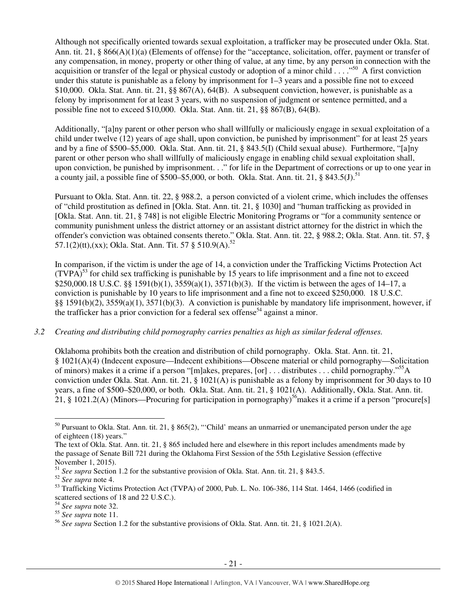Although not specifically oriented towards sexual exploitation, a trafficker may be prosecuted under Okla. Stat. Ann. tit. 21, § 866(A)(1)(a) (Elements of offense) for the "acceptance, solicitation, offer, payment or transfer of any compensation, in money, property or other thing of value, at any time, by any person in connection with the acquisition or transfer of the legal or physical custody or adoption of a minor child  $\ldots$ . <sup>50</sup> A first conviction under this statute is punishable as a felony by imprisonment for 1–3 years and a possible fine not to exceed \$10,000. Okla. Stat. Ann. tit. 21, §§ 867(A), 64(B). A subsequent conviction, however, is punishable as a felony by imprisonment for at least 3 years, with no suspension of judgment or sentence permitted, and a possible fine not to exceed \$10,000. Okla. Stat. Ann. tit. 21, §§ 867(B), 64(B).

Additionally, "[a]ny parent or other person who shall willfully or maliciously engage in sexual exploitation of a child under twelve (12) years of age shall, upon conviction, be punished by imprisonment" for at least 25 years and by a fine of \$500–\$5,000. Okla. Stat. Ann. tit. 21, § 843.5(I) (Child sexual abuse). Furthermore, "[a]ny parent or other person who shall willfully of maliciously engage in enabling child sexual exploitation shall, upon conviction, be punished by imprisonment. . ." for life in the Department of corrections or up to one year in a county jail, a possible fine of  $$500–$5,000$ , or both. Okla. Stat. Ann. tit. 21, § 843.5(J).<sup>51</sup>

Pursuant to Okla. Stat. Ann. tit. 22, § 988.2, a person convicted of a violent crime, which includes the offenses of "child prostitution as defined in [Okla. Stat. Ann. tit. 21, § 1030] and "human trafficking as provided in [Okla. Stat. Ann. tit. 21, § 748] is not eligible Electric Monitoring Programs or "for a community sentence or community punishment unless the district attorney or an assistant district attorney for the district in which the offender's conviction was obtained consents thereto." Okla. Stat. Ann. tit. 22, § 988.2; Okla. Stat. Ann. tit. 57, § 57.1(2)(tt),(xx); Okla. Stat. Ann. Tit. 57 § 510.9(A).<sup>52</sup>

In comparison, if the victim is under the age of 14, a conviction under the Trafficking Victims Protection Act  $(TVPA)<sup>53</sup>$  for child sex trafficking is punishable by 15 years to life imprisonment and a fine not to exceed \$250,000.18 U.S.C. §§ 1591(b)(1), 3559(a)(1), 3571(b)(3). If the victim is between the ages of 14–17, a conviction is punishable by 10 years to life imprisonment and a fine not to exceed \$250,000. 18 U.S.C. §§ 1591(b)(2), 3559(a)(1), 3571(b)(3). A conviction is punishable by mandatory life imprisonment, however, if the trafficker has a prior conviction for a federal sex offense<sup>54</sup> against a minor.

#### *3.2 Creating and distributing child pornography carries penalties as high as similar federal offenses.*

Oklahoma prohibits both the creation and distribution of child pornography. Okla. Stat. Ann. tit. 21, § 1021(A)(4) (Indecent exposure—Indecent exhibitions—Obscene material or child pornography—Solicitation of minors) makes it a crime if a person "[m]akes, prepares, [or] . . . distributes . . . child pornography."<sup>55</sup>A conviction under Okla. Stat. Ann. tit. 21, § 1021(A) is punishable as a felony by imprisonment for 30 days to 10 years, a fine of \$500–\$20,000, or both. Okla. Stat. Ann. tit. 21, § 1021(A). Additionally, Okla. Stat. Ann. tit. 21, § 1021.2(A) (Minors—Procuring for participation in pornography)<sup>56</sup> makes it a crime if a person "procure[s]

<sup>50</sup> Pursuant to Okla. Stat. Ann. tit. 21, § 865(2), "'Child' means an unmarried or unemancipated person under the age of eighteen (18) years."

The text of Okla. Stat. Ann. tit. 21, § 865 included here and elsewhere in this report includes amendments made by the passage of Senate Bill 721 during the Oklahoma First Session of the 55th Legislative Session (effective November 1, 2015).

<sup>&</sup>lt;sup>51</sup> *See supra* Section 1.2 for the substantive provision of Okla. Stat. Ann. tit. 21, § 843.5.

<sup>52</sup> *See supra* note 4.

<sup>&</sup>lt;sup>53</sup> Trafficking Victims Protection Act (TVPA) of 2000, Pub. L. No. 106-386, 114 Stat. 1464, 1466 (codified in scattered sections of 18 and 22 U.S.C.).

<sup>54</sup> *See supra* note 32.

<sup>55</sup> *See supra* note 11.

<sup>56</sup> *See supra* Section 1.2 for the substantive provisions of Okla. Stat. Ann. tit. 21, § 1021.2(A).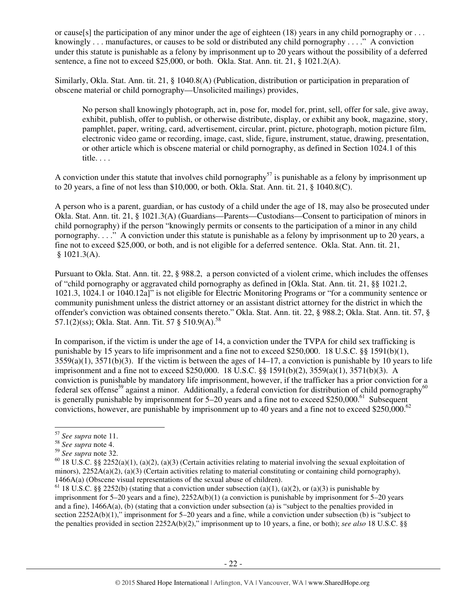or cause[s] the participation of any minor under the age of eighteen (18) years in any child pornography or ... knowingly . . . manufactures, or causes to be sold or distributed any child pornography . . . ." A conviction under this statute is punishable as a felony by imprisonment up to 20 years without the possibility of a deferred sentence, a fine not to exceed \$25,000, or both. Okla. Stat. Ann. tit. 21, § 1021.2(A).

Similarly, Okla. Stat. Ann. tit. 21, § 1040.8(A) (Publication, distribution or participation in preparation of obscene material or child pornography—Unsolicited mailings) provides,

No person shall knowingly photograph, act in, pose for, model for, print, sell, offer for sale, give away, exhibit, publish, offer to publish, or otherwise distribute, display, or exhibit any book, magazine, story, pamphlet, paper, writing, card, advertisement, circular, print, picture, photograph, motion picture film, electronic video game or recording, image, cast, slide, figure, instrument, statue, drawing, presentation, or other article which is obscene material or child pornography, as defined in Section 1024.1 of this title. . . .

A conviction under this statute that involves child pornography<sup>57</sup> is punishable as a felony by imprisonment up to 20 years, a fine of not less than \$10,000, or both. Okla. Stat. Ann. tit. 21, § 1040.8(C).

A person who is a parent, guardian, or has custody of a child under the age of 18, may also be prosecuted under Okla. Stat. Ann. tit. 21, § 1021.3(A) (Guardians—Parents—Custodians—Consent to participation of minors in child pornography) if the person "knowingly permits or consents to the participation of a minor in any child pornography. . . ." A conviction under this statute is punishable as a felony by imprisonment up to 20 years, a fine not to exceed \$25,000, or both, and is not eligible for a deferred sentence. Okla. Stat. Ann. tit. 21, § 1021.3(A).

Pursuant to Okla. Stat. Ann. tit. 22, § 988.2, a person convicted of a violent crime, which includes the offenses of "child pornography or aggravated child pornography as defined in [Okla. Stat. Ann. tit. 21, §§ 1021.2, 1021.3, 1024.1 or 1040.12a]" is not eligible for Electric Monitoring Programs or "for a community sentence or community punishment unless the district attorney or an assistant district attorney for the district in which the offender's conviction was obtained consents thereto." Okla. Stat. Ann. tit. 22, § 988.2; Okla. Stat. Ann. tit. 57, § 57.1(2)(ss); Okla. Stat. Ann. Tit. 57 § 510.9(A).<sup>58</sup>

In comparison, if the victim is under the age of 14, a conviction under the TVPA for child sex trafficking is punishable by 15 years to life imprisonment and a fine not to exceed \$250,000. 18 U.S.C. §§ 1591(b)(1),  $3559(a)(1)$ ,  $3571(b)(3)$ . If the victim is between the ages of  $14-17$ , a conviction is punishable by 10 years to life imprisonment and a fine not to exceed \$250,000. 18 U.S.C. §§ 1591(b)(2), 3559(a)(1), 3571(b)(3). A conviction is punishable by mandatory life imprisonment, however, if the trafficker has a prior conviction for a federal sex offense<sup>59</sup> against a minor. Additionally, a federal conviction for distribution of child pornography<sup>60</sup> is generally punishable by imprisonment for  $5-20$  years and a fine not to exceed \$250,000.<sup>61</sup> Subsequent convictions, however, are punishable by imprisonment up to 40 years and a fine not to exceed \$250,000.<sup>62</sup>

<sup>57</sup> *See supra* note 11.

<sup>58</sup> *See supra* note 4.

<sup>59</sup> *See supra* note 32.

<sup>&</sup>lt;sup>60</sup> 18 U.S.C. §§ 2252(a)(1), (a)(2), (a)(3) (Certain activities relating to material involving the sexual exploitation of minors),  $2252A(a)(2)$ , (a)(3) (Certain activities relating to material constituting or containing child pornography), 1466A(a) (Obscene visual representations of the sexual abuse of children).

<sup>&</sup>lt;sup>61</sup> 18 U.S.C. §§ 2252(b) (stating that a conviction under subsection (a)(1), (a)(2), or (a)(3) is punishable by imprisonment for 5–20 years and a fine), 2252A(b)(1) (a conviction is punishable by imprisonment for 5–20 years and a fine), 1466A(a), (b) (stating that a conviction under subsection (a) is "subject to the penalties provided in section 2252A(b)(1)," imprisonment for 5–20 years and a fine, while a conviction under subsection (b) is "subject to the penalties provided in section 2252A(b)(2)," imprisonment up to 10 years, a fine, or both); *see also* 18 U.S.C. §§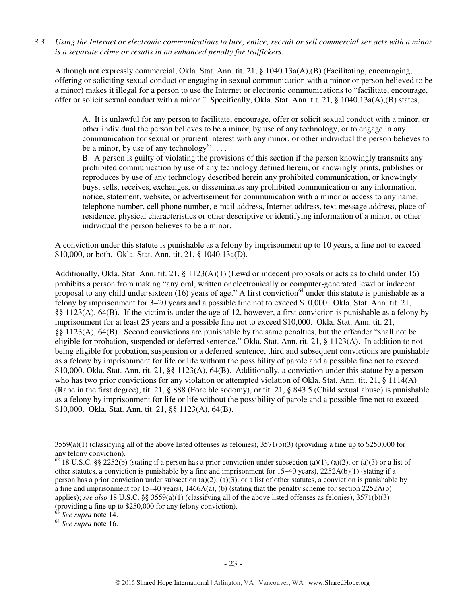*3.3 Using the Internet or electronic communications to lure, entice, recruit or sell commercial sex acts with a minor is a separate crime or results in an enhanced penalty for traffickers.* 

Although not expressly commercial, Okla. Stat. Ann. tit. 21, § 1040.13a(A),(B) (Facilitating, encouraging, offering or soliciting sexual conduct or engaging in sexual communication with a minor or person believed to be a minor) makes it illegal for a person to use the Internet or electronic communications to "facilitate, encourage, offer or solicit sexual conduct with a minor." Specifically, Okla. Stat. Ann. tit. 21, § 1040.13a(A),(B) states,

A. It is unlawful for any person to facilitate, encourage, offer or solicit sexual conduct with a minor, or other individual the person believes to be a minor, by use of any technology, or to engage in any communication for sexual or prurient interest with any minor, or other individual the person believes to be a minor, by use of any technology $^{63}$ ...

B. A person is guilty of violating the provisions of this section if the person knowingly transmits any prohibited communication by use of any technology defined herein, or knowingly prints, publishes or reproduces by use of any technology described herein any prohibited communication, or knowingly buys, sells, receives, exchanges, or disseminates any prohibited communication or any information, notice, statement, website, or advertisement for communication with a minor or access to any name, telephone number, cell phone number, e-mail address, Internet address, text message address, place of residence, physical characteristics or other descriptive or identifying information of a minor, or other individual the person believes to be a minor.

A conviction under this statute is punishable as a felony by imprisonment up to 10 years, a fine not to exceed \$10,000, or both. Okla. Stat. Ann. tit. 21, § 1040.13a(D).

Additionally, Okla. Stat. Ann. tit. 21, § 1123(A)(1) (Lewd or indecent proposals or acts as to child under 16) prohibits a person from making "any oral, written or electronically or computer-generated lewd or indecent proposal to any child under sixteen (16) years of age." A first conviction<sup>64</sup> under this statute is punishable as a felony by imprisonment for 3–20 years and a possible fine not to exceed \$10,000. Okla. Stat. Ann. tit. 21, §§ 1123(A), 64(B). If the victim is under the age of 12, however, a first conviction is punishable as a felony by imprisonment for at least 25 years and a possible fine not to exceed \$10,000. Okla. Stat. Ann. tit. 21, §§ 1123(A), 64(B). Second convictions are punishable by the same penalties, but the offender "shall not be eligible for probation, suspended or deferred sentence." Okla. Stat. Ann. tit. 21, § 1123(A). In addition to not being eligible for probation, suspension or a deferred sentence, third and subsequent convictions are punishable as a felony by imprisonment for life or life without the possibility of parole and a possible fine not to exceed \$10,000. Okla. Stat. Ann. tit. 21, §§ 1123(A), 64(B). Additionally, a conviction under this statute by a person who has two prior convictions for any violation or attempted violation of Okla. Stat. Ann. tit. 21, § 1114(A) (Rape in the first degree), tit. 21, § 888 (Forcible sodomy), or tit. 21, § 843.5 (Child sexual abuse) is punishable as a felony by imprisonment for life or life without the possibility of parole and a possible fine not to exceed \$10,000. Okla. Stat. Ann. tit. 21, §§ 1123(A), 64(B).

See supra note 14.

 $3559(a)(1)$  (classifying all of the above listed offenses as felonies),  $3571(b)(3)$  (providing a fine up to \$250,000 for any felony conviction).

<sup>&</sup>lt;sup>62</sup> 18 U.S.C. §§ 2252(b) (stating if a person has a prior conviction under subsection (a)(1), (a)(2), or (a)(3) or a list of other statutes, a conviction is punishable by a fine and imprisonment for 15–40 years), 2252A(b)(1) (stating if a person has a prior conviction under subsection (a)(2), (a)(3), or a list of other statutes, a conviction is punishable by a fine and imprisonment for 15–40 years), 1466A(a), (b) (stating that the penalty scheme for section 2252A(b) applies); *see also* 18 U.S.C. §§ 3559(a)(1) (classifying all of the above listed offenses as felonies), 3571(b)(3) (providing a fine up to \$250,000 for any felony conviction).

<sup>64</sup> *See supra* note 16.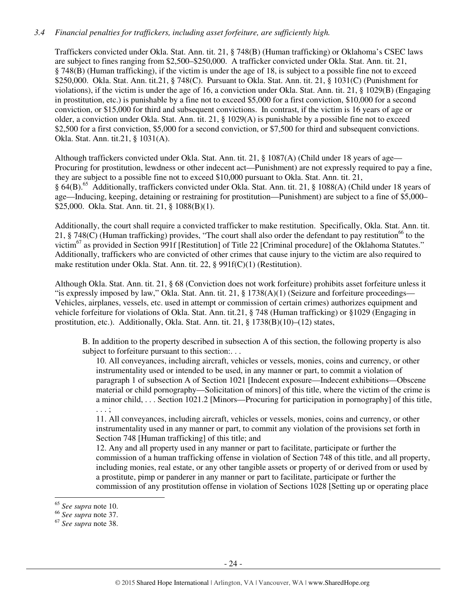## *3.4 Financial penalties for traffickers, including asset forfeiture, are sufficiently high.*

Traffickers convicted under Okla. Stat. Ann. tit. 21, § 748(B) (Human trafficking) or Oklahoma's CSEC laws are subject to fines ranging from \$2,500–\$250,000. A trafficker convicted under Okla. Stat. Ann. tit. 21, § 748(B) (Human trafficking), if the victim is under the age of 18, is subject to a possible fine not to exceed \$250,000. Okla. Stat. Ann. tit.21, § 748(C). Pursuant to Okla. Stat. Ann. tit. 21, § 1031(C) (Punishment for violations), if the victim is under the age of 16, a conviction under Okla. Stat. Ann. tit. 21, § 1029(B) (Engaging in prostitution, etc.) is punishable by a fine not to exceed \$5,000 for a first conviction, \$10,000 for a second conviction, or \$15,000 for third and subsequent convictions. In contrast, if the victim is 16 years of age or older, a conviction under Okla. Stat. Ann. tit. 21, § 1029(A) is punishable by a possible fine not to exceed \$2,500 for a first conviction, \$5,000 for a second conviction, or \$7,500 for third and subsequent convictions. Okla. Stat. Ann. tit.21, § 1031(A).

Although traffickers convicted under Okla. Stat. Ann. tit. 21, § 1087(A) (Child under 18 years of age— Procuring for prostitution, lewdness or other indecent act—Punishment) are not expressly required to pay a fine, they are subject to a possible fine not to exceed \$10,000 pursuant to Okla. Stat. Ann. tit. 21, § 64(B).<sup>65</sup> Additionally, traffickers convicted under Okla. Stat. Ann. tit. 21, § 1088(A) (Child under 18 years of age—Inducing, keeping, detaining or restraining for prostitution—Punishment) are subject to a fine of \$5,000– \$25,000. Okla. Stat. Ann. tit. 21, § 1088(B)(1).

Additionally, the court shall require a convicted trafficker to make restitution. Specifically, Okla. Stat. Ann. tit. 21, § 748(C) (Human trafficking) provides, "The court shall also order the defendant to pay restitution<sup>66</sup> to the victim<sup>67</sup> as provided in Section 991f [Restitution] of Title 22 [Criminal procedure] of the Oklahoma Statutes." Additionally, traffickers who are convicted of other crimes that cause injury to the victim are also required to make restitution under Okla. Stat. Ann. tit. 22, § 991f(C)(1) (Restitution).

Although Okla. Stat. Ann. tit. 21, § 68 (Conviction does not work forfeiture) prohibits asset forfeiture unless it "is expressly imposed by law," Okla. Stat. Ann. tit. 21,  $\S$  1738(A)(1) (Seizure and forfeiture proceedings— Vehicles, airplanes, vessels, etc. used in attempt or commission of certain crimes) authorizes equipment and vehicle forfeiture for violations of Okla. Stat. Ann. tit.21, § 748 (Human trafficking) or §1029 (Engaging in prostitution, etc.). Additionally, Okla. Stat. Ann. tit. 21, § 1738(B)(10)–(12) states,

B. In addition to the property described in subsection A of this section, the following property is also subject to forfeiture pursuant to this section:...

10. All conveyances, including aircraft, vehicles or vessels, monies, coins and currency, or other instrumentality used or intended to be used, in any manner or part, to commit a violation of paragraph 1 of subsection A of Section 1021 [Indecent exposure—Indecent exhibitions—Obscene material or child pornography—Solicitation of minors] of this title, where the victim of the crime is a minor child, . . . Section 1021.2 [Minors—Procuring for participation in pornography] of this title, . . . ;

11. All conveyances, including aircraft, vehicles or vessels, monies, coins and currency, or other instrumentality used in any manner or part, to commit any violation of the provisions set forth in Section 748 [Human trafficking] of this title; and

12. Any and all property used in any manner or part to facilitate, participate or further the commission of a human trafficking offense in violation of Section 748 of this title, and all property, including monies, real estate, or any other tangible assets or property of or derived from or used by a prostitute, pimp or panderer in any manner or part to facilitate, participate or further the commission of any prostitution offense in violation of Sections 1028 [Setting up or operating place

<sup>65</sup> *See supra* note 10.

<sup>66</sup> *See supra* note 37.

<sup>67</sup> *See supra* note 38.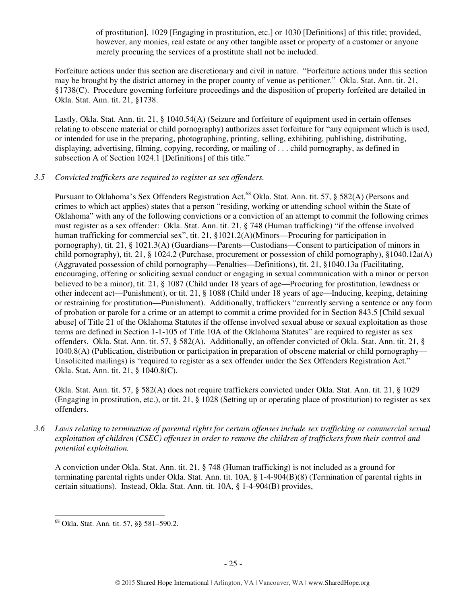of prostitution], 1029 [Engaging in prostitution, etc.] or 1030 [Definitions] of this title; provided, however, any monies, real estate or any other tangible asset or property of a customer or anyone merely procuring the services of a prostitute shall not be included.

Forfeiture actions under this section are discretionary and civil in nature. "Forfeiture actions under this section may be brought by the district attorney in the proper county of venue as petitioner." Okla. Stat. Ann. tit. 21, §1738(C). Procedure governing forfeiture proceedings and the disposition of property forfeited are detailed in Okla. Stat. Ann. tit. 21, §1738.

Lastly, Okla. Stat. Ann. tit. 21, § 1040.54(A) (Seizure and forfeiture of equipment used in certain offenses relating to obscene material or child pornography) authorizes asset forfeiture for "any equipment which is used, or intended for use in the preparing, photographing, printing, selling, exhibiting, publishing, distributing, displaying, advertising, filming, copying, recording, or mailing of . . . child pornography, as defined in subsection A of Section 1024.1 [Definitions] of this title."

# *3.5 Convicted traffickers are required to register as sex offenders.*

Pursuant to Oklahoma's Sex Offenders Registration Act,<sup>68</sup> Okla. Stat. Ann. tit. 57, § 582(A) (Persons and crimes to which act applies) states that a person "residing, working or attending school within the State of Oklahoma" with any of the following convictions or a conviction of an attempt to commit the following crimes must register as a sex offender: Okla. Stat. Ann. tit. 21, § 748 (Human trafficking) "if the offense involved human trafficking for commercial sex", tit. 21, §1021.2(A)(Minors—Procuring for participation in pornography), tit. 21, § 1021.3(A) (Guardians—Parents—Custodians—Consent to participation of minors in child pornography), tit. 21, § 1024.2 (Purchase, procurement or possession of child pornography), §1040.12a(A) (Aggravated possession of child pornography—Penalties—Definitions), tit. 21, §1040.13a (Facilitating, encouraging, offering or soliciting sexual conduct or engaging in sexual communication with a minor or person believed to be a minor), tit. 21, § 1087 (Child under 18 years of age—Procuring for prostitution, lewdness or other indecent act—Punishment), or tit. 21, § 1088 (Child under 18 years of age—Inducing, keeping, detaining or restraining for prostitution—Punishment). Additionally, traffickers "currently serving a sentence or any form of probation or parole for a crime or an attempt to commit a crime provided for in Section 843.5 [Child sexual abuse] of Title 21 of the Oklahoma Statutes if the offense involved sexual abuse or sexual exploitation as those terms are defined in Section 1-1-105 of Title 10A of the Oklahoma Statutes" are required to register as sex offenders. Okla. Stat. Ann. tit. 57, § 582(A). Additionally, an offender convicted of Okla. Stat. Ann. tit. 21, § 1040.8(A) (Publication, distribution or participation in preparation of obscene material or child pornography— Unsolicited mailings) is "required to register as a sex offender under the Sex Offenders Registration Act." Okla. Stat. Ann. tit. 21, § 1040.8(C).

Okla. Stat. Ann. tit. 57, § 582(A) does not require traffickers convicted under Okla. Stat. Ann. tit. 21, § 1029 (Engaging in prostitution, etc.), or tit. 21, § 1028 (Setting up or operating place of prostitution) to register as sex offenders.

*3.6 Laws relating to termination of parental rights for certain offenses include sex trafficking or commercial sexual exploitation of children (CSEC) offenses in order to remove the children of traffickers from their control and potential exploitation.* 

A conviction under Okla. Stat. Ann. tit. 21, § 748 (Human trafficking) is not included as a ground for terminating parental rights under Okla. Stat. Ann. tit. 10A, § 1-4-904(B)(8) (Termination of parental rights in certain situations). Instead, Okla. Stat. Ann. tit. 10A, § 1-4-904(B) provides,

<sup>68</sup> Okla. Stat. Ann. tit. 57, §§ 581–590.2.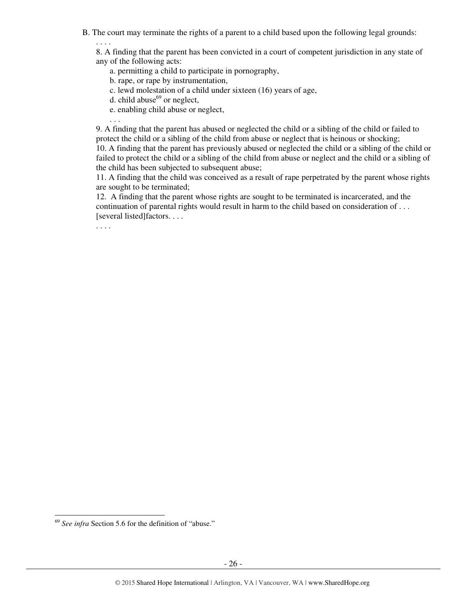B. The court may terminate the rights of a parent to a child based upon the following legal grounds:

. . . . 8. A finding that the parent has been convicted in a court of competent jurisdiction in any state of any of the following acts:

- a. permitting a child to participate in pornography,
- b. rape, or rape by instrumentation,
- c. lewd molestation of a child under sixteen (16) years of age,
- d. child abuse $^{69}$  or neglect,
- e. enabling child abuse or neglect,

9. A finding that the parent has abused or neglected the child or a sibling of the child or failed to protect the child or a sibling of the child from abuse or neglect that is heinous or shocking;

10. A finding that the parent has previously abused or neglected the child or a sibling of the child or failed to protect the child or a sibling of the child from abuse or neglect and the child or a sibling of the child has been subjected to subsequent abuse;

11. A finding that the child was conceived as a result of rape perpetrated by the parent whose rights are sought to be terminated;

12. A finding that the parent whose rights are sought to be terminated is incarcerated, and the continuation of parental rights would result in harm to the child based on consideration of . . . [several listed]factors. . . .

. . . .

. . .

<sup>69</sup> *See infra* Section 5.6 for the definition of "abuse."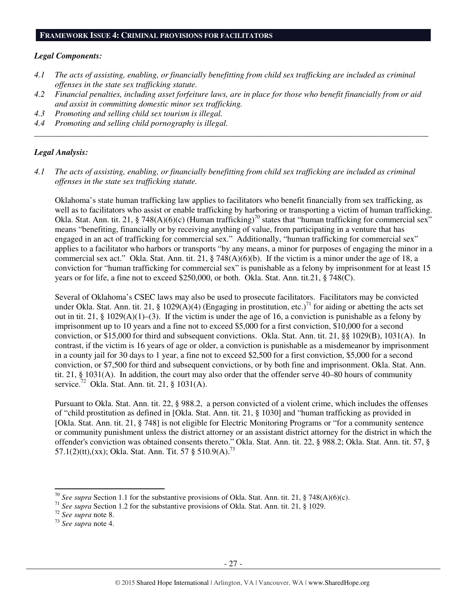#### *Legal Components:*

- *4.1 The acts of assisting, enabling, or financially benefitting from child sex trafficking are included as criminal offenses in the state sex trafficking statute.*
- *4.2 Financial penalties, including asset forfeiture laws, are in place for those who benefit financially from or aid and assist in committing domestic minor sex trafficking.*

*\_\_\_\_\_\_\_\_\_\_\_\_\_\_\_\_\_\_\_\_\_\_\_\_\_\_\_\_\_\_\_\_\_\_\_\_\_\_\_\_\_\_\_\_\_\_\_\_\_\_\_\_\_\_\_\_\_\_\_\_\_\_\_\_\_\_\_\_\_\_\_\_\_\_\_\_\_\_\_\_\_\_\_\_\_\_\_\_\_\_\_\_\_\_* 

- *4.3 Promoting and selling child sex tourism is illegal.*
- *4.4 Promoting and selling child pornography is illegal.*

#### *Legal Analysis:*

*4.1 The acts of assisting, enabling, or financially benefitting from child sex trafficking are included as criminal offenses in the state sex trafficking statute.* 

Oklahoma's state human trafficking law applies to facilitators who benefit financially from sex trafficking, as well as to facilitators who assist or enable trafficking by harboring or transporting a victim of human trafficking. Okla. Stat. Ann. tit. 21, § 748(A)(6)(c) (Human trafficking)<sup>70</sup> states that "human trafficking for commercial sex" means "benefiting, financially or by receiving anything of value, from participating in a venture that has engaged in an act of trafficking for commercial sex." Additionally, "human trafficking for commercial sex" applies to a facilitator who harbors or transports "by any means, a minor for purposes of engaging the minor in a commercial sex act." Okla. Stat. Ann. tit. 21, § 748(A)(6)(b). If the victim is a minor under the age of 18, a conviction for "human trafficking for commercial sex" is punishable as a felony by imprisonment for at least 15 years or for life, a fine not to exceed \$250,000, or both. Okla. Stat. Ann. tit.21, § 748(C).

Several of Oklahoma's CSEC laws may also be used to prosecute facilitators. Facilitators may be convicted under Okla. Stat. Ann. tit. 21, § 1029(A)(4) (Engaging in prostitution, etc.)<sup>71</sup> for aiding or abetting the acts set out in tit. 21, § 1029(A)(1)–(3). If the victim is under the age of 16, a conviction is punishable as a felony by imprisonment up to 10 years and a fine not to exceed \$5,000 for a first conviction, \$10,000 for a second conviction, or \$15,000 for third and subsequent convictions. Okla. Stat. Ann. tit. 21, §§ 1029(B), 1031(A). In contrast, if the victim is 16 years of age or older, a conviction is punishable as a misdemeanor by imprisonment in a county jail for 30 days to 1 year, a fine not to exceed \$2,500 for a first conviction, \$5,000 for a second conviction, or \$7,500 for third and subsequent convictions, or by both fine and imprisonment. Okla. Stat. Ann. tit. 21, § 1031(A). In addition, the court may also order that the offender serve 40–80 hours of community service.<sup>72</sup> Okla. Stat. Ann. tit. 21, § 1031(A).

Pursuant to Okla. Stat. Ann. tit. 22, § 988.2, a person convicted of a violent crime, which includes the offenses of "child prostitution as defined in [Okla. Stat. Ann. tit. 21, § 1030] and "human trafficking as provided in [Okla. Stat. Ann. tit. 21, § 748] is not eligible for Electric Monitoring Programs or "for a community sentence or community punishment unless the district attorney or an assistant district attorney for the district in which the offender's conviction was obtained consents thereto." Okla. Stat. Ann. tit. 22, § 988.2; Okla. Stat. Ann. tit. 57, § 57.1(2)(tt),(xx); Okla. Stat. Ann. Tit. 57 § 510.9(A).<sup>73</sup>

<sup>70</sup> *See supra* Section 1.1 for the substantive provisions of Okla. Stat. Ann. tit. 21, § 748(A)(6)(c).

<sup>71</sup> *See supra* Section 1.2 for the substantive provisions of Okla. Stat. Ann. tit. 21, § 1029.

<sup>72</sup> *See supra* note 8.

<sup>73</sup> *See supra* note 4.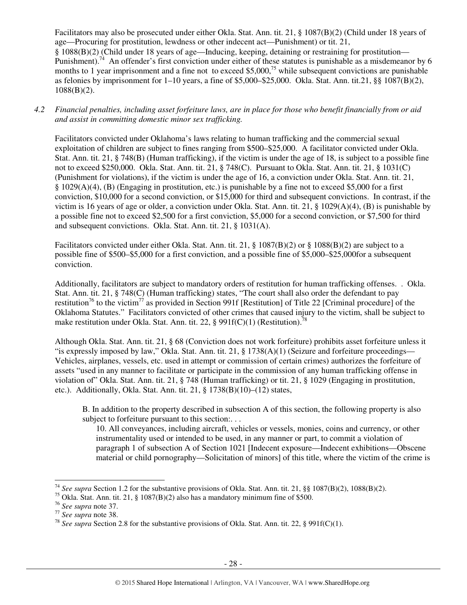Facilitators may also be prosecuted under either Okla. Stat. Ann. tit. 21, § 1087(B)(2) (Child under 18 years of age—Procuring for prostitution, lewdness or other indecent act—Punishment) or tit. 21, § 1088(B)(2) (Child under 18 years of age—Inducing, keeping, detaining or restraining for prostitution— Punishment).<sup>74</sup> An offender's first conviction under either of these statutes is punishable as a misdemeanor by 6 months to 1 year imprisonment and a fine not to exceed \$5,000,<sup>75</sup> while subsequent convictions are punishable as felonies by imprisonment for 1–10 years, a fine of \$5,000–\$25,000. Okla. Stat. Ann. tit.21, §§ 1087(B)(2),  $1088(B)(2)$ .

*4.2 Financial penalties, including asset forfeiture laws, are in place for those who benefit financially from or aid and assist in committing domestic minor sex trafficking.* 

Facilitators convicted under Oklahoma's laws relating to human trafficking and the commercial sexual exploitation of children are subject to fines ranging from \$500–\$25,000. A facilitator convicted under Okla. Stat. Ann. tit. 21, § 748(B) (Human trafficking), if the victim is under the age of 18, is subject to a possible fine not to exceed \$250,000. Okla. Stat. Ann. tit. 21, § 748(C). Pursuant to Okla. Stat. Ann. tit. 21, § 1031(C) (Punishment for violations), if the victim is under the age of 16, a conviction under Okla. Stat. Ann. tit. 21, § 1029(A)(4), (B) (Engaging in prostitution, etc.) is punishable by a fine not to exceed \$5,000 for a first conviction, \$10,000 for a second conviction, or \$15,000 for third and subsequent convictions. In contrast, if the victim is 16 years of age or older, a conviction under Okla. Stat. Ann. tit. 21, § 1029(A)(4), (B) is punishable by a possible fine not to exceed \$2,500 for a first conviction, \$5,000 for a second conviction, or \$7,500 for third and subsequent convictions. Okla. Stat. Ann. tit. 21, § 1031(A).

Facilitators convicted under either Okla. Stat. Ann. tit. 21, § 1087(B)(2) or § 1088(B)(2) are subject to a possible fine of \$500–\$5,000 for a first conviction, and a possible fine of \$5,000–\$25,000for a subsequent conviction.

Additionally, facilitators are subject to mandatory orders of restitution for human trafficking offenses. . Okla. Stat. Ann. tit. 21, § 748(C) (Human trafficking) states, "The court shall also order the defendant to pay restitution<sup>76</sup> to the victim<sup>77</sup> as provided in Section 991f [Restitution] of Title 22 [Criminal procedure] of the Oklahoma Statutes." Facilitators convicted of other crimes that caused injury to the victim, shall be subject to make restitution under Okla. Stat. Ann. tit. 22, § 991f(C)(1) (Restitution).<sup>78</sup>

Although Okla. Stat. Ann. tit. 21, § 68 (Conviction does not work forfeiture) prohibits asset forfeiture unless it "is expressly imposed by law," Okla. Stat. Ann. tit. 21,  $\S$  1738(A)(1) (Seizure and forfeiture proceedings— Vehicles, airplanes, vessels, etc. used in attempt or commission of certain crimes) authorizes the forfeiture of assets "used in any manner to facilitate or participate in the commission of any human trafficking offense in violation of" Okla. Stat. Ann. tit. 21, § 748 (Human trafficking) or tit. 21, § 1029 (Engaging in prostitution, etc.). Additionally, Okla. Stat. Ann. tit. 21, § 1738(B)(10)–(12) states,

B. In addition to the property described in subsection A of this section, the following property is also subject to forfeiture pursuant to this section:...

10. All conveyances, including aircraft, vehicles or vessels, monies, coins and currency, or other instrumentality used or intended to be used, in any manner or part, to commit a violation of paragraph 1 of subsection A of Section 1021 [Indecent exposure—Indecent exhibitions—Obscene material or child pornography—Solicitation of minors] of this title, where the victim of the crime is

<sup>74</sup> *See supra* Section 1.2 for the substantive provisions of Okla. Stat. Ann. tit. 21, §§ 1087(B)(2), 1088(B)(2).

<sup>&</sup>lt;sup>75</sup> Okla. Stat. Ann. tit. 21, § 1087(B)(2) also has a mandatory minimum fine of \$500.

<sup>76</sup> *See supra* note 37.

<sup>77</sup> *See supra* note 38.

<sup>78</sup> *See supra* Section 2.8 for the substantive provisions of Okla. Stat. Ann. tit. 22, § 991f(C)(1).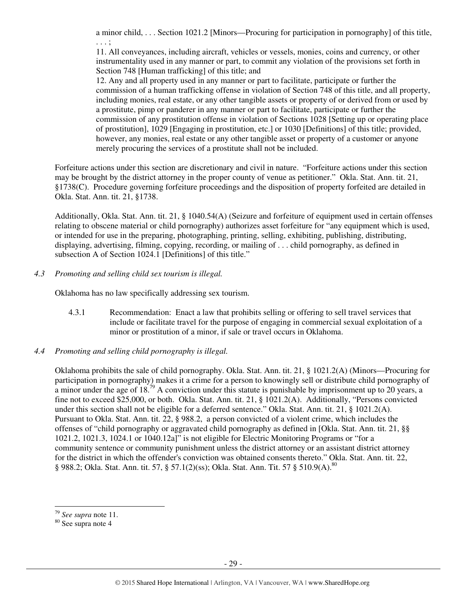a minor child, . . . Section 1021.2 [Minors—Procuring for participation in pornography] of this title, . . . ;

11. All conveyances, including aircraft, vehicles or vessels, monies, coins and currency, or other instrumentality used in any manner or part, to commit any violation of the provisions set forth in Section 748 [Human trafficking] of this title; and

12. Any and all property used in any manner or part to facilitate, participate or further the commission of a human trafficking offense in violation of Section 748 of this title, and all property, including monies, real estate, or any other tangible assets or property of or derived from or used by a prostitute, pimp or panderer in any manner or part to facilitate, participate or further the commission of any prostitution offense in violation of Sections 1028 [Setting up or operating place of prostitution], 1029 [Engaging in prostitution, etc.] or 1030 [Definitions] of this title; provided, however, any monies, real estate or any other tangible asset or property of a customer or anyone merely procuring the services of a prostitute shall not be included.

Forfeiture actions under this section are discretionary and civil in nature. "Forfeiture actions under this section may be brought by the district attorney in the proper county of venue as petitioner." Okla. Stat. Ann. tit. 21, §1738(C). Procedure governing forfeiture proceedings and the disposition of property forfeited are detailed in Okla. Stat. Ann. tit. 21, §1738.

Additionally, Okla. Stat. Ann. tit. 21, § 1040.54(A) (Seizure and forfeiture of equipment used in certain offenses relating to obscene material or child pornography) authorizes asset forfeiture for "any equipment which is used, or intended for use in the preparing, photographing, printing, selling, exhibiting, publishing, distributing, displaying, advertising, filming, copying, recording, or mailing of . . . child pornography, as defined in subsection A of Section 1024.1 [Definitions] of this title."

*4.3 Promoting and selling child sex tourism is illegal.* 

Oklahoma has no law specifically addressing sex tourism.

- 4.3.1 Recommendation: Enact a law that prohibits selling or offering to sell travel services that include or facilitate travel for the purpose of engaging in commercial sexual exploitation of a minor or prostitution of a minor, if sale or travel occurs in Oklahoma.
- *4.4 Promoting and selling child pornography is illegal.*

Oklahoma prohibits the sale of child pornography. Okla. Stat. Ann. tit. 21, § 1021.2(A) (Minors—Procuring for participation in pornography) makes it a crime for a person to knowingly sell or distribute child pornography of a minor under the age of 18<sup>79</sup> A conviction under this statute is punishable by imprisonment up to 20 years, a fine not to exceed \$25,000, or both. Okla. Stat. Ann. tit. 21, § 1021.2(A). Additionally, "Persons convicted under this section shall not be eligible for a deferred sentence." Okla. Stat. Ann. tit. 21, § 1021.2(A). Pursuant to Okla. Stat. Ann. tit. 22, § 988.2, a person convicted of a violent crime, which includes the offenses of "child pornography or aggravated child pornography as defined in [Okla. Stat. Ann. tit. 21, §§ 1021.2, 1021.3, 1024.1 or 1040.12a]" is not eligible for Electric Monitoring Programs or "for a community sentence or community punishment unless the district attorney or an assistant district attorney for the district in which the offender's conviction was obtained consents thereto." Okla. Stat. Ann. tit. 22, § 988.2; Okla. Stat. Ann. tit. 57, § 57.1(2)(ss); Okla. Stat. Ann. Tit. 57 § 510.9(A).<sup>80</sup>

<sup>79</sup> *See supra* note 11.

<sup>80</sup> See supra note 4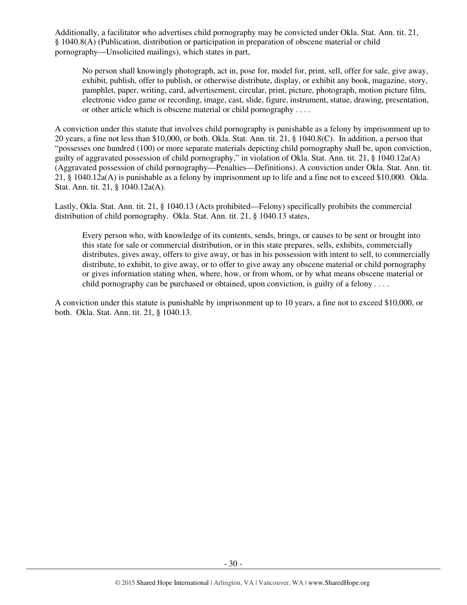Additionally, a facilitator who advertises child pornography may be convicted under Okla. Stat. Ann. tit. 21, § 1040.8(A) (Publication, distribution or participation in preparation of obscene material or child pornography—Unsolicited mailings), which states in part,

No person shall knowingly photograph, act in, pose for, model for, print, sell, offer for sale, give away, exhibit, publish, offer to publish, or otherwise distribute, display, or exhibit any book, magazine, story, pamphlet, paper, writing, card, advertisement, circular, print, picture, photograph, motion picture film, electronic video game or recording, image, cast, slide, figure, instrument, statue, drawing, presentation, or other article which is obscene material or child pornography . . . .

A conviction under this statute that involves child pornography is punishable as a felony by imprisonment up to 20 years, a fine not less than \$10,000, or both. Okla. Stat. Ann. tit. 21, § 1040.8(C). In addition, a person that "possesses one hundred (100) or more separate materials depicting child pornography shall be, upon conviction, guilty of aggravated possession of child pornography," in violation of Okla. Stat. Ann. tit. 21, § 1040.12a(A) (Aggravated possession of child pornography—Penalties—Definitions). A conviction under Okla. Stat. Ann. tit. 21, § 1040.12a(A) is punishable as a felony by imprisonment up to life and a fine not to exceed \$10,000. Okla. Stat. Ann. tit. 21, § 1040.12a(A).

Lastly, Okla. Stat. Ann. tit. 21, § 1040.13 (Acts prohibited—Felony) specifically prohibits the commercial distribution of child pornography. Okla. Stat. Ann. tit. 21, § 1040.13 states,

Every person who, with knowledge of its contents, sends, brings, or causes to be sent or brought into this state for sale or commercial distribution, or in this state prepares, sells, exhibits, commercially distributes, gives away, offers to give away, or has in his possession with intent to sell, to commercially distribute, to exhibit, to give away, or to offer to give away any obscene material or child pornography or gives information stating when, where, how, or from whom, or by what means obscene material or child pornography can be purchased or obtained, upon conviction, is guilty of a felony  $\dots$ 

A conviction under this statute is punishable by imprisonment up to 10 years, a fine not to exceed \$10,000, or both. Okla. Stat. Ann. tit. 21, § 1040.13.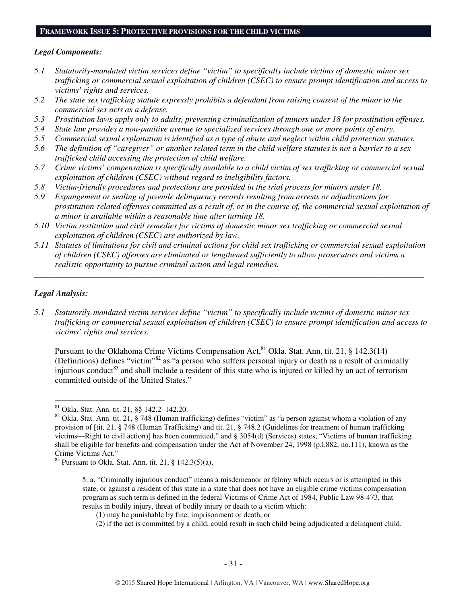#### **FRAMEWORK ISSUE 5: PROTECTIVE PROVISIONS FOR THE CHILD VICTIMS**

#### *Legal Components:*

- *5.1 Statutorily-mandated victim services define "victim" to specifically include victims of domestic minor sex trafficking or commercial sexual exploitation of children (CSEC) to ensure prompt identification and access to victims' rights and services.*
- *5.2 The state sex trafficking statute expressly prohibits a defendant from raising consent of the minor to the commercial sex acts as a defense.*
- *5.3 Prostitution laws apply only to adults, preventing criminalization of minors under 18 for prostitution offenses.*
- *5.4 State law provides a non-punitive avenue to specialized services through one or more points of entry.*
- *5.5 Commercial sexual exploitation is identified as a type of abuse and neglect within child protection statutes.*
- *5.6 The definition of "caregiver" or another related term in the child welfare statutes is not a barrier to a sex trafficked child accessing the protection of child welfare.*
- *5.7 Crime victims' compensation is specifically available to a child victim of sex trafficking or commercial sexual exploitation of children (CSEC) without regard to ineligibility factors.*
- *5.8 Victim-friendly procedures and protections are provided in the trial process for minors under 18.*
- *5.9 Expungement or sealing of juvenile delinquency records resulting from arrests or adjudications for prostitution-related offenses committed as a result of, or in the course of, the commercial sexual exploitation of a minor is available within a reasonable time after turning 18.*
- *5.10 Victim restitution and civil remedies for victims of domestic minor sex trafficking or commercial sexual exploitation of children (CSEC) are authorized by law.*
- *5.11 Statutes of limitations for civil and criminal actions for child sex trafficking or commercial sexual exploitation of children (CSEC) offenses are eliminated or lengthened sufficiently to allow prosecutors and victims a realistic opportunity to pursue criminal action and legal remedies.*

*\_\_\_\_\_\_\_\_\_\_\_\_\_\_\_\_\_\_\_\_\_\_\_\_\_\_\_\_\_\_\_\_\_\_\_\_\_\_\_\_\_\_\_\_\_\_\_\_\_\_\_\_\_\_\_\_\_\_\_\_\_\_\_\_\_\_\_\_\_\_\_\_\_\_\_\_\_\_\_\_\_\_\_\_\_\_\_\_\_\_\_\_\_* 

#### *Legal Analysis:*

l

*5.1 Statutorily-mandated victim services define "victim" to specifically include victims of domestic minor sex trafficking or commercial sexual exploitation of children (CSEC) to ensure prompt identification and access to victims' rights and services.* 

Pursuant to the Oklahoma Crime Victims Compensation Act, <sup>81</sup> Okla. Stat. Ann. tit. 21, § 142.3(14) (Definitions) defines "victim"<sup>82</sup> as "a person who suffers personal injury or death as a result of criminally injurious conduct<sup>83</sup> and shall include a resident of this state who is injured or killed by an act of terrorism committed outside of the United States."

<sup>81</sup> Okla. Stat. Ann. tit. 21, §§ 142.2–142.20.

 $82$  Okla. Stat. Ann. tit. 21,  $\S$  748 (Human trafficking) defines "victim" as "a person against whom a violation of any provision of [tit. 21, § 748 (Human Trafficking) and tit. 21, § 748.2 (Guidelines for treatment of human trafficking victims—Right to civil action)] has been committed," and § 3054(d) (Services) states, "Victims of human trafficking shall be eligible for benefits and compensation under the Act of November 24, 1998 (p.l.882, no.111), known as the Crime Victims Act."

 $83$  Pursuant to Okla. Stat. Ann. tit. 21, § 142.3(5)(a),

<sup>5.</sup> a. "Criminally injurious conduct" means a misdemeanor or felony which occurs or is attempted in this state, or against a resident of this state in a state that does not have an eligible crime victims compensation program as such term is defined in the federal Victims of Crime Act of 1984, Public Law 98-473, that results in bodily injury, threat of bodily injury or death to a victim which:

<sup>(1)</sup> may be punishable by fine, imprisonment or death, or

<sup>(2)</sup> if the act is committed by a child, could result in such child being adjudicated a delinquent child.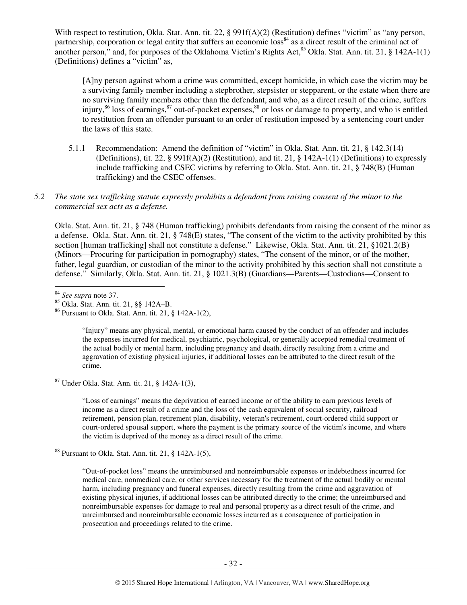With respect to restitution, Okla. Stat. Ann. tit. 22, § 991f(A)(2) (Restitution) defines "victim" as "any person, partnership, corporation or legal entity that suffers an economic loss<sup>84</sup> as a direct result of the criminal act of another person," and, for purposes of the Oklahoma Victim's Rights Act, $85$  Okla. Stat. Ann. tit. 21,  $\S$  142A-1(1) (Definitions) defines a "victim" as,

[A]ny person against whom a crime was committed, except homicide, in which case the victim may be a surviving family member including a stepbrother, stepsister or stepparent, or the estate when there are no surviving family members other than the defendant, and who, as a direct result of the crime, suffers injury,<sup>86</sup> loss of earnings,<sup>87</sup> out-of-pocket expenses,<sup>88</sup> or loss or damage to property, and who is entitled to restitution from an offender pursuant to an order of restitution imposed by a sentencing court under the laws of this state.

5.1.1 Recommendation: Amend the definition of "victim" in Okla. Stat. Ann. tit. 21, § 142.3(14) (Definitions), tit. 22, § 991f(A)(2) (Restitution), and tit. 21, § 142A-1(1) (Definitions) to expressly include trafficking and CSEC victims by referring to Okla. Stat. Ann. tit. 21, § 748(B) (Human trafficking) and the CSEC offenses.

#### *5.2 The state sex trafficking statute expressly prohibits a defendant from raising consent of the minor to the commercial sex acts as a defense.*

Okla. Stat. Ann. tit. 21, § 748 (Human trafficking) prohibits defendants from raising the consent of the minor as a defense. Okla. Stat. Ann. tit. 21, § 748(E) states, "The consent of the victim to the activity prohibited by this section [human trafficking] shall not constitute a defense." Likewise, Okla. Stat. Ann. tit. 21, §1021.2(B) (Minors—Procuring for participation in pornography) states, "The consent of the minor, or of the mother, father, legal guardian, or custodian of the minor to the activity prohibited by this section shall not constitute a defense." Similarly, Okla. Stat. Ann. tit. 21, § 1021.3(B) (Guardians—Parents—Custodians—Consent to

 $\overline{a}$ 

"Injury" means any physical, mental, or emotional harm caused by the conduct of an offender and includes the expenses incurred for medical, psychiatric, psychological, or generally accepted remedial treatment of the actual bodily or mental harm, including pregnancy and death, directly resulting from a crime and aggravation of existing physical injuries, if additional losses can be attributed to the direct result of the crime.

<sup>87</sup> Under Okla. Stat. Ann. tit. 21, § 142A-1(3),

"Loss of earnings" means the deprivation of earned income or of the ability to earn previous levels of income as a direct result of a crime and the loss of the cash equivalent of social security, railroad retirement, pension plan, retirement plan, disability, veteran's retirement, court-ordered child support or court-ordered spousal support, where the payment is the primary source of the victim's income, and where the victim is deprived of the money as a direct result of the crime.

 $88$  Pursuant to Okla. Stat. Ann. tit. 21, § 142A-1(5),

"Out-of-pocket loss" means the unreimbursed and nonreimbursable expenses or indebtedness incurred for medical care, nonmedical care, or other services necessary for the treatment of the actual bodily or mental harm, including pregnancy and funeral expenses, directly resulting from the crime and aggravation of existing physical injuries, if additional losses can be attributed directly to the crime; the unreimbursed and nonreimbursable expenses for damage to real and personal property as a direct result of the crime, and unreimbursed and nonreimbursable economic losses incurred as a consequence of participation in prosecution and proceedings related to the crime.

<sup>84</sup> *See supra* note 37.

<sup>85</sup> Okla. Stat. Ann. tit. 21, §§ 142A–B.

<sup>86</sup> Pursuant to Okla. Stat. Ann. tit. 21, § 142A-1(2),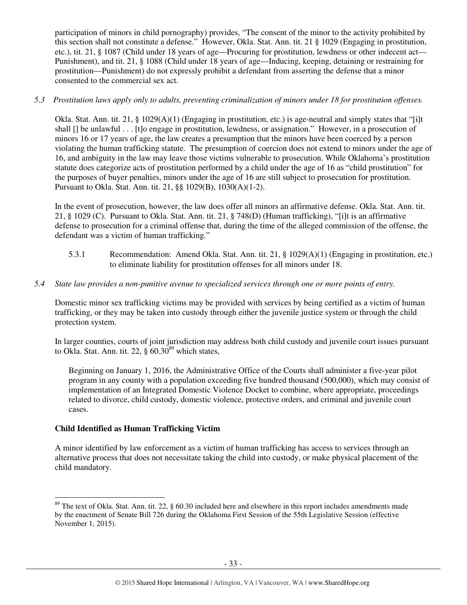participation of minors in child pornography) provides, "The consent of the minor to the activity prohibited by this section shall not constitute a defense." However, Okla. Stat. Ann. tit. 21 § 1029 (Engaging in prostitution, etc.), tit. 21, § 1087 (Child under 18 years of age—Procuring for prostitution, lewdness or other indecent act— Punishment), and tit. 21, § 1088 (Child under 18 years of age—Inducing, keeping, detaining or restraining for prostitution—Punishment) do not expressly prohibit a defendant from asserting the defense that a minor consented to the commercial sex act.

#### *5.3 Prostitution laws apply only to adults, preventing criminalization of minors under 18 for prostitution offenses.*

Okla. Stat. Ann. tit. 21, § 1029(A)(1) (Engaging in prostitution, etc.) is age-neutral and simply states that "[i]t shall [] be unlawful . . . [t]o engage in prostitution, lewdness, or assignation." However, in a prosecution of minors 16 or 17 years of age, the law creates a presumption that the minors have been coerced by a person violating the human trafficking statute. The presumption of coercion does not extend to minors under the age of 16, and ambiguity in the law may leave those victims vulnerable to prosecution. While Oklahoma's prostitution statute does categorize acts of prostitution performed by a child under the age of 16 as "child prostitution" for the purposes of buyer penalties, minors under the age of 16 are still subject to prosecution for prostitution. Pursuant to Okla. Stat. Ann. tit. 21, §§ 1029(B), 1030(A)(1-2).

In the event of prosecution, however, the law does offer all minors an affirmative defense. Okla. Stat. Ann. tit. 21, § 1029 (C). Pursuant to Okla. Stat. Ann. tit. 21, § 748(D) (Human trafficking), "[i]t is an affirmative defense to prosecution for a criminal offense that, during the time of the alleged commission of the offense, the defendant was a victim of human trafficking."

5.3.1 Recommendation: Amend Okla. Stat. Ann. tit. 21, § 1029(A)(1) (Engaging in prostitution, etc.) to eliminate liability for prostitution offenses for all minors under 18.

# *5.4 State law provides a non-punitive avenue to specialized services through one or more points of entry.*

Domestic minor sex trafficking victims may be provided with services by being certified as a victim of human trafficking, or they may be taken into custody through either the juvenile justice system or through the child protection system.

In larger counties, courts of joint jurisdiction may address both child custody and juvenile court issues pursuant to Okla. Stat. Ann. tit. 22,  $\S$  60.30<sup>89</sup> which states,

Beginning on January 1, 2016, the Administrative Office of the Courts shall administer a five-year pilot program in any county with a population exceeding five hundred thousand (500,000), which may consist of implementation of an Integrated Domestic Violence Docket to combine, where appropriate, proceedings related to divorce, child custody, domestic violence, protective orders, and criminal and juvenile court cases.

# **Child Identified as Human Trafficking Victim**

l

A minor identified by law enforcement as a victim of human trafficking has access to services through an alternative process that does not necessitate taking the child into custody, or make physical placement of the child mandatory.

<sup>&</sup>lt;sup>89</sup> The text of Okla. Stat. Ann. tit. 22, § 60.30 included here and elsewhere in this report includes amendments made by the enactment of Senate Bill 726 during the Oklahoma First Session of the 55th Legislative Session (effective November 1, 2015).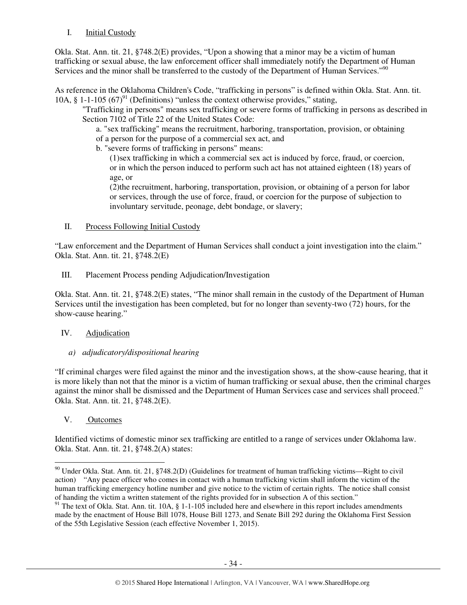# I. Initial Custody

Okla. Stat. Ann. tit. 21, §748.2(E) provides, "Upon a showing that a minor may be a victim of human trafficking or sexual abuse, the law enforcement officer shall immediately notify the Department of Human Services and the minor shall be transferred to the custody of the Department of Human Services."<sup>90</sup>

As reference in the Oklahoma Children's Code, "trafficking in persons" is defined within Okla. Stat. Ann. tit. 10A,  $\S$  1-1-105 (67)<sup>91</sup> (Definitions) "unless the context otherwise provides," stating,

"Trafficking in persons" means sex trafficking or severe forms of trafficking in persons as described in Section 7102 of Title 22 of the United States Code:

a. "sex trafficking" means the recruitment, harboring, transportation, provision, or obtaining of a person for the purpose of a commercial sex act, and

b. "severe forms of trafficking in persons" means:

(1)sex trafficking in which a commercial sex act is induced by force, fraud, or coercion, or in which the person induced to perform such act has not attained eighteen (18) years of age, or

(2)the recruitment, harboring, transportation, provision, or obtaining of a person for labor or services, through the use of force, fraud, or coercion for the purpose of subjection to involuntary servitude, peonage, debt bondage, or slavery;

# II. Process Following Initial Custody

"Law enforcement and the Department of Human Services shall conduct a joint investigation into the claim." Okla. Stat. Ann. tit. 21, §748.2(E)

III. Placement Process pending Adjudication/Investigation

Okla. Stat. Ann. tit. 21, §748.2(E) states, "The minor shall remain in the custody of the Department of Human Services until the investigation has been completed, but for no longer than seventy-two (72) hours, for the show-cause hearing."

# IV. Adjudication

# *a) adjudicatory/dispositional hearing*

"If criminal charges were filed against the minor and the investigation shows, at the show-cause hearing, that it is more likely than not that the minor is a victim of human trafficking or sexual abuse, then the criminal charges against the minor shall be dismissed and the Department of Human Services case and services shall proceed." Okla. Stat. Ann. tit. 21, §748.2(E).

# V. Outcomes

 $\overline{a}$ 

Identified victims of domestic minor sex trafficking are entitled to a range of services under Oklahoma law. Okla. Stat. Ann. tit. 21, §748.2(A) states:

 $90$  Under Okla. Stat. Ann. tit. 21, §748.2(D) (Guidelines for treatment of human trafficking victims—Right to civil action) "Any peace officer who comes in contact with a human trafficking victim shall inform the victim of the human trafficking emergency hotline number and give notice to the victim of certain rights. The notice shall consist of handing the victim a written statement of the rights provided for in subsection A of this section."

 $91$  The text of Okla. Stat. Ann. tit. 10A, § 1-1-105 included here and elsewhere in this report includes amendments made by the enactment of House Bill 1078, House Bill 1273, and Senate Bill 292 during the Oklahoma First Session of the 55th Legislative Session (each effective November 1, 2015).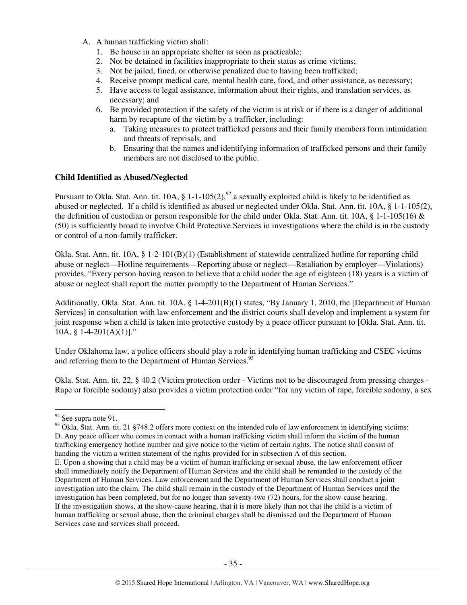- A. A human trafficking victim shall:
	- 1. Be house in an appropriate shelter as soon as practicable;
	- 2. Not be detained in facilities inappropriate to their status as crime victims;
	- 3. Not be jailed, fined, or otherwise penalized due to having been trafficked;
	- 4. Receive prompt medical care, mental health care, food, and other assistance, as necessary;
	- 5. Have access to legal assistance, information about their rights, and translation services, as necessary; and
	- 6. Be provided protection if the safety of the victim is at risk or if there is a danger of additional harm by recapture of the victim by a trafficker, including:
		- a. Taking measures to protect trafficked persons and their family members form intimidation and threats of reprisals, and
		- b. Ensuring that the names and identifying information of trafficked persons and their family members are not disclosed to the public.

#### **Child Identified as Abused/Neglected**

Pursuant to Okla. Stat. Ann. tit. 10A, § 1-1-105(2), $^{92}$  a sexually exploited child is likely to be identified as abused or neglected. If a child is identified as abused or neglected under Okla. Stat. Ann. tit. 10A, § 1-1-105(2), the definition of custodian or person responsible for the child under Okla. Stat. Ann. tit. 10A,  $\S$  1-1-105(16)  $\&$ (50) is sufficiently broad to involve Child Protective Services in investigations where the child is in the custody or control of a non-family trafficker.

Okla. Stat. Ann. tit. 10A, § 1-2-101(B)(1) (Establishment of statewide centralized hotline for reporting child abuse or neglect—Hotline requirements—Reporting abuse or neglect—Retaliation by employer—Violations) provides, "Every person having reason to believe that a child under the age of eighteen (18) years is a victim of abuse or neglect shall report the matter promptly to the Department of Human Services."

Additionally, Okla. Stat. Ann. tit. 10A, § 1-4-201(B)(1) states, "By January 1, 2010, the [Department of Human Services] in consultation with law enforcement and the district courts shall develop and implement a system for joint response when a child is taken into protective custody by a peace officer pursuant to [Okla. Stat. Ann. tit. 10A, § 1-4-201(A)(1)]."

Under Oklahoma law, a police officers should play a role in identifying human trafficking and CSEC victims and referring them to the Department of Human Services.<sup>93</sup>

Okla. Stat. Ann. tit. 22, § 40.2 (Victim protection order - Victims not to be discouraged from pressing charges - Rape or forcible sodomy) also provides a victim protection order "for any victim of rape, forcible sodomy, a sex

<sup>92</sup> See supra note 91.

 $93$  Okla. Stat. Ann. tit. 21 §748.2 offers more context on the intended role of law enforcement in identifying victims: D. Any peace officer who comes in contact with a human trafficking victim shall inform the victim of the human trafficking emergency hotline number and give notice to the victim of certain rights. The notice shall consist of handing the victim a written statement of the rights provided for in subsection A of this section.

E. Upon a showing that a child may be a victim of human trafficking or sexual abuse, the law enforcement officer shall immediately notify the Department of Human Services and the child shall be remanded to the custody of the Department of Human Services. Law enforcement and the Department of Human Services shall conduct a joint investigation into the claim. The child shall remain in the custody of the Department of Human Services until the investigation has been completed, but for no longer than seventy-two (72) hours, for the show-cause hearing. If the investigation shows, at the show-cause hearing, that it is more likely than not that the child is a victim of human trafficking or sexual abuse, then the criminal charges shall be dismissed and the Department of Human Services case and services shall proceed.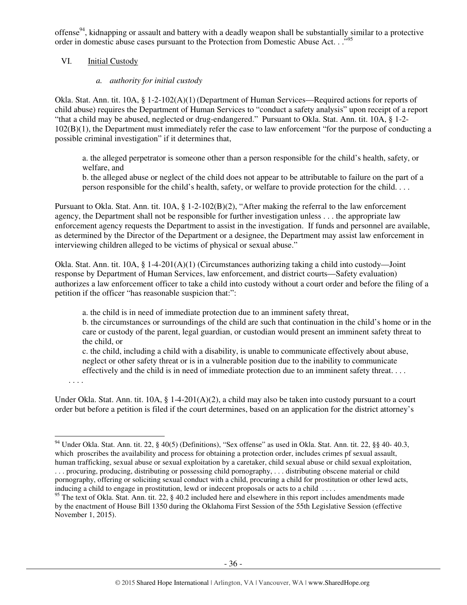offense<sup>94</sup>, kidnapping or assault and battery with a deadly weapon shall be substantially similar to a protective order in domestic abuse cases pursuant to the Protection from Domestic Abuse Act. . .<sup>"95</sup>

# VI. Initial Custody

# *a. authority for initial custody*

Okla. Stat. Ann. tit. 10A, § 1-2-102(A)(1) (Department of Human Services—Required actions for reports of child abuse) requires the Department of Human Services to "conduct a safety analysis" upon receipt of a report "that a child may be abused, neglected or drug-endangered." Pursuant to Okla. Stat. Ann. tit. 10A, § 1-2- 102(B)(1), the Department must immediately refer the case to law enforcement "for the purpose of conducting a possible criminal investigation" if it determines that,

a. the alleged perpetrator is someone other than a person responsible for the child's health, safety, or welfare, and

b. the alleged abuse or neglect of the child does not appear to be attributable to failure on the part of a person responsible for the child's health, safety, or welfare to provide protection for the child. . . .

Pursuant to Okla. Stat. Ann. tit. 10A, § 1-2-102(B)(2), "After making the referral to the law enforcement agency, the Department shall not be responsible for further investigation unless . . . the appropriate law enforcement agency requests the Department to assist in the investigation. If funds and personnel are available, as determined by the Director of the Department or a designee, the Department may assist law enforcement in interviewing children alleged to be victims of physical or sexual abuse."

Okla. Stat. Ann. tit. 10A, § 1-4-201(A)(1) (Circumstances authorizing taking a child into custody—Joint response by Department of Human Services, law enforcement, and district courts—Safety evaluation) authorizes a law enforcement officer to take a child into custody without a court order and before the filing of a petition if the officer "has reasonable suspicion that:":

a. the child is in need of immediate protection due to an imminent safety threat,

b. the circumstances or surroundings of the child are such that continuation in the child's home or in the care or custody of the parent, legal guardian, or custodian would present an imminent safety threat to the child, or

c. the child, including a child with a disability, is unable to communicate effectively about abuse, neglect or other safety threat or is in a vulnerable position due to the inability to communicate effectively and the child is in need of immediate protection due to an imminent safety threat. . . .

. . . .

 $\overline{a}$ 

Under Okla. Stat. Ann. tit.  $10A$ , §  $1-4-201(A)(2)$ , a child may also be taken into custody pursuant to a court order but before a petition is filed if the court determines, based on an application for the district attorney's

 $94$  Under Okla. Stat. Ann. tit. 22, § 40(5) (Definitions), "Sex offense" as used in Okla. Stat. Ann. tit. 22, §§ 40-40.3, which proscribes the availability and process for obtaining a protection order, includes crimes pf sexual assault, human trafficking, sexual abuse or sexual exploitation by a caretaker, child sexual abuse or child sexual exploitation, . . . procuring, producing, distributing or possessing child pornography, . . . distributing obscene material or child pornography, offering or soliciting sexual conduct with a child, procuring a child for prostitution or other lewd acts, inducing a child to engage in prostitution, lewd or indecent proposals or acts to a child . . . .

<sup>&</sup>lt;sup>95</sup> The text of Okla. Stat. Ann. tit. 22,  $\S$  40.2 included here and elsewhere in this report includes amendments made by the enactment of House Bill 1350 during the Oklahoma First Session of the 55th Legislative Session (effective November 1, 2015).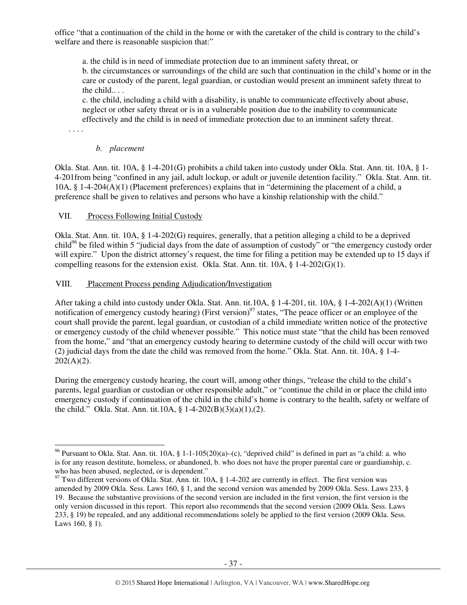office "that a continuation of the child in the home or with the caretaker of the child is contrary to the child's welfare and there is reasonable suspicion that:"

a. the child is in need of immediate protection due to an imminent safety threat, or

b. the circumstances or surroundings of the child are such that continuation in the child's home or in the care or custody of the parent, legal guardian, or custodian would present an imminent safety threat to the child.. . .

c. the child, including a child with a disability, is unable to communicate effectively about abuse, neglect or other safety threat or is in a vulnerable position due to the inability to communicate effectively and the child is in need of immediate protection due to an imminent safety threat.

. . . .

 $\overline{a}$ 

## *b. placement*

Okla. Stat. Ann. tit. 10A, § 1-4-201(G) prohibits a child taken into custody under Okla. Stat. Ann. tit. 10A, § 1- 4-201from being "confined in any jail, adult lockup, or adult or juvenile detention facility." Okla. Stat. Ann. tit. 10A, § 1-4-204(A)(1) (Placement preferences) explains that in "determining the placement of a child, a preference shall be given to relatives and persons who have a kinship relationship with the child."

# VII. Process Following Initial Custody

Okla. Stat. Ann. tit. 10A, § 1-4-202(G) requires, generally, that a petition alleging a child to be a deprived child<sup>96</sup> be filed within 5 "judicial days from the date of assumption of custody" or "the emergency custody order will expire." Upon the district attorney's request, the time for filing a petition may be extended up to 15 days if compelling reasons for the extension exist. Okla. Stat. Ann. tit.  $10A$ ,  $\S$  1-4-202(G)(1).

# VIII. Placement Process pending Adjudication/Investigation

After taking a child into custody under Okla. Stat. Ann. tit.10A, § 1-4-201, tit. 10A, § 1-4-202(A)(1) (Written notification of emergency custody hearing) (First version)<sup>97</sup> states, "The peace officer or an employee of the court shall provide the parent, legal guardian, or custodian of a child immediate written notice of the protective or emergency custody of the child whenever possible." This notice must state "that the child has been removed from the home," and "that an emergency custody hearing to determine custody of the child will occur with two (2) judicial days from the date the child was removed from the home." Okla. Stat. Ann. tit. 10A, § 1-4-  $202(A)(2)$ .

During the emergency custody hearing, the court will, among other things, "release the child to the child's parents, legal guardian or custodian or other responsible adult," or "continue the child in or place the child into emergency custody if continuation of the child in the child's home is contrary to the health, safety or welfare of the child." Okla. Stat. Ann. tit.10A, § 1-4-202(B)(3)(a)(1),(2).

<sup>&</sup>lt;sup>96</sup> Pursuant to Okla. Stat. Ann. tit. 10A, § 1-1-105(20)(a)–(c), "deprived child" is defined in part as "a child: a. who is for any reason destitute, homeless, or abandoned, b. who does not have the proper parental care or guardianship, c. who has been abused, neglected, or is dependent."

 $97$  Two different versions of Okla. Stat. Ann. tit. 10A, § 1-4-202 are currently in effect. The first version was amended by 2009 Okla. Sess. Laws 160, § 1, and the second version was amended by 2009 Okla. Sess. Laws 233, § 19. Because the substantive provisions of the second version are included in the first version, the first version is the only version discussed in this report. This report also recommends that the second version (2009 Okla. Sess. Laws 233, § 19) be repealed, and any additional recommendations solely be applied to the first version (2009 Okla. Sess. Laws 160, § 1).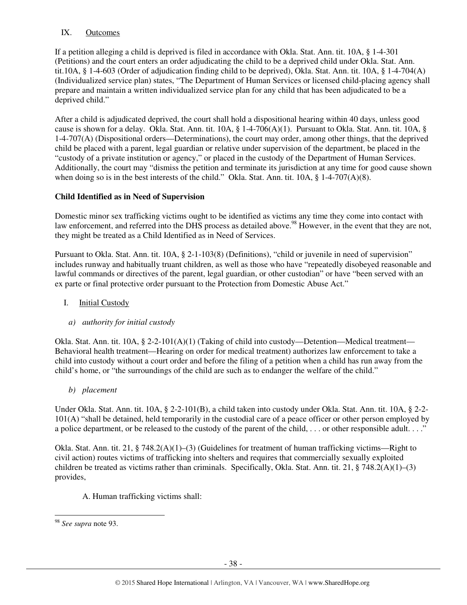# IX. Outcomes

If a petition alleging a child is deprived is filed in accordance with Okla. Stat. Ann. tit. 10A, § 1-4-301 (Petitions) and the court enters an order adjudicating the child to be a deprived child under Okla. Stat. Ann. tit.10A, § 1-4-603 (Order of adjudication finding child to be deprived), Okla. Stat. Ann. tit. 10A, § 1-4-704(A) (Individualized service plan) states, "The Department of Human Services or licensed child-placing agency shall prepare and maintain a written individualized service plan for any child that has been adjudicated to be a deprived child."

After a child is adjudicated deprived, the court shall hold a dispositional hearing within 40 days, unless good cause is shown for a delay. Okla. Stat. Ann. tit. 10A, § 1-4-706(A)(1). Pursuant to Okla. Stat. Ann. tit. 10A, § 1-4-707(A) (Dispositional orders—Determinations), the court may order, among other things, that the deprived child be placed with a parent, legal guardian or relative under supervision of the department, be placed in the "custody of a private institution or agency," or placed in the custody of the Department of Human Services. Additionally, the court may "dismiss the petition and terminate its jurisdiction at any time for good cause shown when doing so is in the best interests of the child." Okla. Stat. Ann. tit. 10A, § 1-4-707(A)(8).

# **Child Identified as in Need of Supervision**

Domestic minor sex trafficking victims ought to be identified as victims any time they come into contact with law enforcement, and referred into the DHS process as detailed above.<sup>98</sup> However, in the event that they are not, they might be treated as a Child Identified as in Need of Services.

Pursuant to Okla. Stat. Ann. tit. 10A, § 2-1-103(8) (Definitions), "child or juvenile in need of supervision" includes runway and habitually truant children, as well as those who have "repeatedly disobeyed reasonable and lawful commands or directives of the parent, legal guardian, or other custodian" or have "been served with an ex parte or final protective order pursuant to the Protection from Domestic Abuse Act."

# I. Initial Custody

#### *a) authority for initial custody*

Okla. Stat. Ann. tit. 10A, § 2-2-101(A)(1) (Taking of child into custody—Detention—Medical treatment— Behavioral health treatment—Hearing on order for medical treatment) authorizes law enforcement to take a child into custody without a court order and before the filing of a petition when a child has run away from the child's home, or "the surroundings of the child are such as to endanger the welfare of the child."

*b) placement* 

Under Okla. Stat. Ann. tit. 10A, § 2-2-101(B), a child taken into custody under Okla. Stat. Ann. tit. 10A, § 2-2- 101(A) "shall be detained, held temporarily in the custodial care of a peace officer or other person employed by a police department, or be released to the custody of the parent of the child, ... or other responsible adult...."

Okla. Stat. Ann. tit. 21, § 748.2(A)(1)–(3) (Guidelines for treatment of human trafficking victims—Right to civil action) routes victims of trafficking into shelters and requires that commercially sexually exploited children be treated as victims rather than criminals. Specifically, Okla. Stat. Ann. tit. 21, § 748.2(A)(1)–(3) provides,

A. Human trafficking victims shall:

<sup>98</sup> *See supra* note 93.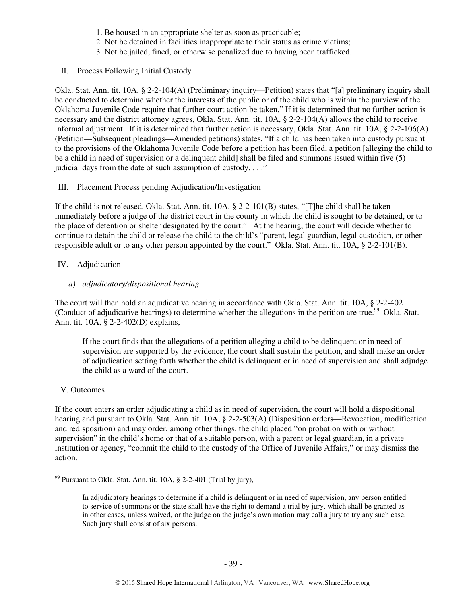- 1. Be housed in an appropriate shelter as soon as practicable;
- 2. Not be detained in facilities inappropriate to their status as crime victims;
- 3. Not be jailed, fined, or otherwise penalized due to having been trafficked.

# II. Process Following Initial Custody

Okla. Stat. Ann. tit. 10A, § 2-2-104(A) (Preliminary inquiry—Petition) states that "[a] preliminary inquiry shall be conducted to determine whether the interests of the public or of the child who is within the purview of the Oklahoma Juvenile Code require that further court action be taken." If it is determined that no further action is necessary and the district attorney agrees, Okla. Stat. Ann. tit. 10A, § 2-2-104(A) allows the child to receive informal adjustment. If it is determined that further action is necessary, Okla. Stat. Ann. tit. 10A, § 2-2-106(A) (Petition—Subsequent pleadings—Amended petitions) states, "If a child has been taken into custody pursuant to the provisions of the Oklahoma Juvenile Code before a petition has been filed, a petition [alleging the child to be a child in need of supervision or a delinquent child] shall be filed and summons issued within five (5) judicial days from the date of such assumption of custody. . . ."

# III. Placement Process pending Adjudication/Investigation

If the child is not released, Okla. Stat. Ann. tit. 10A, § 2-2-101(B) states, "[T]he child shall be taken immediately before a judge of the district court in the county in which the child is sought to be detained, or to the place of detention or shelter designated by the court." At the hearing, the court will decide whether to continue to detain the child or release the child to the child's "parent, legal guardian, legal custodian, or other responsible adult or to any other person appointed by the court." Okla. Stat. Ann. tit. 10A, § 2-2-101(B).

# IV. Adjudication

# *a) adjudicatory/dispositional hearing*

The court will then hold an adjudicative hearing in accordance with Okla. Stat. Ann. tit. 10A, § 2-2-402 (Conduct of adjudicative hearings) to determine whether the allegations in the petition are true.<sup>99</sup> Okla. Stat. Ann. tit. 10A, § 2-2-402(D) explains,

If the court finds that the allegations of a petition alleging a child to be delinquent or in need of supervision are supported by the evidence, the court shall sustain the petition, and shall make an order of adjudication setting forth whether the child is delinquent or in need of supervision and shall adjudge the child as a ward of the court.

# V. Outcomes

 $\overline{a}$ 

If the court enters an order adjudicating a child as in need of supervision, the court will hold a dispositional hearing and pursuant to Okla. Stat. Ann. tit. 10A, § 2-2-503(A) (Disposition orders—Revocation, modification and redisposition) and may order, among other things, the child placed "on probation with or without supervision" in the child's home or that of a suitable person, with a parent or legal guardian, in a private institution or agency, "commit the child to the custody of the Office of Juvenile Affairs," or may dismiss the action.

 $99$  Pursuant to Okla. Stat. Ann. tit. 10A, § 2-2-401 (Trial by jury),

In adjudicatory hearings to determine if a child is delinquent or in need of supervision, any person entitled to service of summons or the state shall have the right to demand a trial by jury, which shall be granted as in other cases, unless waived, or the judge on the judge's own motion may call a jury to try any such case. Such jury shall consist of six persons.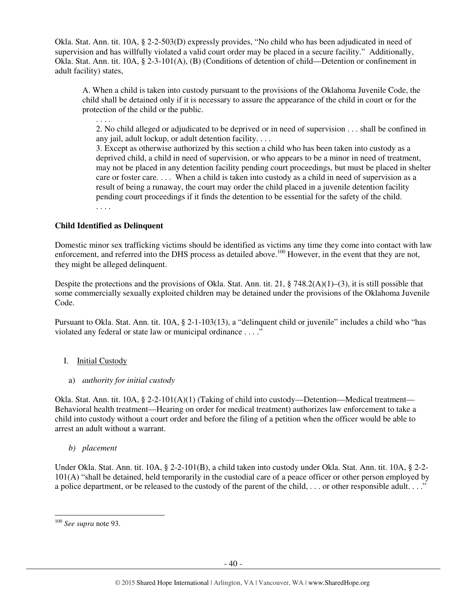Okla. Stat. Ann. tit. 10A, § 2-2-503(D) expressly provides, "No child who has been adjudicated in need of supervision and has willfully violated a valid court order may be placed in a secure facility." Additionally, Okla. Stat. Ann. tit. 10A, § 2-3-101(A), (B) (Conditions of detention of child—Detention or confinement in adult facility) states,

A. When a child is taken into custody pursuant to the provisions of the Oklahoma Juvenile Code, the child shall be detained only if it is necessary to assure the appearance of the child in court or for the protection of the child or the public.

2. No child alleged or adjudicated to be deprived or in need of supervision . . . shall be confined in any jail, adult lockup, or adult detention facility. . . .

3. Except as otherwise authorized by this section a child who has been taken into custody as a deprived child, a child in need of supervision, or who appears to be a minor in need of treatment, may not be placed in any detention facility pending court proceedings, but must be placed in shelter care or foster care. . . . When a child is taken into custody as a child in need of supervision as a result of being a runaway, the court may order the child placed in a juvenile detention facility pending court proceedings if it finds the detention to be essential for the safety of the child. . . . .

# **Child Identified as Delinquent**

. . . .

Domestic minor sex trafficking victims should be identified as victims any time they come into contact with law enforcement, and referred into the DHS process as detailed above.<sup>100</sup> However, in the event that they are not, they might be alleged delinquent.

Despite the protections and the provisions of Okla. Stat. Ann. tit. 21,  $\S$  748.2(A)(1)–(3), it is still possible that some commercially sexually exploited children may be detained under the provisions of the Oklahoma Juvenile Code.

Pursuant to Okla. Stat. Ann. tit. 10A, § 2-1-103(13), a "delinquent child or juvenile" includes a child who "has violated any federal or state law or municipal ordinance . . . ."

# I. Initial Custody

a) *authority for initial custody*

Okla. Stat. Ann. tit.  $10A$ , § 2-2-101(A)(1) (Taking of child into custody—Detention—Medical treatment— Behavioral health treatment—Hearing on order for medical treatment) authorizes law enforcement to take a child into custody without a court order and before the filing of a petition when the officer would be able to arrest an adult without a warrant.

*b) placement* 

Under Okla. Stat. Ann. tit. 10A, § 2-2-101(B), a child taken into custody under Okla. Stat. Ann. tit. 10A, § 2-2- 101(A) "shall be detained, held temporarily in the custodial care of a peace officer or other person employed by a police department, or be released to the custody of the parent of the child, . . . or other responsible adult. . . ."

<sup>100</sup> *See supra* note 93.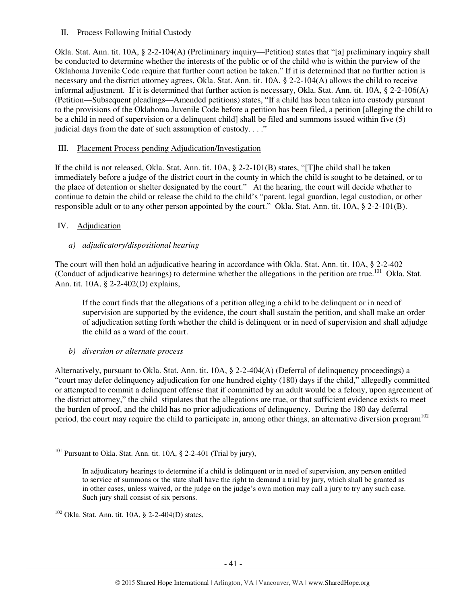# II. Process Following Initial Custody

Okla. Stat. Ann. tit. 10A, § 2-2-104(A) (Preliminary inquiry—Petition) states that "[a] preliminary inquiry shall be conducted to determine whether the interests of the public or of the child who is within the purview of the Oklahoma Juvenile Code require that further court action be taken." If it is determined that no further action is necessary and the district attorney agrees, Okla. Stat. Ann. tit. 10A, § 2-2-104(A) allows the child to receive informal adjustment. If it is determined that further action is necessary, Okla. Stat. Ann. tit. 10A, § 2-2-106(A) (Petition—Subsequent pleadings—Amended petitions) states, "If a child has been taken into custody pursuant to the provisions of the Oklahoma Juvenile Code before a petition has been filed, a petition [alleging the child to be a child in need of supervision or a delinquent child] shall be filed and summons issued within five (5) judicial days from the date of such assumption of custody.  $\dots$ "

# III. Placement Process pending Adjudication/Investigation

If the child is not released, Okla. Stat. Ann. tit. 10A, § 2-2-101(B) states, "[T]he child shall be taken immediately before a judge of the district court in the county in which the child is sought to be detained, or to the place of detention or shelter designated by the court." At the hearing, the court will decide whether to continue to detain the child or release the child to the child's "parent, legal guardian, legal custodian, or other responsible adult or to any other person appointed by the court." Okla. Stat. Ann. tit. 10A, § 2-2-101(B).

# IV. Adjudication

l

# *a) adjudicatory/dispositional hearing*

The court will then hold an adjudicative hearing in accordance with Okla. Stat. Ann. tit. 10A, § 2-2-402 (Conduct of adjudicative hearings) to determine whether the allegations in the petition are true.<sup>101</sup> Okla. Stat. Ann. tit. 10A, § 2-2-402(D) explains,

If the court finds that the allegations of a petition alleging a child to be delinquent or in need of supervision are supported by the evidence, the court shall sustain the petition, and shall make an order of adjudication setting forth whether the child is delinquent or in need of supervision and shall adjudge the child as a ward of the court.

*b) diversion or alternate process* 

Alternatively, pursuant to Okla. Stat. Ann. tit. 10A, § 2-2-404(A) (Deferral of delinquency proceedings) a "court may defer delinquency adjudication for one hundred eighty (180) days if the child," allegedly committed or attempted to commit a delinquent offense that if committed by an adult would be a felony, upon agreement of the district attorney," the child stipulates that the allegations are true, or that sufficient evidence exists to meet the burden of proof, and the child has no prior adjudications of delinquency. During the 180 day deferral period, the court may require the child to participate in, among other things, an alternative diversion program<sup>102</sup>

 $102$  Okla. Stat. Ann. tit. 10A, § 2-2-404(D) states,

<sup>&</sup>lt;sup>101</sup> Pursuant to Okla. Stat. Ann. tit.  $10A$ , § 2-2-401 (Trial by jury),

In adjudicatory hearings to determine if a child is delinquent or in need of supervision, any person entitled to service of summons or the state shall have the right to demand a trial by jury, which shall be granted as in other cases, unless waived, or the judge on the judge's own motion may call a jury to try any such case. Such jury shall consist of six persons.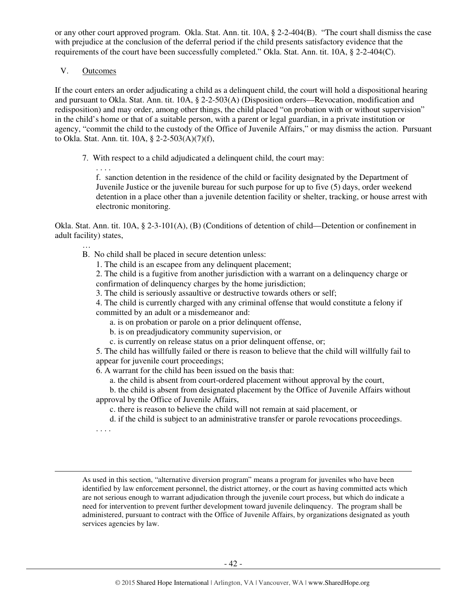or any other court approved program. Okla. Stat. Ann. tit. 10A, § 2-2-404(B). "The court shall dismiss the case with prejudice at the conclusion of the deferral period if the child presents satisfactory evidence that the requirements of the court have been successfully completed." Okla. Stat. Ann. tit. 10A, § 2-2-404(C).

#### V. Outcomes

. . . .

…

If the court enters an order adjudicating a child as a delinquent child, the court will hold a dispositional hearing and pursuant to Okla. Stat. Ann. tit. 10A, § 2-2-503(A) (Disposition orders—Revocation, modification and redisposition) and may order, among other things, the child placed "on probation with or without supervision" in the child's home or that of a suitable person, with a parent or legal guardian, in a private institution or agency, "commit the child to the custody of the Office of Juvenile Affairs," or may dismiss the action. Pursuant to Okla. Stat. Ann. tit. 10A, § 2-2-503(A)(7)(f),

7. With respect to a child adjudicated a delinquent child, the court may:

f. sanction detention in the residence of the child or facility designated by the Department of Juvenile Justice or the juvenile bureau for such purpose for up to five (5) days, order weekend detention in a place other than a juvenile detention facility or shelter, tracking, or house arrest with electronic monitoring.

Okla. Stat. Ann. tit. 10A, § 2-3-101(A), (B) (Conditions of detention of child—Detention or confinement in adult facility) states,

- B. No child shall be placed in secure detention unless:
	- 1. The child is an escapee from any delinquent placement;

2. The child is a fugitive from another jurisdiction with a warrant on a delinquency charge or confirmation of delinquency charges by the home jurisdiction;

3. The child is seriously assaultive or destructive towards others or self;

4. The child is currently charged with any criminal offense that would constitute a felony if committed by an adult or a misdemeanor and:

- a. is on probation or parole on a prior delinquent offense,
- b. is on preadjudicatory community supervision, or
- c. is currently on release status on a prior delinquent offense, or;

5. The child has willfully failed or there is reason to believe that the child will willfully fail to appear for juvenile court proceedings;

6. A warrant for the child has been issued on the basis that:

a. the child is absent from court-ordered placement without approval by the court,

b. the child is absent from designated placement by the Office of Juvenile Affairs without approval by the Office of Juvenile Affairs,

c. there is reason to believe the child will not remain at said placement, or

d. if the child is subject to an administrative transfer or parole revocations proceedings.

. . . .

l

As used in this section, "alternative diversion program" means a program for juveniles who have been identified by law enforcement personnel, the district attorney, or the court as having committed acts which are not serious enough to warrant adjudication through the juvenile court process, but which do indicate a need for intervention to prevent further development toward juvenile delinquency. The program shall be administered, pursuant to contract with the Office of Juvenile Affairs, by organizations designated as youth services agencies by law.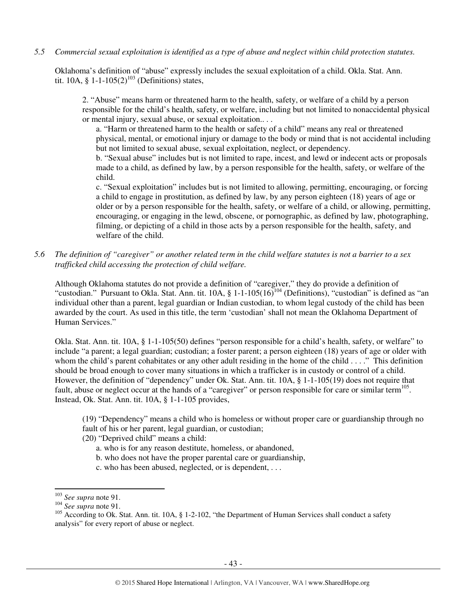*5.5 Commercial sexual exploitation is identified as a type of abuse and neglect within child protection statutes.* 

Oklahoma's definition of "abuse" expressly includes the sexual exploitation of a child. Okla. Stat. Ann. tit. 10A, § 1-1-105(2)<sup>103</sup> (Definitions) states,

2. "Abuse" means harm or threatened harm to the health, safety, or welfare of a child by a person responsible for the child's health, safety, or welfare, including but not limited to nonaccidental physical or mental injury, sexual abuse, or sexual exploitation.. . .

a. "Harm or threatened harm to the health or safety of a child" means any real or threatened physical, mental, or emotional injury or damage to the body or mind that is not accidental including but not limited to sexual abuse, sexual exploitation, neglect, or dependency.

b. "Sexual abuse" includes but is not limited to rape, incest, and lewd or indecent acts or proposals made to a child, as defined by law, by a person responsible for the health, safety, or welfare of the child.

c. "Sexual exploitation" includes but is not limited to allowing, permitting, encouraging, or forcing a child to engage in prostitution, as defined by law, by any person eighteen (18) years of age or older or by a person responsible for the health, safety, or welfare of a child, or allowing, permitting, encouraging, or engaging in the lewd, obscene, or pornographic, as defined by law, photographing, filming, or depicting of a child in those acts by a person responsible for the health, safety, and welfare of the child.

*5.6 The definition of "caregiver" or another related term in the child welfare statutes is not a barrier to a sex trafficked child accessing the protection of child welfare.* 

Although Oklahoma statutes do not provide a definition of "caregiver," they do provide a definition of "custodian." Pursuant to Okla. Stat. Ann. tit. 10A, § 1-1-105(16)<sup>104</sup> (Definitions), "custodian" is defined as "an individual other than a parent, legal guardian or Indian custodian, to whom legal custody of the child has been awarded by the court. As used in this title, the term 'custodian' shall not mean the Oklahoma Department of Human Services."

Okla. Stat. Ann. tit. 10A, § 1-1-105(50) defines "person responsible for a child's health, safety, or welfare" to include "a parent; a legal guardian; custodian; a foster parent; a person eighteen (18) years of age or older with whom the child's parent cohabitates or any other adult residing in the home of the child . . . ." This definition should be broad enough to cover many situations in which a trafficker is in custody or control of a child. However, the definition of "dependency" under Ok. Stat. Ann. tit. 10A, § 1-1-105(19) does not require that fault, abuse or neglect occur at the hands of a "caregiver" or person responsible for care or similar term<sup>105</sup>. Instead, Ok. Stat. Ann. tit. 10A, § 1-1-105 provides,

(19) "Dependency" means a child who is homeless or without proper care or guardianship through no fault of his or her parent, legal guardian, or custodian;

- (20) "Deprived child" means a child:
	- a. who is for any reason destitute, homeless, or abandoned,
	- b. who does not have the proper parental care or guardianship,
	- c. who has been abused, neglected, or is dependent, . . .

<sup>103</sup> *See supra* note 91.

<sup>104</sup> *See supra* note 91.

<sup>&</sup>lt;sup>105</sup> According to Ok. Stat. Ann. tit. 10A, § 1-2-102, "the Department of Human Services shall conduct a safety analysis" for every report of abuse or neglect.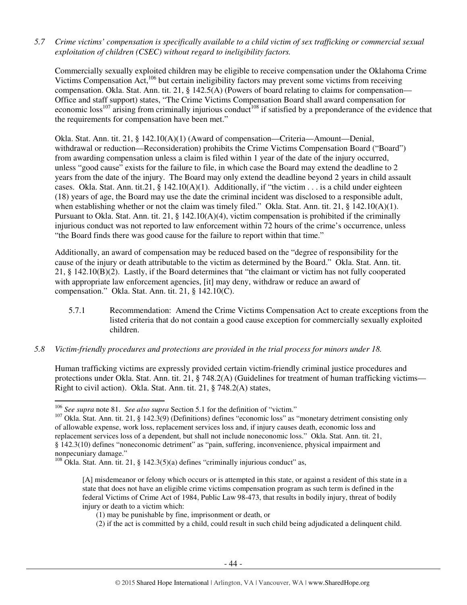*5.7 Crime victims' compensation is specifically available to a child victim of sex trafficking or commercial sexual exploitation of children (CSEC) without regard to ineligibility factors.* 

Commercially sexually exploited children may be eligible to receive compensation under the Oklahoma Crime Victims Compensation Act,<sup>106</sup> but certain ineligibility factors may prevent some victims from receiving compensation. Okla. Stat. Ann. tit. 21, § 142.5(A) (Powers of board relating to claims for compensation— Office and staff support) states, "The Crime Victims Compensation Board shall award compensation for economic loss<sup>107</sup> arising from criminally injurious conduct<sup>108</sup> if satisfied by a preponderance of the evidence that the requirements for compensation have been met."

Okla. Stat. Ann. tit. 21, § 142.10(A)(1) (Award of compensation—Criteria—Amount—Denial, withdrawal or reduction—Reconsideration) prohibits the Crime Victims Compensation Board ("Board") from awarding compensation unless a claim is filed within 1 year of the date of the injury occurred, unless "good cause" exists for the failure to file, in which case the Board may extend the deadline to 2 years from the date of the injury. The Board may only extend the deadline beyond 2 years in child assault cases. Okla. Stat. Ann. tit.21, § 142.10(A)(1). Additionally, if "the victim . . . is a child under eighteen (18) years of age, the Board may use the date the criminal incident was disclosed to a responsible adult, when establishing whether or not the claim was timely filed." Okla. Stat. Ann. tit. 21, § 142.10(A)(1). Pursuant to Okla. Stat. Ann. tit.  $21, \S$  142.10(A)(4), victim compensation is prohibited if the criminally injurious conduct was not reported to law enforcement within 72 hours of the crime's occurrence, unless "the Board finds there was good cause for the failure to report within that time."

Additionally, an award of compensation may be reduced based on the "degree of responsibility for the cause of the injury or death attributable to the victim as determined by the Board." Okla. Stat. Ann. tit. 21, § 142.10(B)(2). Lastly, if the Board determines that "the claimant or victim has not fully cooperated with appropriate law enforcement agencies, [it] may deny, withdraw or reduce an award of compensation." Okla. Stat. Ann. tit. 21, § 142.10(C).

- 5.7.1 Recommendation: Amend the Crime Victims Compensation Act to create exceptions from the listed criteria that do not contain a good cause exception for commercially sexually exploited children.
- *5.8 Victim-friendly procedures and protections are provided in the trial process for minors under 18.*

Human trafficking victims are expressly provided certain victim-friendly criminal justice procedures and protections under Okla. Stat. Ann. tit. 21, § 748.2(A) (Guidelines for treatment of human trafficking victims— Right to civil action). Okla. Stat. Ann. tit. 21, § 748.2(A) states,

<sup>106</sup> *See supra* note 81. *See also supra* Section 5.1 for the definition of "victim."

<sup>107</sup> Okla. Stat. Ann. tit. 21, § 142.3(9) (Definitions) defines "economic loss" as "monetary detriment consisting only of allowable expense, work loss, replacement services loss and, if injury causes death, economic loss and replacement services loss of a dependent, but shall not include noneconomic loss." Okla. Stat. Ann. tit. 21, § 142.3(10) defines "noneconomic detriment" as "pain, suffering, inconvenience, physical impairment and nonpecuniary damage."

 $108$  Okla. Stat. Ann. tit. 21, § 142.3(5)(a) defines "criminally injurious conduct" as,

<sup>[</sup>A] misdemeanor or felony which occurs or is attempted in this state, or against a resident of this state in a state that does not have an eligible crime victims compensation program as such term is defined in the federal Victims of Crime Act of 1984, Public Law 98-473, that results in bodily injury, threat of bodily injury or death to a victim which:

<sup>(1)</sup> may be punishable by fine, imprisonment or death, or

<sup>(2)</sup> if the act is committed by a child, could result in such child being adjudicated a delinquent child.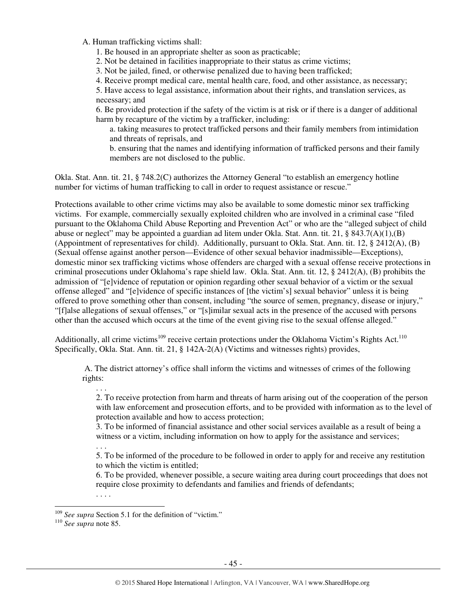A. Human trafficking victims shall:

1. Be housed in an appropriate shelter as soon as practicable;

2. Not be detained in facilities inappropriate to their status as crime victims;

3. Not be jailed, fined, or otherwise penalized due to having been trafficked;

4. Receive prompt medical care, mental health care, food, and other assistance, as necessary;

5. Have access to legal assistance, information about their rights, and translation services, as necessary; and

6. Be provided protection if the safety of the victim is at risk or if there is a danger of additional harm by recapture of the victim by a trafficker, including:

a. taking measures to protect trafficked persons and their family members from intimidation and threats of reprisals, and

b. ensuring that the names and identifying information of trafficked persons and their family members are not disclosed to the public.

Okla. Stat. Ann. tit. 21, § 748.2(C) authorizes the Attorney General "to establish an emergency hotline number for victims of human trafficking to call in order to request assistance or rescue."

Protections available to other crime victims may also be available to some domestic minor sex trafficking victims. For example, commercially sexually exploited children who are involved in a criminal case "filed pursuant to the Oklahoma Child Abuse Reporting and Prevention Act" or who are the "alleged subject of child abuse or neglect" may be appointed a guardian ad litem under Okla. Stat. Ann. tit. 21, § 843.7(A)(1),(B) (Appointment of representatives for child). Additionally, pursuant to Okla. Stat. Ann. tit. 12, § 2412(A), (B) (Sexual offense against another person—Evidence of other sexual behavior inadmissible—Exceptions), domestic minor sex trafficking victims whose offenders are charged with a sexual offense receive protections in criminal prosecutions under Oklahoma's rape shield law. Okla. Stat. Ann. tit. 12, § 2412(A), (B) prohibits the admission of "[e]vidence of reputation or opinion regarding other sexual behavior of a victim or the sexual offense alleged" and "[e]vidence of specific instances of [the victim's] sexual behavior" unless it is being offered to prove something other than consent, including "the source of semen, pregnancy, disease or injury," "[f]alse allegations of sexual offenses," or "[s]imilar sexual acts in the presence of the accused with persons other than the accused which occurs at the time of the event giving rise to the sexual offense alleged."

Additionally, all crime victims<sup>109</sup> receive certain protections under the Oklahoma Victim's Rights Act.<sup>110</sup> Specifically, Okla. Stat. Ann. tit. 21, § 142A-2(A) (Victims and witnesses rights) provides,

 A. The district attorney's office shall inform the victims and witnesses of crimes of the following rights:

2. To receive protection from harm and threats of harm arising out of the cooperation of the person with law enforcement and prosecution efforts, and to be provided with information as to the level of protection available and how to access protection;

3. To be informed of financial assistance and other social services available as a result of being a witness or a victim, including information on how to apply for the assistance and services;

5. To be informed of the procedure to be followed in order to apply for and receive any restitution to which the victim is entitled;

6. To be provided, whenever possible, a secure waiting area during court proceedings that does not require close proximity to defendants and families and friends of defendants;

 $\overline{a}$ 

. . .

. . .

. . . .

<sup>&</sup>lt;sup>109</sup> See supra Section 5.1 for the definition of "victim."

<sup>110</sup> *See supra* note 85.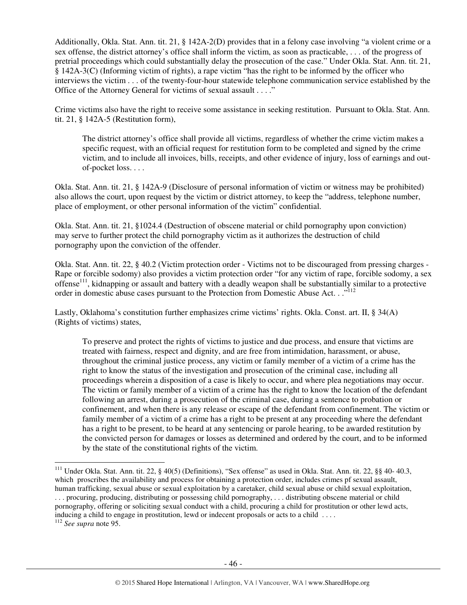Additionally, Okla. Stat. Ann. tit. 21, § 142A-2(D) provides that in a felony case involving "a violent crime or a sex offense, the district attorney's office shall inform the victim, as soon as practicable, . . . of the progress of pretrial proceedings which could substantially delay the prosecution of the case." Under Okla. Stat. Ann. tit. 21, § 142A-3(C) (Informing victim of rights), a rape victim "has the right to be informed by the officer who interviews the victim . . . of the twenty-four-hour statewide telephone communication service established by the Office of the Attorney General for victims of sexual assault . . . ."

Crime victims also have the right to receive some assistance in seeking restitution. Pursuant to Okla. Stat. Ann. tit. 21, § 142A-5 (Restitution form),

The district attorney's office shall provide all victims, regardless of whether the crime victim makes a specific request, with an official request for restitution form to be completed and signed by the crime victim, and to include all invoices, bills, receipts, and other evidence of injury, loss of earnings and outof-pocket loss. . . .

Okla. Stat. Ann. tit. 21, § 142A-9 (Disclosure of personal information of victim or witness may be prohibited) also allows the court, upon request by the victim or district attorney, to keep the "address, telephone number, place of employment, or other personal information of the victim" confidential.

Okla. Stat. Ann. tit. 21, §1024.4 (Destruction of obscene material or child pornography upon conviction) may serve to further protect the child pornography victim as it authorizes the destruction of child pornography upon the conviction of the offender.

Okla. Stat. Ann. tit. 22, § 40.2 (Victim protection order - Victims not to be discouraged from pressing charges - Rape or forcible sodomy) also provides a victim protection order "for any victim of rape, forcible sodomy, a sex offense<sup>111</sup>, kidnapping or assault and battery with a deadly weapon shall be substantially similar to a protective order in domestic abuse cases pursuant to the Protection from Domestic Abuse Act. . ."<sup>112</sup>

Lastly, Oklahoma's constitution further emphasizes crime victims' rights. Okla. Const. art. II, § 34(A) (Rights of victims) states,

To preserve and protect the rights of victims to justice and due process, and ensure that victims are treated with fairness, respect and dignity, and are free from intimidation, harassment, or abuse, throughout the criminal justice process, any victim or family member of a victim of a crime has the right to know the status of the investigation and prosecution of the criminal case, including all proceedings wherein a disposition of a case is likely to occur, and where plea negotiations may occur. The victim or family member of a victim of a crime has the right to know the location of the defendant following an arrest, during a prosecution of the criminal case, during a sentence to probation or confinement, and when there is any release or escape of the defendant from confinement. The victim or family member of a victim of a crime has a right to be present at any proceeding where the defendant has a right to be present, to be heard at any sentencing or parole hearing, to be awarded restitution by the convicted person for damages or losses as determined and ordered by the court, and to be informed by the state of the constitutional rights of the victim.

<sup>111</sup> Under Okla. Stat. Ann. tit. 22, § 40(5) (Definitions), "Sex offense" as used in Okla. Stat. Ann. tit. 22, §§ 40- 40.3, which proscribes the availability and process for obtaining a protection order, includes crimes pf sexual assault, human trafficking, sexual abuse or sexual exploitation by a caretaker, child sexual abuse or child sexual exploitation, . . . procuring, producing, distributing or possessing child pornography, . . . distributing obscene material or child pornography, offering or soliciting sexual conduct with a child, procuring a child for prostitution or other lewd acts, inducing a child to engage in prostitution, lewd or indecent proposals or acts to a child . . . .

<sup>112</sup> *See supra* note 95.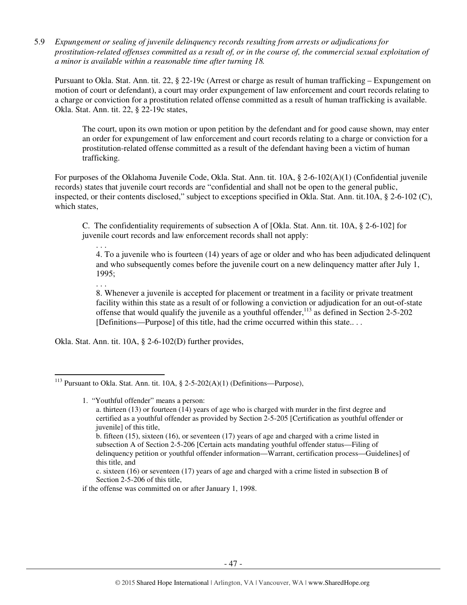5.9 *Expungement or sealing of juvenile delinquency records resulting from arrests or adjudications for prostitution-related offenses committed as a result of, or in the course of, the commercial sexual exploitation of a minor is available within a reasonable time after turning 18.*

Pursuant to Okla. Stat. Ann. tit. 22, § 22-19c (Arrest or charge as result of human trafficking – Expungement on motion of court or defendant), a court may order expungement of law enforcement and court records relating to a charge or conviction for a prostitution related offense committed as a result of human trafficking is available. Okla. Stat. Ann. tit. 22, § 22-19c states,

The court, upon its own motion or upon petition by the defendant and for good cause shown, may enter an order for expungement of law enforcement and court records relating to a charge or conviction for a prostitution-related offense committed as a result of the defendant having been a victim of human trafficking.

For purposes of the Oklahoma Juvenile Code, Okla. Stat. Ann. tit. 10A, § 2-6-102(A)(1) (Confidential juvenile records) states that juvenile court records are "confidential and shall not be open to the general public, inspected, or their contents disclosed," subject to exceptions specified in Okla. Stat. Ann. tit.10A, § 2-6-102 (C), which states,

C. The confidentiality requirements of subsection A of [Okla. Stat. Ann. tit. 10A, § 2-6-102] for juvenile court records and law enforcement records shall not apply:

4. To a juvenile who is fourteen (14) years of age or older and who has been adjudicated delinquent and who subsequently comes before the juvenile court on a new delinquency matter after July 1, 1995;

. . .

l

. . .

8. Whenever a juvenile is accepted for placement or treatment in a facility or private treatment facility within this state as a result of or following a conviction or adjudication for an out-of-state offense that would qualify the juvenile as a youthful offender,  $113$  as defined in Section 2-5-202 [Definitions—Purpose] of this title, had the crime occurred within this state.. . .

Okla. Stat. Ann. tit. 10A, § 2-6-102(D) further provides,

1. "Youthful offender" means a person:

- b. fifteen (15), sixteen (16), or seventeen (17) years of age and charged with a crime listed in subsection A of Section 2-5-206 [Certain acts mandating youthful offender status—Filing of delinquency petition or youthful offender information—Warrant, certification process—Guidelines] of this title, and
- c. sixteen (16) or seventeen (17) years of age and charged with a crime listed in subsection B of Section 2-5-206 of this title,

if the offense was committed on or after January 1, 1998.

<sup>&</sup>lt;sup>113</sup> Pursuant to Okla. Stat. Ann. tit. 10A, § 2-5-202(A)(1) (Definitions—Purpose),

a. thirteen (13) or fourteen (14) years of age who is charged with murder in the first degree and certified as a youthful offender as provided by Section 2-5-205 [Certification as youthful offender or juvenile] of this title,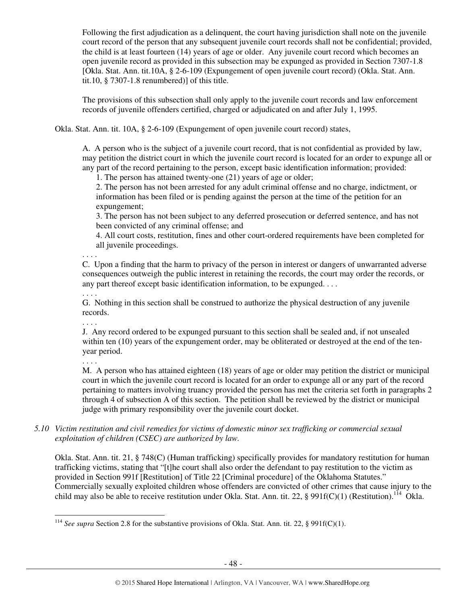Following the first adjudication as a delinquent, the court having jurisdiction shall note on the juvenile court record of the person that any subsequent juvenile court records shall not be confidential; provided, the child is at least fourteen (14) years of age or older. Any juvenile court record which becomes an open juvenile record as provided in this subsection may be expunged as provided in Section 7307-1.8 [Okla. Stat. Ann. tit.10A, § 2-6-109 (Expungement of open juvenile court record) (Okla. Stat. Ann. tit.10, § 7307-1.8 renumbered)] of this title.

The provisions of this subsection shall only apply to the juvenile court records and law enforcement records of juvenile offenders certified, charged or adjudicated on and after July 1, 1995.

Okla. Stat. Ann. tit. 10A, § 2-6-109 (Expungement of open juvenile court record) states,

A. A person who is the subject of a juvenile court record, that is not confidential as provided by law, may petition the district court in which the juvenile court record is located for an order to expunge all or any part of the record pertaining to the person, except basic identification information; provided:

1. The person has attained twenty-one (21) years of age or older;

2. The person has not been arrested for any adult criminal offense and no charge, indictment, or information has been filed or is pending against the person at the time of the petition for an expungement;

3. The person has not been subject to any deferred prosecution or deferred sentence, and has not been convicted of any criminal offense; and

4. All court costs, restitution, fines and other court-ordered requirements have been completed for all juvenile proceedings.

. . . . C. Upon a finding that the harm to privacy of the person in interest or dangers of unwarranted adverse consequences outweigh the public interest in retaining the records, the court may order the records, or any part thereof except basic identification information, to be expunged. . . .

G. Nothing in this section shall be construed to authorize the physical destruction of any juvenile records.

. . . .

. . . .

J. Any record ordered to be expunged pursuant to this section shall be sealed and, if not unsealed within ten (10) years of the expungement order, may be obliterated or destroyed at the end of the tenyear period.

. . . .

l

M. A person who has attained eighteen (18) years of age or older may petition the district or municipal court in which the juvenile court record is located for an order to expunge all or any part of the record pertaining to matters involving truancy provided the person has met the criteria set forth in paragraphs 2 through 4 of subsection A of this section. The petition shall be reviewed by the district or municipal judge with primary responsibility over the juvenile court docket.

*5.10 Victim restitution and civil remedies for victims of domestic minor sex trafficking or commercial sexual exploitation of children (CSEC) are authorized by law.* 

Okla. Stat. Ann. tit. 21, § 748(C) (Human trafficking) specifically provides for mandatory restitution for human trafficking victims, stating that "[t]he court shall also order the defendant to pay restitution to the victim as provided in Section 991f [Restitution] of Title 22 [Criminal procedure] of the Oklahoma Statutes." Commercially sexually exploited children whose offenders are convicted of other crimes that cause injury to the child may also be able to receive restitution under Okla. Stat. Ann. tit. 22, § 991f(C)(1) (Restitution).<sup>114</sup> Okla.

<sup>&</sup>lt;sup>114</sup> See supra Section 2.8 for the substantive provisions of Okla. Stat. Ann. tit. 22, § 991f(C)(1).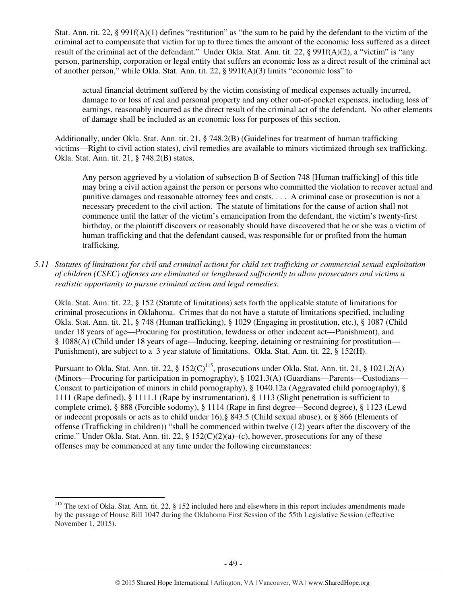Stat. Ann. tit. 22, § 991f(A)(1) defines "restitution" as "the sum to be paid by the defendant to the victim of the criminal act to compensate that victim for up to three times the amount of the economic loss suffered as a direct result of the criminal act of the defendant." Under Okla. Stat. Ann. tit. 22, § 991f(A)(2), a "victim" is "any person, partnership, corporation or legal entity that suffers an economic loss as a direct result of the criminal act of another person," while Okla. Stat. Ann. tit. 22, § 991f(A)(3) limits "economic loss" to

actual financial detriment suffered by the victim consisting of medical expenses actually incurred, damage to or loss of real and personal property and any other out-of-pocket expenses, including loss of earnings, reasonably incurred as the direct result of the criminal act of the defendant. No other elements of damage shall be included as an economic loss for purposes of this section.

Additionally, under Okla. Stat. Ann. tit. 21, § 748.2(B) (Guidelines for treatment of human trafficking victims—Right to civil action states), civil remedies are available to minors victimized through sex trafficking. Okla. Stat. Ann. tit. 21, § 748.2(B) states,

Any person aggrieved by a violation of subsection B of Section 748 [Human trafficking] of this title may bring a civil action against the person or persons who committed the violation to recover actual and punitive damages and reasonable attorney fees and costs. . . . A criminal case or prosecution is not a necessary precedent to the civil action. The statute of limitations for the cause of action shall not commence until the latter of the victim's emancipation from the defendant, the victim's twenty-first birthday, or the plaintiff discovers or reasonably should have discovered that he or she was a victim of human trafficking and that the defendant caused, was responsible for or profited from the human trafficking.

*5.11 Statutes of limitations for civil and criminal actions for child sex trafficking or commercial sexual exploitation of children (CSEC) offenses are eliminated or lengthened sufficiently to allow prosecutors and victims a realistic opportunity to pursue criminal action and legal remedies.* 

Okla. Stat. Ann. tit. 22, § 152 (Statute of limitations) sets forth the applicable statute of limitations for criminal prosecutions in Oklahoma. Crimes that do not have a statute of limitations specified, including Okla. Stat. Ann. tit. 21, § 748 (Human trafficking), § 1029 (Engaging in prostitution, etc.), § 1087 (Child under 18 years of age—Procuring for prostitution, lewdness or other indecent act—Punishment), and § 1088(A) (Child under 18 years of age—Inducing, keeping, detaining or restraining for prostitution— Punishment), are subject to a 3 year statute of limitations. Okla. Stat. Ann. tit. 22, § 152(H).

Pursuant to Okla. Stat. Ann. tit. 22, § 152(C)<sup>115</sup>, prosecutions under Okla. Stat. Ann. tit. 21, § 1021.2(A) (Minors—Procuring for participation in pornography), § 1021.3(A) (Guardians—Parents—Custodians— Consent to participation of minors in child pornography), § 1040.12a (Aggravated child pornography), § 1111 (Rape defined), § 1111.1 (Rape by instrumentation), § 1113 (Slight penetration is sufficient to complete crime), § 888 (Forcible sodomy), § 1114 (Rape in first degree—Second degree), § 1123 (Lewd or indecent proposals or acts as to child under 16),§ 843.5 (Child sexual abuse), or § 866 (Elements of offense (Trafficking in children)) "shall be commenced within twelve (12) years after the discovery of the crime." Under Okla. Stat. Ann. tit. 22, §  $152(C)(2)(a)$ –(c), however, prosecutions for any of these offenses may be commenced at any time under the following circumstances:

<sup>&</sup>lt;sup>115</sup> The text of Okla. Stat. Ann. tit. 22, § 152 included here and elsewhere in this report includes amendments made by the passage of House Bill 1047 during the Oklahoma First Session of the 55th Legislative Session (effective November 1, 2015).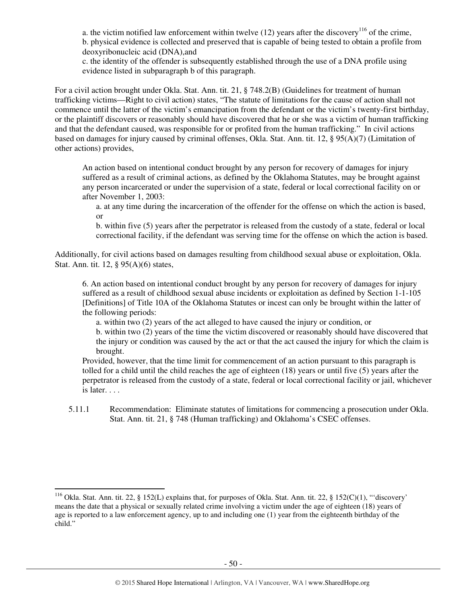a. the victim notified law enforcement within twelve (12) years after the discovery<sup>116</sup> of the crime, b. physical evidence is collected and preserved that is capable of being tested to obtain a profile from deoxyribonucleic acid (DNA),and

c. the identity of the offender is subsequently established through the use of a DNA profile using evidence listed in subparagraph b of this paragraph.

For a civil action brought under Okla. Stat. Ann. tit. 21, § 748.2(B) (Guidelines for treatment of human trafficking victims—Right to civil action) states, "The statute of limitations for the cause of action shall not commence until the latter of the victim's emancipation from the defendant or the victim's twenty-first birthday, or the plaintiff discovers or reasonably should have discovered that he or she was a victim of human trafficking and that the defendant caused, was responsible for or profited from the human trafficking." In civil actions based on damages for injury caused by criminal offenses, Okla. Stat. Ann. tit. 12, § 95(A)(7) (Limitation of other actions) provides,

An action based on intentional conduct brought by any person for recovery of damages for injury suffered as a result of criminal actions, as defined by the Oklahoma Statutes, may be brought against any person incarcerated or under the supervision of a state, federal or local correctional facility on or after November 1, 2003:

a. at any time during the incarceration of the offender for the offense on which the action is based, or

b. within five (5) years after the perpetrator is released from the custody of a state, federal or local correctional facility, if the defendant was serving time for the offense on which the action is based.

Additionally, for civil actions based on damages resulting from childhood sexual abuse or exploitation, Okla. Stat. Ann. tit. 12, § 95(A)(6) states,

6. An action based on intentional conduct brought by any person for recovery of damages for injury suffered as a result of childhood sexual abuse incidents or exploitation as defined by Section 1-1-105 [Definitions] of Title 10A of the Oklahoma Statutes or incest can only be brought within the latter of the following periods:

a. within two (2) years of the act alleged to have caused the injury or condition, or

b. within two (2) years of the time the victim discovered or reasonably should have discovered that the injury or condition was caused by the act or that the act caused the injury for which the claim is brought.

Provided, however, that the time limit for commencement of an action pursuant to this paragraph is tolled for a child until the child reaches the age of eighteen (18) years or until five (5) years after the perpetrator is released from the custody of a state, federal or local correctional facility or jail, whichever is later. . . .

5.11.1 Recommendation: Eliminate statutes of limitations for commencing a prosecution under Okla. Stat. Ann. tit. 21, § 748 (Human trafficking) and Oklahoma's CSEC offenses.

<sup>116</sup> Okla. Stat. Ann. tit. 22, § 152(L) explains that, for purposes of Okla. Stat. Ann. tit. 22, § 152(C)(1), "'discovery' means the date that a physical or sexually related crime involving a victim under the age of eighteen (18) years of age is reported to a law enforcement agency, up to and including one (1) year from the eighteenth birthday of the child."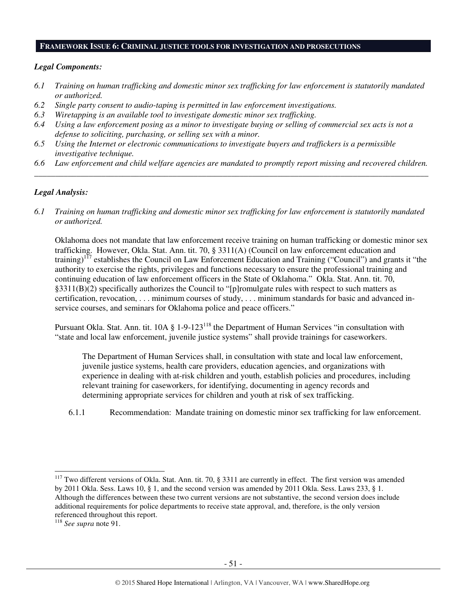#### **FRAMEWORK ISSUE 6: CRIMINAL JUSTICE TOOLS FOR INVESTIGATION AND PROSECUTIONS**

#### *Legal Components:*

- *6.1 Training on human trafficking and domestic minor sex trafficking for law enforcement is statutorily mandated or authorized.*
- *6.2 Single party consent to audio-taping is permitted in law enforcement investigations.*
- *6.3 Wiretapping is an available tool to investigate domestic minor sex trafficking.*
- *6.4 Using a law enforcement posing as a minor to investigate buying or selling of commercial sex acts is not a defense to soliciting, purchasing, or selling sex with a minor.*
- *6.5 Using the Internet or electronic communications to investigate buyers and traffickers is a permissible investigative technique.*
- *6.6 Law enforcement and child welfare agencies are mandated to promptly report missing and recovered children. \_\_\_\_\_\_\_\_\_\_\_\_\_\_\_\_\_\_\_\_\_\_\_\_\_\_\_\_\_\_\_\_\_\_\_\_\_\_\_\_\_\_\_\_\_\_\_\_\_\_\_\_\_\_\_\_\_\_\_\_\_\_\_\_\_\_\_\_\_\_\_\_\_\_\_\_\_\_\_\_\_\_\_\_\_\_\_\_\_\_\_\_\_\_*

#### *Legal Analysis:*

*6.1 Training on human trafficking and domestic minor sex trafficking for law enforcement is statutorily mandated or authorized.* 

Oklahoma does not mandate that law enforcement receive training on human trafficking or domestic minor sex trafficking. However, Okla. Stat. Ann. tit. 70, § 3311(A) (Council on law enforcement education and training)<sup>117</sup> establishes the Council on Law Enforcement Education and Training ("Council") and grants it "the authority to exercise the rights, privileges and functions necessary to ensure the professional training and continuing education of law enforcement officers in the State of Oklahoma." Okla. Stat. Ann. tit. 70, §3311(B)(2) specifically authorizes the Council to "[p]romulgate rules with respect to such matters as certification, revocation, . . . minimum courses of study, . . . minimum standards for basic and advanced inservice courses, and seminars for Oklahoma police and peace officers."

Pursuant Okla. Stat. Ann. tit. 10A § 1-9-123<sup>118</sup> the Department of Human Services "in consultation with "state and local law enforcement, juvenile justice systems" shall provide trainings for caseworkers.

The Department of Human Services shall, in consultation with state and local law enforcement, juvenile justice systems, health care providers, education agencies, and organizations with experience in dealing with at-risk children and youth, establish policies and procedures, including relevant training for caseworkers, for identifying, documenting in agency records and determining appropriate services for children and youth at risk of sex trafficking.

6.1.1 Recommendation: Mandate training on domestic minor sex trafficking for law enforcement.

<sup>&</sup>lt;sup>117</sup> Two different versions of Okla. Stat. Ann. tit. 70, § 3311 are currently in effect. The first version was amended by 2011 Okla. Sess. Laws 10, § 1, and the second version was amended by 2011 Okla. Sess. Laws 233, § 1. Although the differences between these two current versions are not substantive, the second version does include additional requirements for police departments to receive state approval, and, therefore, is the only version referenced throughout this report.

<sup>118</sup> *See supra* note 91.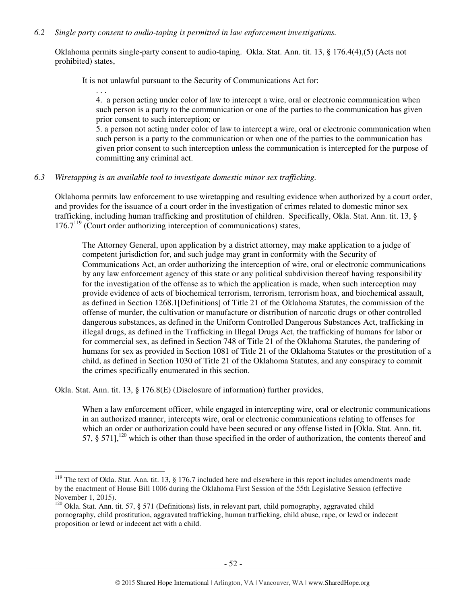#### *6.2 Single party consent to audio-taping is permitted in law enforcement investigations.*

Oklahoma permits single-party consent to audio-taping. Okla. Stat. Ann. tit. 13, § 176.4(4),(5) (Acts not prohibited) states,

It is not unlawful pursuant to the Security of Communications Act for:

. . . 4. a person acting under color of law to intercept a wire, oral or electronic communication when such person is a party to the communication or one of the parties to the communication has given prior consent to such interception; or

5. a person not acting under color of law to intercept a wire, oral or electronic communication when such person is a party to the communication or when one of the parties to the communication has given prior consent to such interception unless the communication is intercepted for the purpose of committing any criminal act.

# *6.3 Wiretapping is an available tool to investigate domestic minor sex trafficking.*

Oklahoma permits law enforcement to use wiretapping and resulting evidence when authorized by a court order, and provides for the issuance of a court order in the investigation of crimes related to domestic minor sex trafficking, including human trafficking and prostitution of children. Specifically, Okla. Stat. Ann. tit. 13, §  $176.7<sup>119</sup>$  (Court order authorizing interception of communications) states,

The Attorney General, upon application by a district attorney, may make application to a judge of competent jurisdiction for, and such judge may grant in conformity with the Security of Communications Act, an order authorizing the interception of wire, oral or electronic communications by any law enforcement agency of this state or any political subdivision thereof having responsibility for the investigation of the offense as to which the application is made, when such interception may provide evidence of acts of biochemical terrorism, terrorism, terrorism hoax, and biochemical assault, as defined in Section 1268.1[Definitions] of Title 21 of the Oklahoma Statutes, the commission of the offense of murder, the cultivation or manufacture or distribution of narcotic drugs or other controlled dangerous substances, as defined in the Uniform Controlled Dangerous Substances Act, trafficking in illegal drugs, as defined in the Trafficking in Illegal Drugs Act, the trafficking of humans for labor or for commercial sex, as defined in Section 748 of Title 21 of the Oklahoma Statutes, the pandering of humans for sex as provided in Section 1081 of Title 21 of the Oklahoma Statutes or the prostitution of a child, as defined in Section 1030 of Title 21 of the Oklahoma Statutes, and any conspiracy to commit the crimes specifically enumerated in this section.

Okla. Stat. Ann. tit. 13, § 176.8(E) (Disclosure of information) further provides,

l

When a law enforcement officer, while engaged in intercepting wire, oral or electronic communications in an authorized manner, intercepts wire, oral or electronic communications relating to offenses for which an order or authorization could have been secured or any offense listed in [Okla. Stat. Ann. tit. 57,  $\S$  571],<sup>120</sup> which is other than those specified in the order of authorization, the contents thereof and

 $119$  The text of Okla. Stat. Ann. tit. 13, § 176.7 included here and elsewhere in this report includes amendments made by the enactment of House Bill 1006 during the Oklahoma First Session of the 55th Legislative Session (effective November 1, 2015).

<sup>&</sup>lt;sup>120</sup> Okla. Stat. Ann. tit. 57, § 571 (Definitions) lists, in relevant part, child pornography, aggravated child pornography, child prostitution, aggravated trafficking, human trafficking, child abuse, rape, or lewd or indecent proposition or lewd or indecent act with a child.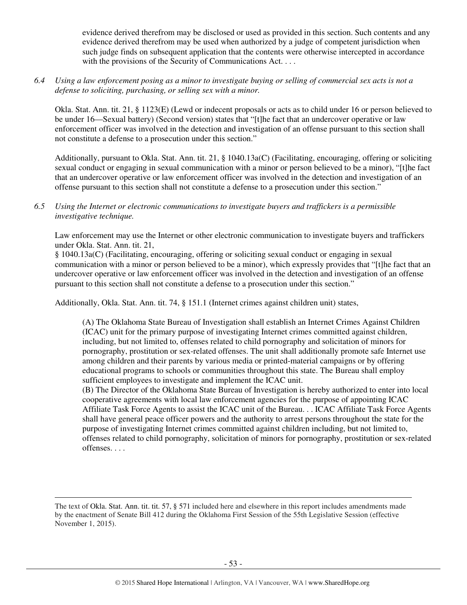evidence derived therefrom may be disclosed or used as provided in this section. Such contents and any evidence derived therefrom may be used when authorized by a judge of competent jurisdiction when such judge finds on subsequent application that the contents were otherwise intercepted in accordance with the provisions of the Security of Communications Act. . . .

*6.4 Using a law enforcement posing as a minor to investigate buying or selling of commercial sex acts is not a defense to soliciting, purchasing, or selling sex with a minor.* 

Okla. Stat. Ann. tit. 21, § 1123(E) (Lewd or indecent proposals or acts as to child under 16 or person believed to be under 16—Sexual battery) (Second version) states that "[t]he fact that an undercover operative or law enforcement officer was involved in the detection and investigation of an offense pursuant to this section shall not constitute a defense to a prosecution under this section."

Additionally, pursuant to Okla. Stat. Ann. tit. 21, § 1040.13a(C) (Facilitating, encouraging, offering or soliciting sexual conduct or engaging in sexual communication with a minor or person believed to be a minor), "[t]he fact that an undercover operative or law enforcement officer was involved in the detection and investigation of an offense pursuant to this section shall not constitute a defense to a prosecution under this section."

# *6.5 Using the Internet or electronic communications to investigate buyers and traffickers is a permissible investigative technique.*

Law enforcement may use the Internet or other electronic communication to investigate buyers and traffickers under Okla. Stat. Ann. tit. 21,

§ 1040.13a(C) (Facilitating, encouraging, offering or soliciting sexual conduct or engaging in sexual communication with a minor or person believed to be a minor), which expressly provides that "[t]he fact that an undercover operative or law enforcement officer was involved in the detection and investigation of an offense pursuant to this section shall not constitute a defense to a prosecution under this section."

Additionally, Okla. Stat. Ann. tit. 74, § 151.1 (Internet crimes against children unit) states,

(A) The Oklahoma State Bureau of Investigation shall establish an Internet Crimes Against Children (ICAC) unit for the primary purpose of investigating Internet crimes committed against children, including, but not limited to, offenses related to child pornography and solicitation of minors for pornography, prostitution or sex-related offenses. The unit shall additionally promote safe Internet use among children and their parents by various media or printed-material campaigns or by offering educational programs to schools or communities throughout this state. The Bureau shall employ sufficient employees to investigate and implement the ICAC unit.

(B) The Director of the Oklahoma State Bureau of Investigation is hereby authorized to enter into local cooperative agreements with local law enforcement agencies for the purpose of appointing ICAC Affiliate Task Force Agents to assist the ICAC unit of the Bureau. . . ICAC Affiliate Task Force Agents shall have general peace officer powers and the authority to arrest persons throughout the state for the purpose of investigating Internet crimes committed against children including, but not limited to, offenses related to child pornography, solicitation of minors for pornography, prostitution or sex-related offenses. . . .

The text of Okla. Stat. Ann. tit. tit. 57, § 571 included here and elsewhere in this report includes amendments made by the enactment of Senate Bill 412 during the Oklahoma First Session of the 55th Legislative Session (effective November 1, 2015).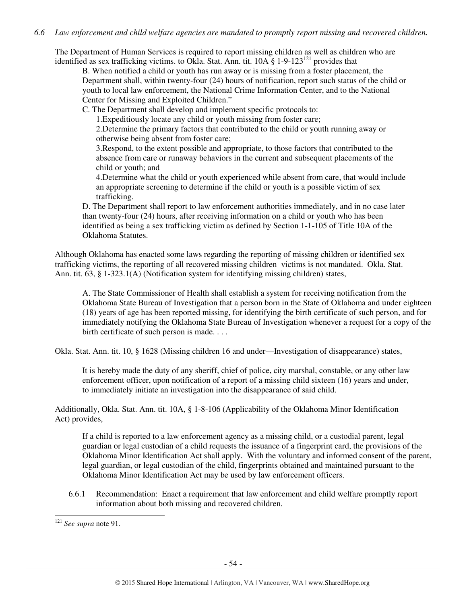## *6.6 Law enforcement and child welfare agencies are mandated to promptly report missing and recovered children.*

The Department of Human Services is required to report missing children as well as children who are identified as sex trafficking victims. to Okla. Stat. Ann. tit.  $10A \tS 1-9-123^{121}$  provides that

B. When notified a child or youth has run away or is missing from a foster placement, the Department shall, within twenty-four (24) hours of notification, report such status of the child or youth to local law enforcement, the National Crime Information Center, and to the National Center for Missing and Exploited Children."

C. The Department shall develop and implement specific protocols to:

1.Expeditiously locate any child or youth missing from foster care;

2.Determine the primary factors that contributed to the child or youth running away or otherwise being absent from foster care;

3.Respond, to the extent possible and appropriate, to those factors that contributed to the absence from care or runaway behaviors in the current and subsequent placements of the child or youth; and

4.Determine what the child or youth experienced while absent from care, that would include an appropriate screening to determine if the child or youth is a possible victim of sex trafficking.

D. The Department shall report to law enforcement authorities immediately, and in no case later than twenty-four (24) hours, after receiving information on a child or youth who has been identified as being a sex trafficking victim as defined by Section 1-1-105 of Title 10A of the Oklahoma Statutes.

Although Oklahoma has enacted some laws regarding the reporting of missing children or identified sex trafficking victims, the reporting of all recovered missing children victims is not mandated. Okla. Stat. Ann. tit. 63, § 1-323.1(A) (Notification system for identifying missing children) states,

A. The State Commissioner of Health shall establish a system for receiving notification from the Oklahoma State Bureau of Investigation that a person born in the State of Oklahoma and under eighteen (18) years of age has been reported missing, for identifying the birth certificate of such person, and for immediately notifying the Oklahoma State Bureau of Investigation whenever a request for a copy of the birth certificate of such person is made. . . .

Okla. Stat. Ann. tit. 10, § 1628 (Missing children 16 and under—Investigation of disappearance) states,

It is hereby made the duty of any sheriff, chief of police, city marshal, constable, or any other law enforcement officer, upon notification of a report of a missing child sixteen (16) years and under, to immediately initiate an investigation into the disappearance of said child.

Additionally, Okla. Stat. Ann. tit. 10A, § 1-8-106 (Applicability of the Oklahoma Minor Identification Act) provides,

If a child is reported to a law enforcement agency as a missing child, or a custodial parent, legal guardian or legal custodian of a child requests the issuance of a fingerprint card, the provisions of the Oklahoma Minor Identification Act shall apply. With the voluntary and informed consent of the parent, legal guardian, or legal custodian of the child, fingerprints obtained and maintained pursuant to the Oklahoma Minor Identification Act may be used by law enforcement officers.

6.6.1 Recommendation: Enact a requirement that law enforcement and child welfare promptly report information about both missing and recovered children.

<sup>121</sup> *See supra* note 91.